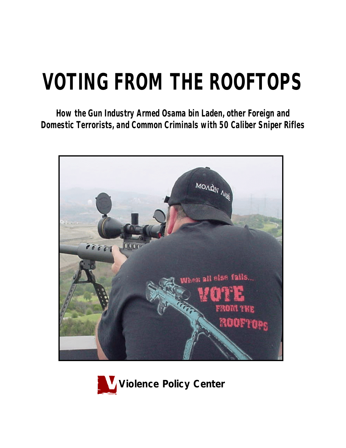# **VOTING FROM THE ROOFTOPS**

*How the Gun Industry Armed Osama bin Laden, other Foreign and Domestic Terrorists, and Common Criminals with 50 Caliber Sniper Rifles*



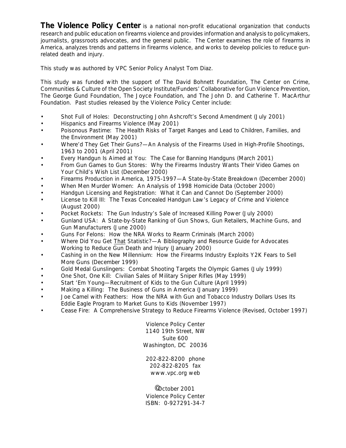**The Violence Policy Center** is a national non-profit educational organization that conducts research and public education on firearms violence and provides information and analysis to policymakers, journalists, grassroots advocates, and the general public. The Center examines the role of firearms in America, analyzes trends and patterns in firearms violence, and works to develop policies to reduce gunrelated death and injury.

This study was authored by VPC Senior Policy Analyst Tom Diaz.

This study was funded with the support of The David Bohnett Foundation, The Center on Crime, Communities & Culture of the Open Society Institute/Funders' Collaborative for Gun Violence Prevention, The George Gund Foundation, The Joyce Foundation, and The John D. and Catherine T. MacArthur Foundation. Past studies released by the Violence Policy Center include:

- *Shot Full of Holes: Deconstructing John Ashcroft's Second Amendment* (July 2001)
- *Hispanics and Firearms Violence* (May 2001)
- *Poisonous Pastime: The Health Risks of Target Ranges and Lead to Children, Families, and the Environment* (May 2001)
- *Where'd They Get Their Guns?—An Analysis of the Firearms Used in High-Profile Shootings, 1963 to 2001* (April 2001)
- *Every Handgun Is Aimed at You: The Case for Banning Handguns* (March 2001)
- *From Gun Games to Gun Stores: Why the Firearms Industry Wants Their Video Games on Your Child's Wish List* (December 2000)
- *Firearms Production in America, 1975-1997—A State-by-State Breakdown* (December 2000)
- *When Men Murder Women: An Analysis of 1998 Homicide Data* (October 2000)
- *Handgun Licensing and Registration: What it Can and Cannot Do* (September 2000)
- *License to Kill III: The Texas Concealed Handgun Law's Legacy of Crime and Violence* (August 2000)
- *Pocket Rockets: The Gun Industry's Sale of Increased Killing Power (July 2000)*
- *Gunland USA: A State-by-State Ranking of Gun Shows, Gun Retailers, Machine Guns, and Gun Manufacturers* (June 2000)
- *Guns For Felons: How the NRA Works to Rearm Criminals* (March 2000)
- *Where Did You Get That Statistic?*—*A Bibliography and Resource Guide for Advocates Working to Reduce Gun Death and Injury* (January 2000)
- *Cashing in on the New Millennium: How the Firearms Industry Exploits Y2K Fears to Sell More Guns* (December 1999)
- *Gold Medal Gunslingers: Combat Shooting Targets the Olympic Games* (July 1999)
- *One Shot, One Kill: Civilian Sales of Military Sniper Rifles* (May 1999)
- *Start 'Em Young*—*Recruitment of Kids to the Gun Culture* (April 1999)
- *Making a Killing: The Business of Guns in America* (January 1999)
- *Joe Camel with Feathers: How the NRA with Gun and Tobacco Industry Dollars Uses Its Eddie Eagle Program to Market Guns to Kids* (November 1997)
- *Cease Fire: A Comprehensive Strategy to Reduce Firearms Violence* (Revised, October 1997)

Violence Policy Center 1140 19th Street, NW Suite 600 Washington, DC 20036

202-822-8200 phone 202-822-8205 fax www.vpc.org web

©October 2001 Violence Policy Center ISBN: 0-927291-34-7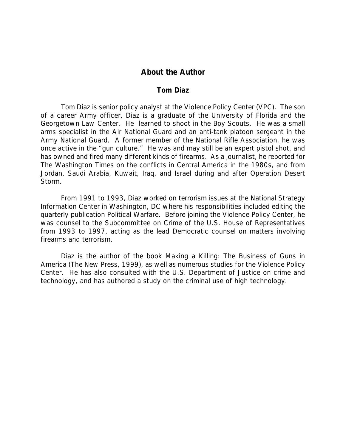# **About the Author**

## *Tom Diaz*

Tom Diaz is senior policy analyst at the Violence Policy Center (VPC). The son of a career Army officer, Diaz is a graduate of the University of Florida and the Georgetown Law Center. He learned to shoot in the Boy Scouts. He was a small arms specialist in the Air National Guard and an anti-tank platoon sergeant in the Army National Guard. A former member of the National Rifle Association, he was once active in the "gun culture." He was and may still be an expert pistol shot, and has owned and fired many different kinds of firearms. As a journalist, he reported for *The Washington Times* on the conflicts in Central America in the 1980s, and from Jordan, Saudi Arabia, Kuwait, Iraq, and Israel during and after Operation Desert Storm.

From 1991 to 1993, Diaz worked on terrorism issues at the National Strategy Information Center in Washington, DC where his responsibilities included editing the quarterly publication *Political Warfare*. Before joining the Violence Policy Center, he was counsel to the Subcommittee on Crime of the U.S. House of Representatives from 1993 to 1997, acting as the lead Democratic counsel on matters involving firearms and terrorism.

Diaz is the author of the book *Making a Killing: The Business of Guns in America* (The New Press, 1999), as well as numerous studies for the Violence Policy Center. He has also consulted with the U.S. Department of Justice on crime and technology, and has authored a study on the criminal use of high technology.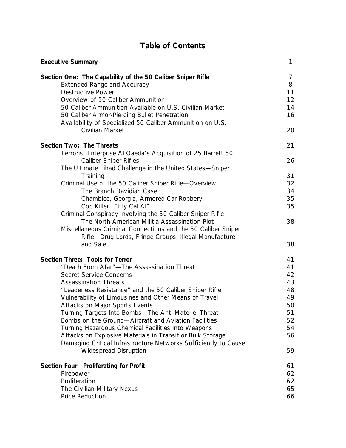# **Table of Contents**

| <b>Executive Summary</b>                                                                                                     | 1        |
|------------------------------------------------------------------------------------------------------------------------------|----------|
| Section One: The Capability of the 50 Caliber Sniper Rifle                                                                   | 7        |
| <b>Extended Range and Accuracy</b>                                                                                           | 8        |
| <b>Destructive Power</b>                                                                                                     | 11       |
| Overview of 50 Caliber Ammunition                                                                                            | 12       |
| 50 Caliber Ammunition Available on U.S. Civilian Market                                                                      | 14       |
| 50 Caliber Armor-Piercing Bullet Penetration                                                                                 | 16       |
| Availability of Specialized 50 Caliber Ammunition on U.S.                                                                    |          |
| Civilian Market                                                                                                              | 20       |
| Section Two: The Threats                                                                                                     | 21       |
| Terrorist Enterprise AI Qaeda's Acquisition of 25 Barrett 50                                                                 |          |
| <b>Caliber Sniper Rifles</b>                                                                                                 | 26       |
| The Ultimate Jihad Challenge in the United States-Sniper                                                                     |          |
| Training                                                                                                                     | 31       |
| Criminal Use of the 50 Caliber Sniper Rifle-Overview                                                                         | 32       |
| The Branch Davidian Case                                                                                                     | 34       |
| Chamblee, Georgia, Armored Car Robbery                                                                                       | 35       |
| Cop Killer "Fifty Cal Al"                                                                                                    | 35       |
| Criminal Conspiracy Involving the 50 Caliber Sniper Rifle-                                                                   |          |
| The North American Militia Assassination Plot                                                                                | 38       |
| Miscellaneous Criminal Connections and the 50 Caliber Sniper                                                                 |          |
| Rifle-Drug Lords, Fringe Groups, Illegal Manufacture<br>and Sale                                                             | 38       |
|                                                                                                                              |          |
| Section Three: Tools for Terror                                                                                              | 41       |
| "Death From Afar"-The Assassination Threat                                                                                   | 41       |
| <b>Secret Service Concerns</b>                                                                                               | 42       |
| <b>Assassination Threats</b>                                                                                                 | 43       |
| "Leaderless Resistance" and the 50 Caliber Sniper Rifle                                                                      | 48       |
| Vulnerability of Limousines and Other Means of Travel                                                                        | 49       |
| Attacks on Major Sports Events                                                                                               | 50       |
| Turning Targets Into Bombs-The Anti-Materiel Threat                                                                          | 51       |
| Bombs on the Ground-Aircraft and Aviation Facilities                                                                         | 52<br>54 |
| Turning Hazardous Chemical Facilities Into Weapons                                                                           | 56       |
| Attacks on Explosive Materials in Transit or Bulk Storage<br>Damaging Critical Infrastructure Networks Sufficiently to Cause |          |
| <b>Widespread Disruption</b>                                                                                                 | 59       |
|                                                                                                                              |          |
| Section Four: Proliferating for Profit                                                                                       | 61       |
| Firepower                                                                                                                    | 62       |
| Proliferation                                                                                                                | 62       |
| The Civilian-Military Nexus                                                                                                  | 65       |
| Price Reduction                                                                                                              | 66       |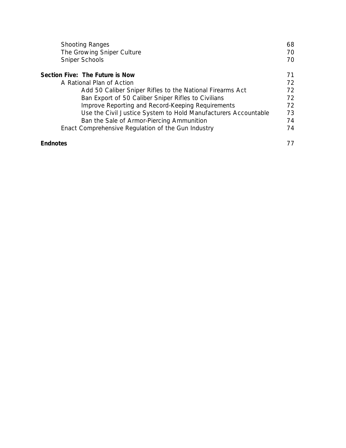| <b>Shooting Ranges</b><br>The Growing Sniper Culture<br>Sniper Schools | 68<br>70<br>70 |
|------------------------------------------------------------------------|----------------|
| Section Five: The Future is Now                                        | 71             |
| A Rational Plan of Action                                              | 72             |
| Add 50 Caliber Sniper Rifles to the National Firearms Act              | 72             |
| Ban Export of 50 Caliber Sniper Rifles to Civilians                    | 72             |
| Improve Reporting and Record-Keeping Requirements                      | 72             |
| Use the Civil Justice System to Hold Manufacturers Accountable         | 73             |
| Ban the Sale of Armor-Piercing Ammunition                              | 74             |
| Enact Comprehensive Regulation of the Gun Industry                     | 74             |
| <b>Endnotes</b>                                                        | 77             |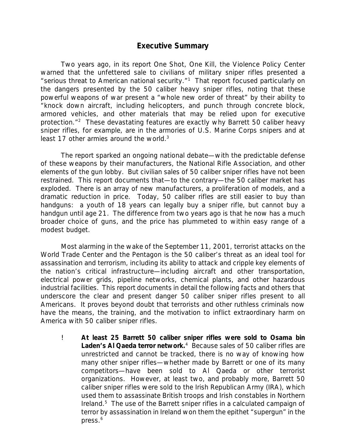# *Executive Summary*

Two years ago, in its report *One Shot, One Kill*, the Violence Policy Center warned that the unfettered sale to civilians of military sniper rifles presented a "serious threat to American national security."<sup>1</sup> That report focused particularly on the dangers presented by the 50 caliber heavy sniper rifles, noting that these powerful weapons of war present a "whole new order of threat" by their ability to "knock down aircraft, including helicopters, and punch through concrete block, armored vehicles, and other materials that may be relied upon for executive protection."<sup>2</sup> These devastating features are exactly why Barrett 50 caliber heavy sniper rifles, for example, are in the armories of U.S. Marine Corps snipers and at least 17 other armies around the world. $3$ 

The report sparked an ongoing national debate—with the predictable defense of these weapons by their manufacturers, the National Rifle Association, and other elements of the gun lobby. But civilian sales of 50 caliber sniper rifles have not been restrained. This report documents that—to the contrary—the 50 caliber market has exploded. There is an array of new manufacturers, a proliferation of models, and a dramatic reduction in price. Today, 50 caliber rifles are still easier to buy than handguns: a youth of 18 years can legally buy a sniper rifle, but cannot buy a handgun until age 21. The difference from two years ago is that he now has a much broader choice of guns, and the price has plummeted to within easy range of a modest budget.

Most alarming in the wake of the September 11, 2001, terrorist attacks on the World Trade Center and the Pentagon is the 50 caliber's threat as an ideal tool for assassination and terrorism, including its ability to attack and cripple key elements of the nation's critical infrastructure—including aircraft and other transportation, electrical power grids, pipeline networks, chemical plants, and other hazardous industrial facilities. This report documents in detail the following facts and others that underscore the clear and present danger 50 caliber sniper rifles present to all Americans. *It proves beyond doubt that terrorists and other ruthless criminals now have the means, the training, and the motivation to inflict extraordinary harm on America with 50 caliber sniper rifles.*

! *At least 25 Barrett 50 caliber sniper rifles were sold to Osama bin* Laden's AI Qaeda terror network.<sup>4</sup> Because sales of 50 caliber rifles are unrestricted and cannot be tracked, there is no way of knowing how many other sniper rifles—whether made by Barrett or one of its many competitors—have been sold to Al Qaeda or other terrorist organizations. However, at least two, and probably more, Barrett 50 caliber sniper rifles were sold to the Irish Republican Army (IRA), which used them to assassinate British troops and Irish constables in Northern Ireland.<sup>5</sup> The use of the Barrett sniper rifles in a calculated campaign of terror by assassination in Ireland won them the epithet "supergun" in the press.<sup>6</sup>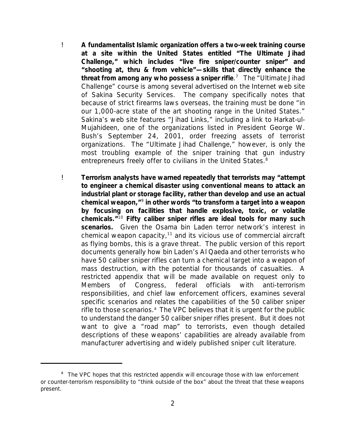- ! *A fundamentalist Islamic organization offers a two-week training course at a site within the United States entitled "The Ultimate Jihad Challenge," which includes "live fire sniper/counter sniper" and "shooting at, thru & from vehicle"—skills that directly enhance the threat from among any who possess a sniper rifle*. 7 The "Ultimate Jihad Challenge" course is among several advertised on the Internet web site of Sakina Security Services. The company specifically notes that because of strict firearms laws overseas, the training must be done "in our 1,000-acre state of the art shooting range in the United States." Sakina's web site features "Jihad Links," including a link to *Harkat-ul-Mujahideen*, one of the organizations listed in President George W. Bush's September 24, 2001, order freezing assets of terrorist organizations. The "Ultimate Jihad Challenge," however, is only the most troubling example of the sniper training that gun industry entrepreneurs freely offer to civilians in the United States.<sup>8</sup>
- ! *Terrorism analysts have warned repeatedly that terrorists may "attempt to engineer a chemical disaster using conventional means to attack an industrial plant or storage facility, rather than develop and use an actual chemical weapon,"*<sup>9</sup> *in other words "to transform a target into a weapon by focusing on facilities that handle explosive, toxic, or volatile chemicals."*<sup>10</sup> *Fifty caliber sniper rifles are ideal tools for many such scenarios.* Given the Osama bin Laden terror network's interest in chemical weapon capacity,<sup>11</sup> and its vicious use of commercial aircraft as flying bombs, this is a grave threat. The public version of this report documents generally how bin Laden's Al Qaeda and other terrorists who have 50 caliber sniper rifles can turn a chemical target into a weapon of mass destruction, with the potential for thousands of casualties. A restricted appendix that will be made available on request only to Members of Congress, federal officials with anti-terrorism responsibilities, and chief law enforcement officers, examines several specific scenarios and relates the capabilities of the 50 caliber sniper rifle to those scenarios.<sup>a</sup> The VPC believes that it is urgent for the public *to understand the danger 50 caliber sniper rifles present. But it does not want to give a "road map" to terrorists, even though detailed descriptions of these weapons' capabilities are already available from manufacturer advertising and widely published sniper cult literature.*

<sup>&</sup>lt;sup>a</sup> The VPC hopes that this restricted appendix will encourage those with law enforcement or counter-terrorism responsibility to "think outside of the box" about the threat that these weapons present.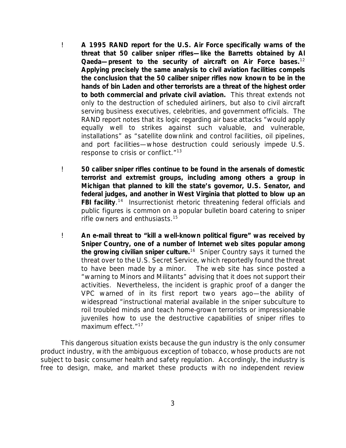- ! *A 1995 RAND report for the U.S. Air Force specifically warns of the threat that 50 caliber sniper rifles—like the Barretts obtained by Al Qaeda—present to the security of aircraft on Air Force bases.*<sup>12</sup> *Applying precisely the same analysis to civil aviation facilities compels the conclusion that the 50 caliber sniper rifles now known to be in the hands of bin Laden and other terrorists are a threat of the highest order to both commercial and private civil aviation.* This threat extends not only to the destruction of scheduled airliners, but also to civil aircraft serving business executives, celebrities, and government officials. The RAND report notes that its logic regarding air base attacks "would apply equally well to strikes against such valuable, and vulnerable, installations" as "satellite downlink and control facilities, oil pipelines, and port facilities—whose destruction could seriously impede U.S. response to crisis or conflict."<sup>13</sup>
- ! *50 caliber sniper rifles continue to be found in the arsenals of domestic terrorist and extremist groups, including among others a group in Michigan that planned to kill the state's governor, U.S. Senator, and federal judges, and another in West Virginia that plotted to blow up an* **FBI facility**.<sup>14</sup> Insurrectionist rhetoric threatening federal officials and public figures is common on a popular bulletin board catering to sniper rifle owners and enthusiasts.<sup>15</sup>
- ! *An e-mail threat to "kill a well-known political figure" was received by Sniper Country, one of a number of Internet web sites popular among the growing civilian sniper culture.*<sup>16</sup> Sniper Country says it turned the threat over to the U.S. Secret Service, which reportedly found the threat to have been made by a minor. The web site has since posted a "warning to Minors and Militants" advising that it does not support their activities. Nevertheless, the incident is graphic proof of a danger the VPC warned of in its first report two years ago—the ability of widespread "instructional material available in the sniper subculture to roil troubled minds and teach home-grown terrorists or impressionable juveniles how to use the destructive capabilities of sniper rifles to maximum effect."<sup>17</sup>

This dangerous situation exists because the gun industry is the only consumer product industry, with the ambiguous exception of tobacco, whose products are not subject to basic consumer health and safety regulation. Accordingly, the industry is free to design, make, and market these products with no independent review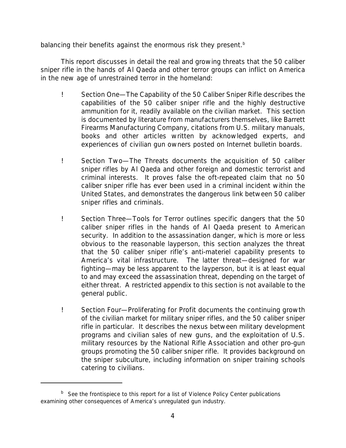balancing their benefits against the enormous risk they present.<sup>b</sup>

This report discusses in detail the real and growing threats that the 50 caliber sniper rifle in the hands of Al Qaeda and other terror groups can inflict on America in the new age of unrestrained terror in the homeland:

- ! *Section One—The Capability of the 50 Caliber Sniper Rifle* describes the capabilities of the 50 caliber sniper rifle and the highly destructive ammunition for it, readily available on the civilian market. This section is documented by literature from manufacturers themselves, like Barrett Firearms Manufacturing Company, citations from U.S. military manuals, books and other articles written by acknowledged experts, and experiences of civilian gun owners posted on Internet bulletin boards.
- ! *Section Two—The Threats* documents the acquisition of 50 caliber sniper rifles by Al Qaeda and other foreign and domestic terrorist and criminal interests. It proves false the oft-repeated claim that no 50 caliber sniper rifle has ever been used in a criminal incident within the United States, and demonstrates the dangerous link between 50 caliber sniper rifles and criminals.
- ! *Section Three—Tools for Terror* outlines specific dangers that the 50 caliber sniper rifles in the hands of Al Qaeda present to American security. In addition to the assassination danger, which is more or less obvious to the reasonable layperson, this section analyzes the threat that the 50 caliber sniper rifle's anti-materiel capability presents to America's vital infrastructure. The latter threat—designed for war fighting—may be less apparent to the layperson, but it is at least equal to and may exceed the assassination threat, depending on the target of either threat. A restricted appendix to this section is not available to the general public.
- ! *Section Four—Proliferating for Profit* documents the continuing growth of the civilian market for military sniper rifles, and the 50 caliber sniper rifle in particular. It describes the nexus between military development programs and civilian sales of new guns, and the exploitation of U.S. military resources by the National Rifle Association and other pro-gun groups promoting the 50 caliber sniper rifle. It provides background on the sniper subculture, including information on sniper training schools catering to civilians.

<sup>&</sup>lt;sup>b</sup> See the frontispiece to this report for a list of Violence Policy Center publications examining other consequences of America's unregulated gun industry.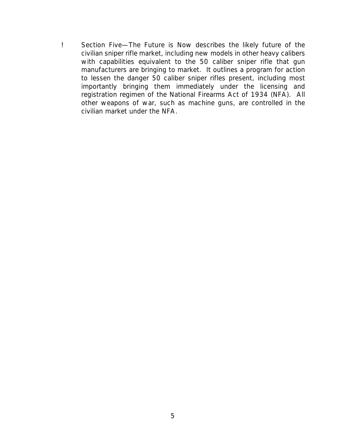! *Section Five—The Future is Now* describes the likely future of the civilian sniper rifle market, including new models in other heavy calibers with capabilities equivalent to the 50 caliber sniper rifle that gun manufacturers are bringing to market. It outlines a program for action to lessen the danger 50 caliber sniper rifles present, including most importantly bringing them immediately under the licensing and registration regimen of the National Firearms Act of 1934 (NFA). All other weapons of war, such as machine guns, are controlled in the civilian market under the NFA.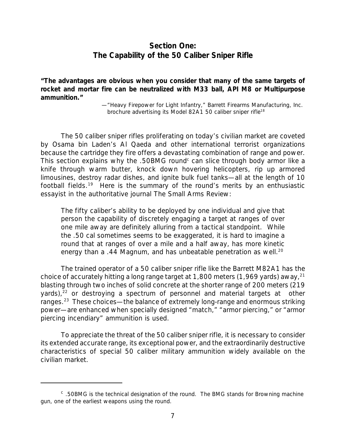# *Section One: The Capability of the 50 Caliber Sniper Rifle*

**"The advantages are obvious when you consider that many of the same targets of rocket and mortar fire can be neutralized with M33 ball, API M8 or Multipurpose ammunition."**

> —"Heavy Firepower for Light Infantry," Barrett Firearms Manufacturing, Inc. brochure advertising its Model 82A1 50 caliber sniper rifle<sup>18</sup>

The 50 caliber sniper rifles proliferating on today's civilian market are coveted by Osama bin Laden's Al Qaeda and other international terrorist organizations because the cartridge they fire offers a devastating combination of range and power. This section explains why the .50BMG round<sup>c</sup> can slice through body armor like a knife through warm butter, knock down hovering helicopters, rip up armored limousines, destroy radar dishes, and ignite bulk fuel tanks—all at the length of 10 football fields.<sup>19</sup> Here is the summary of the round's merits by an enthusiastic essayist in the authoritative journal *The Small Arms Review*:

The fifty caliber's ability to be deployed by one individual and give that person the capability of discretely engaging a target at ranges of over one mile away are definitely alluring from a tactical standpoint. While the .50 cal sometimes seems to be exaggerated, it is hard to imagine a round that at ranges of over a mile and a half away, has more kinetic energy than a .44 Magnum, and has unbeatable penetration as well.<sup>20</sup>

The trained operator of a 50 caliber sniper rifle like the Barrett M82A1 has the choice of accurately hitting a long range target at 1,800 meters  $(1,969 \text{ yards})$  away,<sup>21</sup> blasting through two inches of solid concrete at the shorter range of 200 meters (219 yards), $22$  or destroying a spectrum of personnel and material targets at other ranges.<sup>23</sup> These choices—the balance of extremely long-range and enormous striking power—are enhanced when specially designed "match," "armor piercing," or "armor piercing incendiary" ammunition is used.

To appreciate the threat of the 50 caliber sniper rifle, it is necessary to consider its extended accurate range, its exceptional power, and the extraordinarily destructive characteristics of special 50 caliber military ammunition widely available on the civilian market.

 $\textdegree$  .50BMG is the technical designation of the round. The BMG stands for Browning machine gun, one of the earliest weapons using the round.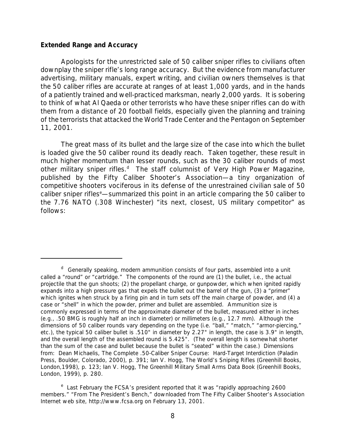#### *Extended Range and Accuracy*

Apologists for the unrestricted sale of 50 caliber sniper rifles to civilians often downplay the sniper rifle's long range accuracy. But the evidence from manufacturer advertising, military manuals, expert writing, and civilian owners themselves is that the 50 caliber rifles are accurate at ranges of at least 1,000 yards, and in the hands of a patiently trained and well-practiced marksman, nearly 2,000 yards. It is sobering to think of what Al Qaeda or other terrorists who have these sniper rifles can do with them from a distance of *20 football fields*, especially given the planning and training of the terrorists that attacked the World Trade Center and the Pentagon on September 11, 2001.

The great mass of its bullet and the large size of the case into which the bullet is loaded give the 50 caliber round its deadly reach. Taken together, these result in much higher momentum than lesser rounds, such as the 30 caliber rounds of most other military sniper rifles.<sup>d</sup> The staff columnist of *Very High Power Magazine*, published by the Fifty Caliber Shooter's Association—a tiny organization of competitive shooters vociferous in its defense of the unrestrained civilian sale of 50 caliber sniper rifles<sup>e</sup>—summarized this point in an article comparing the 50 caliber to the 7.76 NATO (.308 Winchester) "its next, closest, US military competitor" as follows:

<sup>&</sup>lt;sup>d</sup> Generally speaking, modern ammunition consists of four parts, assembled into a unit called a "round" or "cartridge." The components of the round are (1) the bullet, i.e., the actual projectile that the gun shoots; (2) the propellant charge, or gunpowder, which when ignited rapidly expands into a high pressure gas that expels the bullet out the barrel of the gun, (3) a "primer" which ignites when struck by a firing pin and in turn sets off the main charge of powder, and (4) a case or "shell" in which the powder, primer and bullet are assembled. Ammunition size is commonly expressed in terms of the approximate diameter of the bullet, measured either in inches (e.g., .50 BMG is roughly half an inch in diameter) or millimeters (e.g., 12.7 mm). Although the dimensions of 50 caliber rounds vary depending on the type (i.e. "ball," "match," "armor-piercing," etc.), the typical 50 caliber bullet is .510" in diameter by 2.27" in length, the case is 3.9" in length, and the overall length of the assembled round is 5.425". (The overall length is somewhat shorter than the sum of the case and bullet because the bullet is "seated" within the case.) Dimensions from: Dean Michaelis, *The Complete .50-Caliber Sniper Course: Hard-Target Interdiction* (Paladin Press, Boulder, Colorado, 2000), p. 391; Ian V. Hogg, *The World's Sniping Rifles* (Greenhill Books, London,1998), p. 123; Ian V. Hogg, *The Greenhill Military Small Arms Data Book* (Greenhill Books, London, 1999), p. 280.

<sup>&</sup>lt;sup>e</sup> Last February the FCSA's president reported that it was "rapidly approaching 2600 members." "From The President's Bench," downloaded from The Fifty Caliber Shooter's Association Internet web site, http://www.fcsa.org on February 13, 2001.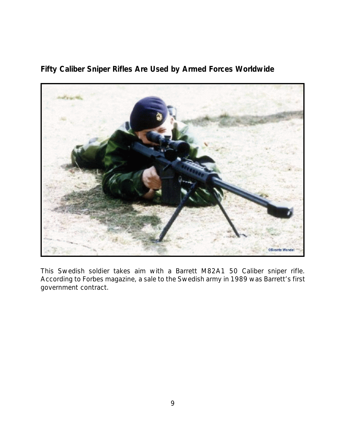

**Fifty Caliber Sniper Rifles Are Used by Armed Forces Worldwide**

*This Swedish soldier takes aim with a Barrett M82A1 50 Caliber sniper rifle. According to Forbes magazine, a sale to the Swedish army in 1989 was Barrett's first government contract.*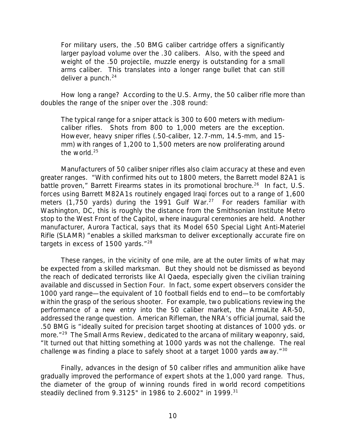For military users, the .50 BMG caliber cartridge offers a significantly larger payload volume over the .30 calibers. Also, with the speed and weight of the .50 projectile, muzzle energy is outstanding for a small arms caliber. This translates into a longer range bullet that can still deliver a punch. $24$ 

How long a range? According to the U.S. Army, the 50 caliber rifle more than doubles the range of the sniper over the .308 round:

The typical range for a sniper attack is 300 to 600 meters with mediumcaliber rifles. Shots from 800 to 1,000 meters are the exception. However, heavy sniper rifles (.50-caliber, 12.7-mm, 14.5-mm, and 15 mm) with ranges of 1,200 to 1,500 meters are now proliferating around the world.<sup>25</sup>

Manufacturers of 50 caliber sniper rifles also claim accuracy at these and even greater ranges. "With confirmed hits out to 1800 meters, the Barrett model 82A1 is battle proven," Barrett Firearms states in its promotional brochure.<sup>26</sup> In fact, U.S. forces using Barrett M82A1s routinely engaged Iraqi forces out to a range of 1,600 meters (1,750 yards) during the 1991 Gulf War.<sup>27</sup> For readers familiar with Washington, DC, this is roughly the distance from the Smithsonian Institute Metro stop to the West Front of the Capitol, where inaugural ceremonies are held. Another manufacturer, Aurora Tactical, says that its Model 650 Special Light Anti-Materiel Rifle (SLAMR) "enables a skilled marksman to deliver exceptionally accurate fire on targets in excess of 1500 yards."<sup>28</sup>

These ranges, in the vicinity of one mile, are at the outer limits of what may be expected from a skilled marksman. But they should not be dismissed as beyond the reach of dedicated terrorists like Al Qaeda, especially given the civilian training available and discussed in Section Four. In fact, some expert observers consider the 1000 yard range—the equivalent of 10 football fields end to end—to be comfortably within the grasp of the serious shooter. For example, two publications reviewing the performance of a new entry into the 50 caliber market, the ArmaLite AR-50, addressed the range question. *American Rifleman*, the NRA's official journal, said the .50 BMG is "ideally suited for precision target shooting at distances of 1000 yds. or more."<sup>29</sup> *The Small Arms Review*, dedicated to the arcana of military weaponry, said, "It turned out that hitting something at 1000 yards was not the challenge. The *real* challenge was finding a place to safely *shoot* at a target 1000 yards away."<sup>30</sup>

Finally, advances in the design of 50 caliber rifles and ammunition alike have gradually improved the performance of expert shots at the 1,000 yard range. Thus, the diameter of the group of winning rounds fired in world record competitions steadily declined from 9.3125" in 1986 to 2.6002" in 1999.31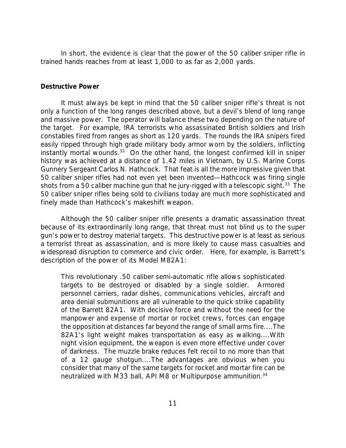In short, the evidence is clear that the power of the 50 caliber sniper rifle in trained hands reaches from at least 1,000 to as far as 2,000 yards.

#### *Destructive Power*

It must always be kept in mind that the 50 caliber sniper rifle's threat is not only a function of the long ranges described above, but a devil's blend of long range and massive power. The operator will balance these two depending on the nature of the target. For example, IRA terrorists who assassinated British soldiers and Irish constables fired from ranges as short as 120 yards. The rounds the IRA snipers fired easily ripped through high grade military body armor worn by the soldiers, inflicting instantly mortal wounds.<sup>32</sup> On the other hand, the longest confirmed kill in sniper history was achieved at a distance of 1.42 miles in Vietnam, by U.S. Marine Corps Gunnery Sergeant Carlos N. Hathcock. That feat is all the more impressive given that 50 caliber sniper rifles had not even yet been invented—Hathcock was firing single shots from a 50 caliber machine gun that he jury-rigged with a telescopic sight.<sup>33</sup> The 50 caliber sniper rifles being sold to civilians today are much more sophisticated and finely made than Hathcock's makeshift weapon.

Although the 50 caliber sniper rifle presents a dramatic assassination threat because of its extraordinarily long range, that threat must not blind us to the super gun's power to destroy material targets. This destructive power is at least as serious a terrorist threat as assassination, and is more likely to cause mass casualties and widespread disruption to commerce and civic order. Here, for example, is Barrett's description of the power of its Model M82A1:

This revolutionary .50 caliber semi-automatic rifle allows sophisticated targets to be destroyed or disabled by a single soldier. Armored personnel carriers, radar dishes, communications vehicles, aircraft and area denial submunitions are all vulnerable to the quick strike capability of the Barrett 82A1. With decisive force and without the need for the manpower and expense of mortar or rocket crews, forces can engage the opposition at distances far beyond the range of small arms fire....The 82A1's light weight makes transportation as easy as walking....With night vision equipment, the weapon is even more effective under cover of darkness. The muzzle brake reduces felt recoil to no more than that of a 12 gauge shotgun....The advantages are obvious when you consider that many of the same targets for rocket and mortar fire can be neutralized with M33 ball, API M8 or Multipurpose ammunition.<sup>34</sup>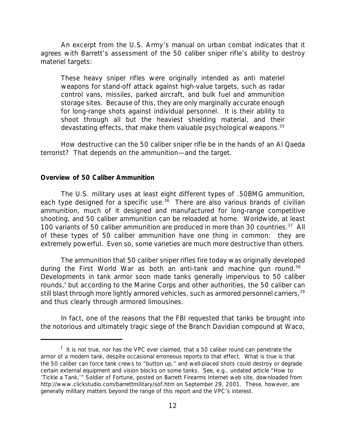An excerpt from the U.S. Army's manual on urban combat indicates that it agrees with Barrett's assessment of the 50 caliber sniper rifle's ability to destroy materiel targets:

These heavy sniper rifles were originally intended as anti materiel weapons for stand-off attack against high-value targets, such as radar control vans, missiles, parked aircraft, and bulk fuel and ammunition storage sites. Because of this, they are only marginally accurate enough for long-range shots against individual personnel. It is their ability to shoot through all but the heaviest shielding material, and their devastating effects, that make them valuable psychological weapons.<sup>35</sup>

How destructive can the 50 caliber sniper rifle be in the hands of an Al Qaeda terrorist? That depends on the ammunition—and the target.

#### *Overview of 50 Caliber Ammunition*

The U.S. military uses at least eight different types of .50BMG ammunition, each type designed for a specific use. $36$  There are also various brands of civilian ammunition, much of it designed and manufactured for long-range competitive shooting, and 50 caliber ammunition can be reloaded at home. Worldwide, at least 100 variants of 50 caliber ammunition are produced in more than 30 countries.<sup>37</sup> All of these types of 50 caliber ammunition have one thing in common: they are extremely powerful. Even so, some varieties are much more destructive than others.

The ammunition that 50 caliber sniper rifles fire today was originally developed during the First World War as both an anti-tank and machine gun round.<sup>38</sup> Developments in tank armor soon made tanks generally impervious to 50 caliber rounds,<sup>f</sup> but according to the Marine Corps and other authorities, the 50 caliber can still blast through more lightly armored vehicles, such as armored personnel carriers,<sup>39</sup> and thus clearly through armored limousines.

In fact, one of the reasons that the FBI requested that tanks be brought into the notorious and ultimately tragic siege of the Branch Davidian compound at Waco,

<sup>&</sup>lt;sup>f</sup> It is not true, nor has the VPC ever claimed, that a 50 caliber round can penetrate the armor of a modern tank, despite occasional erroneous reports to that effect. What is true is that the 50 caliber can force tank crews to "button up," and well-placed shots could destroy or degrade certain external equipment and vision blocks on some tanks. See, e.g., undated article "How to 'Tickle a Tank,'" *Soldier of Fortune*, posted on Barrett Firearms Internet web site, downloaded from http://www.clickstudio.com/barrettmilitary/sof.htm on September 29, 2001. These, however, are generally military matters beyond the range of this report and the VPC's interest.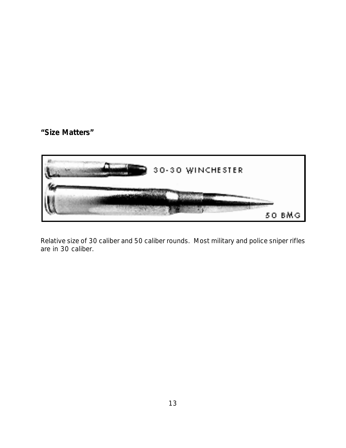**"Size Matters"**



*Relative size of 30 caliber and 50 caliber rounds. Most military and police sniper rifles are in 30 caliber.*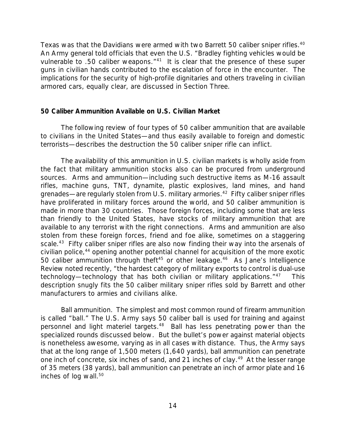Texas was that the Davidians were armed with two Barrett 50 caliber sniper rifles.<sup>40</sup> An Army general told officials that even the U.S. "Bradley fighting vehicles would be vulnerable to .50 caliber weapons."<sup>41</sup> It is clear that the presence of these super guns in civilian hands contributed to the escalation of force in the encounter. The implications for the security of high-profile dignitaries and others traveling in civilian armored cars, equally clear, are discussed in Section Three.

#### *50 Caliber Ammunition Available on U.S. Civilian Market*

The following review of four types of 50 caliber ammunition that are available to civilians in the United States—and thus easily available to foreign and domestic terrorists—describes the destruction the 50 caliber sniper rifle can inflict.

The availability of this ammunition in U.S. civilian markets is wholly aside from the fact that military ammunition stocks also can be procured from underground sources. Arms and ammunition—including such destructive items as M-16 assault rifles, machine guns, TNT, dynamite, plastic explosives, land mines, and hand grenades—are regularly stolen from U.S. military armories.<sup>42</sup> Fifty caliber sniper rifles have proliferated in military forces around the world, and 50 caliber ammunition is made in more than 30 countries. Those foreign forces, including some that are less than friendly to the United States, have stocks of military ammunition that are available to any terrorist with the right connections. Arms and ammunition are also stolen from these foreign forces, friend and foe alike, sometimes on a staggering scale.<sup>43</sup> Fifty caliber sniper rifles are also now finding their way into the arsenals of civilian police,<sup>44</sup> opening another potential channel for acquisition of the more exotic 50 caliber ammunition through theft<sup>45</sup> or other leakage.<sup>46</sup> As *Jane's Intelligence Review* noted recently, "the hardest category of military exports to control is dual-use technology—technology that has both civilian or military applications."<sup>47</sup> This description snugly fits the 50 caliber military sniper rifles sold by Barrett and other manufacturers to armies and civilians alike.

*Ball ammunition.* The simplest and most common round of firearm ammunition is called "ball." The U.S. Army says 50 caliber ball is used for training and against personnel and light materiel targets.<sup>48</sup> Ball has less penetrating power than the specialized rounds discussed below. But the bullet's power against material objects is nonetheless awesome, varying as in all cases with distance. Thus, the Army says that at the long range of 1,500 meters (1,640 yards), ball ammunition can penetrate one inch of concrete, six inches of sand, and 21 inches of clay.<sup>49</sup> At the lesser range of 35 meters (38 yards), ball ammunition can penetrate an inch of armor plate and 16 inches of log wall.<sup>50</sup>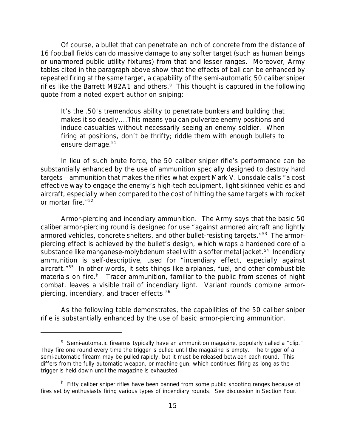Of course, a bullet that can penetrate an inch of concrete from the distance of 16 football fields can do massive damage to any softer target (such as human beings or unarmored public utility fixtures) from that and lesser ranges. Moreover, Army tables cited in the paragraph above show that the effects of ball can be enhanced by repeated firing at the same target, a capability of the semi-automatic 50 caliber sniper rifles like the Barrett M82A1 and others.<sup>g</sup> This thought is captured in the following quote from a noted expert author on sniping:

It's the .50's tremendous ability to penetrate bunkers and building that makes it so deadly....This means you can pulverize enemy positions and induce casualties without necessarily seeing an enemy soldier. When firing at positions, don't be thrifty; riddle them with enough bullets to ensure damage.<sup>51</sup>

In lieu of such brute force, the 50 caliber sniper rifle's performance can be substantially enhanced by the use of ammunition specially designed to destroy hard targets—ammunition that makes the rifles what expert Mark V. Lonsdale calls "a cost effective way to engage the enemy's high-tech equipment, light skinned vehicles and aircraft, especially when compared to the cost of hitting the same targets with rocket or mortar fire."<sup>52</sup>

*Armor-piercing and incendiary ammunition.* The Army says that the basic 50 caliber armor-piercing round is designed for use "against armored aircraft and lightly armored vehicles, concrete shelters, and other bullet-resisting targets."<sup>53</sup> The armorpiercing effect is achieved by the bullet's design, which wraps a hardened core of a substance like manganese-molybdenum steel with a softer metal jacket.<sup>54</sup> Incendiary ammunition is self-descriptive, used for "incendiary effect, especially against aircraft."<sup>55</sup> In other words, it sets things like airplanes, fuel, and other combustible materials on fire.<sup>h</sup> Tracer ammunition, familiar to the public from scenes of night combat, leaves a visible trail of incendiary light. Variant rounds combine armorpiercing, incendiary, and tracer effects.<sup>56</sup>

As the following table demonstrates, the capabilities of the 50 caliber sniper rifle is substantially enhanced by the use of basic armor-piercing ammunition.

<sup>&</sup>lt;sup>g</sup> Semi-automatic firearms typically have an ammunition magazine, popularly called a "clip." They fire one round every time the trigger is pulled until the magazine is empty. The trigger of a semi-automatic firearm may be pulled rapidly, but it must be released between each round. This differs from the fully automatic weapon, or machine gun, which continues firing as long as the trigger is held down until the magazine is exhausted.

<sup>&</sup>lt;sup>h</sup> Fifty caliber sniper rifles have been banned from some public shooting ranges because of fires set by enthusiasts firing various types of incendiary rounds. See discussion in Section Four.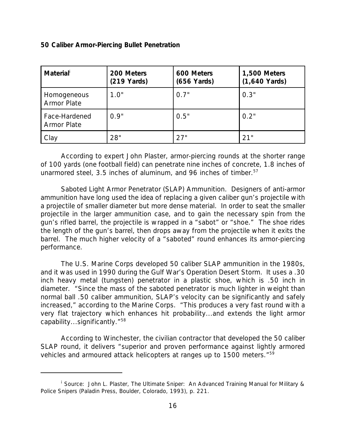#### *50 Caliber Armor-Piercing Bullet Penetration*

| <b>Material</b>                     | 200 Meters<br>$(219$ Yards) | 600 Meters<br>$(656$ Yards) | 1,500 Meters<br>$(1,640$ Yards) |
|-------------------------------------|-----------------------------|-----------------------------|---------------------------------|
| Homogeneous<br><b>Armor Plate</b>   | 1.0"                        | 0.7"                        | 0.3"                            |
| Face-Hardened<br><b>Armor Plate</b> | 0.9"                        | 0.5"                        | 0.2"                            |
| Clay                                | 28"                         | 27"                         | 21"                             |

According to expert John Plaster, armor-piercing rounds at the shorter range of 100 yards (one football field) can penetrate nine inches of concrete, 1.8 inches of unarmored steel, 3.5 inches of aluminum, and 96 inches of timber.<sup>57</sup>

*Saboted Light Armor Penetrator (SLAP) Ammunition.* Designers of anti-armor ammunition have long used the idea of replacing a given caliber gun's projectile with a projectile of smaller diameter but more dense material. In order to seat the smaller projectile in the larger ammunition case, and to gain the necessary spin from the gun's rifled barrel, the projectile is wrapped in a "sabot" or "shoe." The shoe rides the length of the gun's barrel, then drops away from the projectile when it exits the barrel. The much higher velocity of a "saboted" round enhances its armor-piercing performance.

The U.S. Marine Corps developed 50 caliber SLAP ammunition in the 1980s, and it was used in 1990 during the Gulf War's Operation Desert Storm. It uses a .30 inch heavy metal (tungsten) penetrator in a plastic shoe, which is .50 inch in diameter. "Since the mass of the saboted penetrator is much lighter in weight than normal ball .50 caliber ammunition, SLAP's velocity can be significantly and safely increased," according to the Marine Corps. "This produces a very fast round with a very flat trajectory which enhances hit probability...and extends the light armor capability...significantly."<sup>58</sup>

According to Winchester, the civilian contractor that developed the 50 caliber SLAP round, it delivers "superior and proven performance against lightly armored vehicles and armoured attack helicopters at ranges up to 1500 meters."59

<sup>i</sup> Source: John L. Plaster, *The Ultimate Sniper: An Advanced Training Manual for Military & Police Snipers* (Paladin Press, Boulder, Colorado, 1993), p. 221.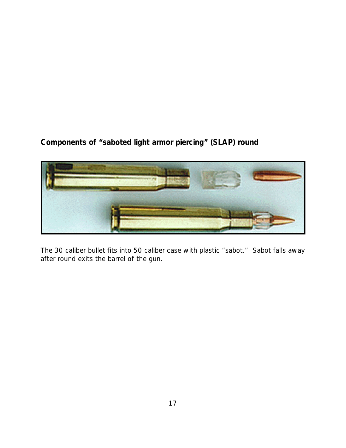**Components of "saboted light armor piercing" (SLAP) round**



*The 30 caliber bullet fits into 50 caliber case with plastic "sabot." Sabot falls away after round exits the barrel of the gun.*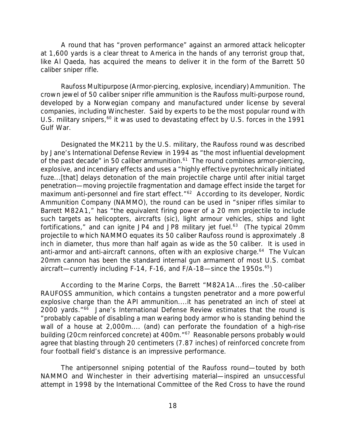A round that has "proven performance" against an armored attack helicopter at 1,600 yards is a clear threat to America in the hands of any terrorist group that, like Al Qaeda, has acquired the means to deliver it in the form of the Barrett 50 caliber sniper rifle.

*Raufoss Multipurpose (Armor-piercing, explosive, incendiary) Ammunition.* The crown jewel of 50 caliber sniper rifle ammunition is the Raufoss multi-purpose round, developed by a Norwegian company and manufactured under license by several companies, including Winchester. Said by experts to be the most popular round with U.S. military snipers, $60$  it was used to devastating effect by U.S. forces in the 1991 Gulf War.

Designated the MK211 by the U.S. military, the Raufoss round was described by Jane's *International Defense Review* in 1994 as "the most influential development of the past decade" in 50 caliber ammunition. $61$  The round combines armor-piercing, explosive, and incendiary effects and uses a "highly effective pyrotechnically initiated fuze...[that] delays detonation of the main projectile charge until after initial target penetration—moving projectile fragmentation and damage effect inside the target for maximum anti-personnel and fire start effect."<sup>62</sup> According to its developer, Nordic Ammunition Company (NAMMO), the round can be used in "sniper rifles similar to Barrett M82A1," has "the equivalent firing power of a 20 mm projectile to include such targets as helicopters, aircrafts (sic), light armour vehicles, ships and light fortifications," and can ignite JP4 and JP8 military jet fuel.<sup>63</sup> (The typical 20mm projectile to which NAMMO equates its 50 caliber Raufoss round is approximately .8 inch in diameter, thus more than half again as wide as the 50 caliber. It is used in anti-armor and anti-aircraft cannons, often with an explosive charge.<sup>64</sup> The Vulcan 20mm cannon has been the standard internal gun armament of most U.S. combat aircraft—currently including F-14, F-16, and F/A-18—since the 1950s. $65$ )

According to the Marine Corps, the Barrett "M82A1A...fires the .50-caliber RAUFOSS ammunition, which contains a tungsten penetrator and a more powerful explosive charge than the API ammunition....it has penetrated an inch of steel at 2000 yards."<sup>66</sup> Jane's *International Defense Review* estimates that the round is "probably capable of disabling a man wearing body armor who is standing behind the wall of a house at 2,000m.... (and) can perforate the foundation of a high-rise building (20cm reinforced concrete) at 400m."<sup>67</sup> Reasonable persons probably would agree that blasting through 20 centimeters (7.87 inches) of reinforced concrete from four football field's distance is an impressive performance.

The antipersonnel sniping potential of the Raufoss round—touted by both NAMMO and Winchester in their advertising material—inspired an unsuccessful attempt in 1998 by the International Committee of the Red Cross to have the round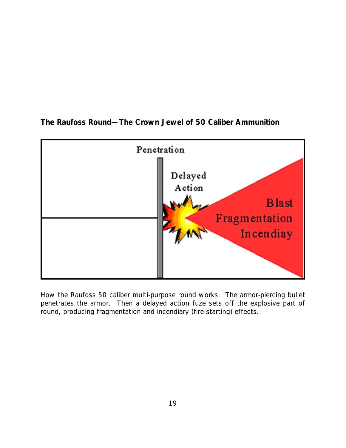



*How the Raufoss 50 caliber multi-purpose round works. The armor-piercing bullet penetrates the armor. Then a delayed action fuze sets off the explosive part of round, producing fragmentation and incendiary (fire-starting) effects.*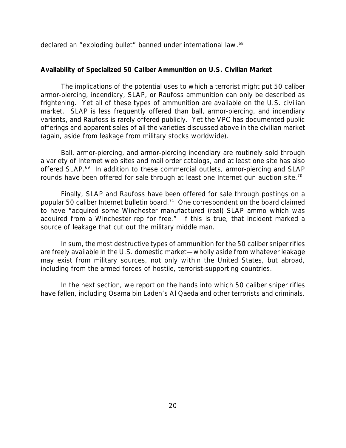declared an "exploding bullet" banned under international law.<sup>68</sup>

#### *Availability of Specialized 50 Caliber Ammunition on U.S. Civilian Market*

The implications of the potential uses to which a terrorist might put 50 caliber armor-piercing, incendiary, SLAP, or Raufoss ammunition can only be described as frightening. Yet all of these types of ammunition are available on the U.S. civilian market. SLAP is less frequently offered than ball, armor-piercing, and incendiary variants, and Raufoss is rarely offered publicly. Yet the VPC has documented public offerings and apparent sales of all the varieties discussed above in the civilian market (again, aside from leakage from military stocks worldwide).

Ball, armor-piercing, and armor-piercing incendiary are routinely sold through a variety of Internet web sites and mail order catalogs, and at least one site has also offered SLAP.<sup>69</sup> In addition to these commercial outlets, armor-piercing and SLAP rounds have been offered for sale through at least one Internet gun auction site.<sup>70</sup>

Finally, SLAP and Raufoss have been offered for sale through postings on a popular 50 caliber Internet bulletin board.<sup>71</sup> One correspondent on the board claimed to have "acquired some Winchester manufactured (real) SLAP ammo which was acquired from a Winchester rep for free." If this is true, that incident marked a source of leakage that cut out the military middle man.

In sum, the most destructive types of ammunition for the 50 caliber sniper rifles are freely available in the U.S. domestic market—wholly aside from whatever leakage may exist from military sources, not only within the United States, but abroad, including from the armed forces of hostile, terrorist-supporting countries.

In the next section, we report on the hands into which 50 caliber sniper rifles have fallen, including Osama bin Laden's Al Qaeda and other terrorists and criminals.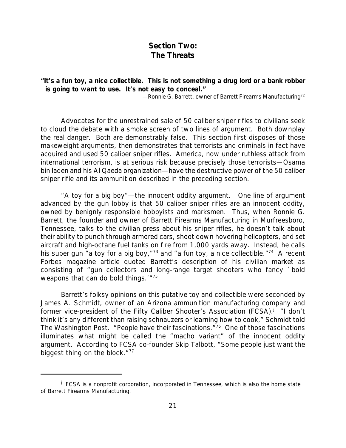# *Section Two: The Threats*

## **"It's a fun toy, a nice collectible. This is not something a drug lord or a bank robber is going to want to use. It's not easy to conceal."**

—Ronnie G. Barrett, owner of Barrett Firearms Manufacturing<sup>72</sup>

Advocates for the unrestrained sale of 50 caliber sniper rifles to civilians seek to cloud the debate with a smoke screen of two lines of argument. Both downplay the real danger. Both are demonstrably false. This section first disposes of those makeweight arguments, then demonstrates that terrorists and criminals in fact have acquired and used 50 caliber sniper rifles. America, now under ruthless attack from international terrorism, is at serious risk because precisely those terrorists—Osama bin laden and his Al Qaeda organization—have the destructive power of the 50 caliber sniper rifle and its ammunition described in the preceding section.

*"A toy for a big boy"—the innocent oddity argument.* One line of argument advanced by the gun lobby is that 50 caliber sniper rifles are an innocent oddity, owned by benignly responsible hobbyists and marksmen. Thus, when Ronnie G. Barrett, the founder and owner of Barrett Firearms Manufacturing in Murfreesboro, Tennessee, talks to the civilian press about his sniper rifles, he doesn't talk about their ability to punch through armored cars, shoot down hovering helicopters, and set aircraft and high-octane fuel tanks on fire from 1,000 yards away. Instead, he calls his super gun "a toy for a big boy," $73$  and "a fun toy, a nice collectible." $74$  A recent *Forbes* magazine article quoted Barrett's description of his civilian market as consisting of "gun collectors and long-range target shooters who fancy `bold weapons that can do bold things.'"<sup>75</sup>

Barrett's folksy opinions on this putative toy and collectible were seconded by James A. Schmidt, owner of an Arizona ammunition manufacturing company and former vice-president of the Fifty Caliber Shooter's Association (FCSA).<sup>j</sup> "I don't think it's any different than raising schnauzers or learning how to cook," Schmidt told *The Washington Post*. "People have their fascinations."<sup>76</sup> One of those fascinations illuminates what might be called the "macho variant" of the innocent oddity argument. According to FCSA co-founder Skip Talbott, "Some people just want the biggest thing on the block."<sup>77</sup>

<sup>&</sup>lt;sup>j</sup> FCSA is a nonprofit corporation, incorporated in Tennessee, which is also the home state of Barrett Firearms Manufacturing.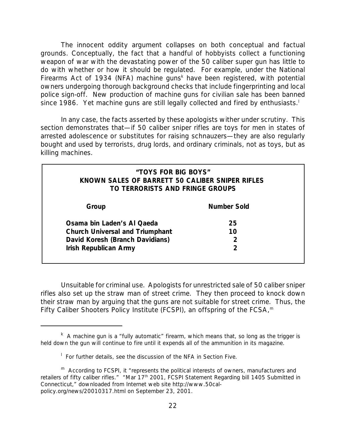The innocent oddity argument collapses on both conceptual and factual grounds. Conceptually, the fact that a handful of hobbyists collect a functioning weapon of war with the devastating power of the 50 caliber super gun has little to do with whether or how it should be regulated. For example, under the National Firearms Act of 1934 (NFA) machine guns<sup>k</sup> have been registered, with potential owners undergoing thorough background checks that include fingerprinting and local police sign-off. New production of machine guns for civilian sale has been banned since 1986. Yet machine guns are still legally collected and fired by enthusiasts.<sup>1</sup>

In any case, the facts asserted by these apologists wither under scrutiny. This section demonstrates that—if 50 caliber sniper rifles are toys for men in states of arrested adolescence or substitutes for raising schnauzers—they are also regularly bought and used by terrorists, drug lords, and ordinary criminals, not as toys, but as killing machines.

## *"TOYS FOR BIG BOYS" KNOWN SALES OF BARRETT 50 CALIBER SNIPER RIFLES TO TERRORISTS AND FRINGE GROUPS*

| Group                                  | Number Sold |  |
|----------------------------------------|-------------|--|
| Osama bin Laden's Al Qaeda             | 25          |  |
| <b>Church Universal and Triumphant</b> | 10          |  |
| David Koresh (Branch Davidians)        |             |  |
| <b>Irish Republican Army</b>           |             |  |

*Unsuitable for criminal use.* Apologists for unrestricted sale of 50 caliber sniper rifles also set up the straw man of street crime. They then proceed to knock down their straw man by arguing that the guns are not suitable for street crime. Thus, the Fifty Caliber Shooters Policy Institute (FCSPI), an offspring of the FCSA, $<sup>m</sup>$ </sup>

<sup>&</sup>lt;sup>k</sup> A machine gun is a "fully automatic" firearm, which means that, so long as the trigger is held down the gun will continue to fire until it expends all of the ammunition in its magazine.

<sup>&</sup>lt;sup>1</sup> For further details, see the discussion of the NFA in Section Five.

m According to FCSPI, it "represents the political interests of owners, manufacturers and retailers of fifty caliber rifles." "Mar 17<sup>th</sup> 2001, FCSPI Statement Regarding bill 1405 Submitted in Connecticut," downloaded from Internet web site http://www.50calpolicy.org/news/20010317.html on September 23, 2001.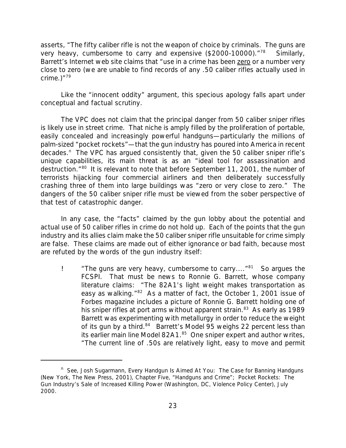asserts, "The fifty caliber rifle is not the weapon of choice by criminals. The guns are very heavy, cumbersome to carry and expensive  $(\$2000-10000)$ .<sup>"78</sup> Similarly, Barrett's Internet web site claims that "use in a crime has been zero or a number very close to zero (we are unable to find records of any .50 caliber rifles actually used in crime. $)^{n79}$ 

Like the "innocent oddity" argument, this specious apology falls apart under conceptual and factual scrutiny.

The VPC does not claim that the principal danger from 50 caliber sniper rifles is likely use in street crime. That niche is amply filled by the proliferation of portable, easily concealed and increasingly powerful handguns—particularly the millions of palm-sized "pocket rockets"—that the gun industry has poured into America in recent decades.<sup>n</sup> The VPC has argued consistently that, given the 50 caliber sniper rifle's unique capabilities, its main threat is as an "ideal tool for assassination and destruction."<sup>80</sup> It is relevant to note that before September 11, 2001, the number of terrorists hijacking four commercial airliners and then deliberately successfully crashing three of them into large buildings was "zero or very close to zero." The dangers of the 50 caliber sniper rifle must be viewed from the sober perspective of that test of catastrophic danger.

In any case, the "facts" claimed by the gun lobby about the potential and actual use of 50 caliber rifles in crime do not hold up. Each of the points that the gun industry and its allies claim make the 50 caliber sniper rifle unsuitable for crime simply are false. These claims are made out of either ignorance or bad faith, because most are refuted *by the words of the gun industry itself*:

! *"The guns are very heavy, cumbersome to carry...."*<sup>81</sup> So argues the FCSPI. That must be news to Ronnie G. Barrett, whose company literature claims: "The 82A1's light weight makes transportation as easy as walking."<sup>82</sup> As a matter of fact, the October 1, 2001 issue of *Forbes* magazine includes a picture of Ronnie G. Barrett holding one of his sniper rifles at port arms without apparent strain.<sup>83</sup> As early as 1989 Barrett was experimenting with metallurgy in order to reduce the weight of its gun by a third.<sup>84</sup> Barrett's Model 95 weighs 22 percent less than its earlier main line Model 82A1.<sup>85</sup> One sniper expert and author writes, "The current line of .50s are relatively light, easy to move and permit

<sup>&</sup>lt;sup>n</sup> See, Josh Sugarmann, *Every Handgun Is Aimed At You: The Case for Banning Handguns* (New York, The New Press, 2001), Chapter Five, "Handguns and Crime"; *Pocket Rockets: The Gun Industry's Sale of Increased Killing Power* (Washington, DC, Violence Policy Center), July 2000.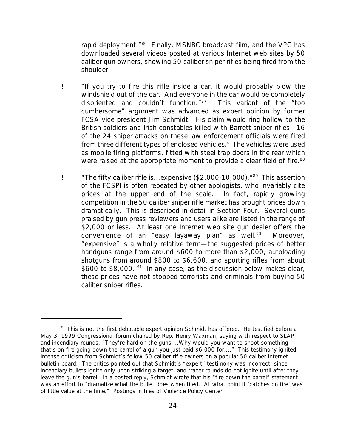rapid deployment."<sup>86</sup> Finally, MSNBC broadcast film, and the VPC has downloaded several videos posted at various Internet web sites by 50 caliber gun owners, showing 50 caliber sniper rifles being fired from the shoulder.

- ! *"If you try to fire this rifle inside a car, it would probably blow the windshield out of the car. And everyone in the car would be completely disoriented and couldn't function."<sup>87</sup>* This variant of the "too cumbersome" argument was advanced as expert opinion by former FCSA vice president Jim Schmidt. His claim would ring hollow to the British soldiers and Irish constables killed with Barrett sniper rifles—16 of the 24 sniper attacks on these law enforcement officials were fired from three different types of enclosed vehicles.<sup>o</sup> The vehicles were used as mobile firing platforms, fitted with steel trap doors in the rear which were raised at the appropriate moment to provide a clear field of fire.<sup>88</sup>
- ! *"The fifty caliber rifle is...expensive (\$2,000-10,000)."*<sup>89</sup> This assertion of the FCSPI is often repeated by other apologists, who invariably cite prices at the upper end of the scale. In fact, rapidly growing competition in the 50 caliber sniper rifle market has brought prices down dramatically. This is described in detail in Section Four. Several guns praised by gun press reviewers and users alike are listed in the range of \$2,000 or less. At least one Internet web site gun dealer offers the convenience of an "easy layaway plan" as well.<sup>90</sup> Moreover, "expensive" is a wholly relative term—the suggested prices of better handguns range from around \$600 to more than \$2,000, autoloading shotguns from around \$800 to \$6,600, and sporting rifles from about \$600 to \$8,000.<sup>91</sup> In any case, as the discussion below makes clear, these prices have not stopped terrorists and criminals from buying 50 caliber sniper rifles.

<sup>&</sup>lt;sup>o</sup> This is not the first debatable expert opinion Schmidt has offered. He testified before a May 3, 1999 Congressional forum chaired by Rep. Henry Waxman, saying with respect to SLAP and incendiary rounds, "They're hard on the guns....Why would you want to shoot something that's on fire going down the barrel of a gun you just paid \$6,000 for...." This testimony ignited intense criticism from Schmidt's fellow 50 caliber rifle owners on a popular 50 caliber Internet bulletin board. The critics pointed out that Schmidt's "expert" testimony was incorrect, since incendiary bullets ignite only upon striking a target, and tracer rounds do not ignite until after they leave the gun's barrel. In a posted reply, Schmidt wrote that his "fire down the barrel" statement was an effort to "dramatize what the bullet does when fired. At what point it 'catches on fire' was of little value at the time." *Postings in files of Violence Policy Center*.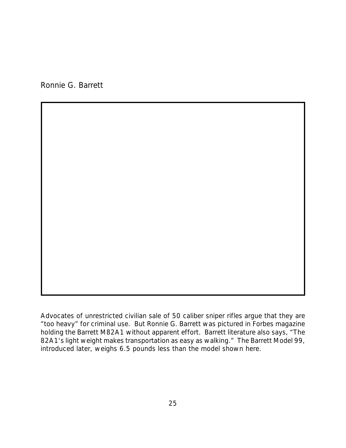Ronnie G. Barrett

*Advocates of unrestricted civilian sale of 50 caliber sniper rifles argue that they are "too heavy" for criminal use. But Ronnie G. Barrett was pictured in Forbes magazine holding the Barrett M82A1 without apparent effort. Barrett literature also says, "The 82A1's light weight makes transportation as easy as walking." The Barrett Model 99, introduced later, weighs 6.5 pounds less than the model shown here.*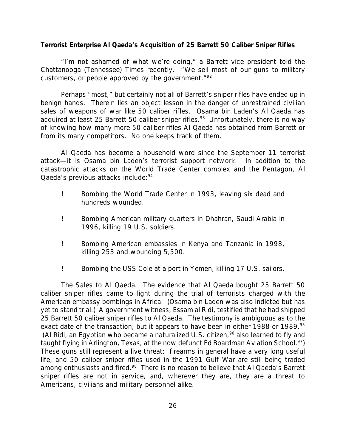## *Terrorist Enterprise Al Qaeda's Acquisition of 25 Barrett 50 Caliber Sniper Rifles*

"I'm not ashamed of what we're doing," a Barrett vice president told the *Chattanooga (Tennessee) Times* recently. "We sell most of our guns to military customers, or people approved by the government. $192$ 

Perhaps "most," but certainly not all of Barrett's sniper rifles have ended up in benign hands. Therein lies an object lesson in the danger of unrestrained civilian sales of weapons of war like 50 caliber rifles. Osama bin Laden's Al Qaeda has acquired at least 25 Barrett 50 caliber sniper rifles.<sup>93</sup> Unfortunately, there is no way of knowing how many more 50 caliber rifles Al Qaeda has obtained from Barrett or from its many competitors. No one keeps track of them.

Al Qaeda has become a household word since the September 11 terrorist attack—it is Osama bin Laden's terrorist support network. In addition to the catastrophic attacks on the World Trade Center complex and the Pentagon, Al Qaeda's previous attacks include:<sup>94</sup>

- ! Bombing the World Trade Center in 1993, leaving six dead and hundreds wounded.
- ! Bombing American military quarters in Dhahran, Saudi Arabia in 1996, killing 19 U.S. soldiers.
- ! Bombing American embassies in Kenya and Tanzania in 1998, killing 253 and wounding 5,500.
- ! Bombing the USS Cole at a port in Yemen, killing 17 U.S. sailors.

*The Sales to Al Qaeda.* The evidence that Al Qaeda bought 25 Barrett 50 caliber sniper rifles came to light during the trial of terrorists charged with the American embassy bombings in Africa. (Osama bin Laden was also indicted but has yet to stand trial.) A government witness, Essam al Ridi, testified that he had shipped 25 Barrett 50 caliber sniper rifles to Al Qaeda*.* The testimony is ambiguous as to the exact date of the transaction, but it appears to have been in either 1988 or 1989.<sup>95</sup> (Al Ridi, an Egyptian who became a naturalized U.S. citizen,<sup>96</sup> also learned to fly and taught flying in Arlington, Texas, at the now defunct Ed Boardman Aviation School.<sup>97</sup>) These guns still represent a live threat: firearms in general have a very long useful life, and 50 caliber sniper rifles used in the 1991 Gulf War are still being traded among enthusiasts and fired.<sup>98</sup> There is no reason to believe that Al Qaeda*'s* Barrett sniper rifles are not in service, and, wherever they are, they are a threat to Americans, civilians and military personnel alike.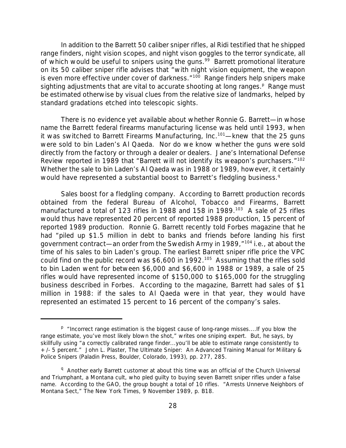In addition to the Barrett 50 caliber sniper rifles, al Ridi testified that he shipped range finders, night vision scopes, and night vison goggles to the terror syndicate, all of which would be useful to snipers using the guns.<sup>99</sup> Barrett promotional literature on its 50 caliber sniper rifle advises that "with night vision equipment, the weapon is even more effective under cover of darkness."<sup>100</sup> Range finders help snipers make sighting adjustments that are vital to accurate shooting at long ranges.<sup>p</sup> Range must be estimated otherwise by visual clues from the relative size of landmarks, helped by standard gradations etched into telescopic sights.

There is no evidence yet available about whether Ronnie G. Barrett—in whose name the Barrett federal firearms manufacturing license was held until 1993, when it was switched to Barrett Firearms Manufacturing, Inc.<sup>101</sup>—knew that the 25 guns were sold to bin Laden's Al Qaeda*.* Nor do we know whether the guns were sold directly from the factory or through a dealer or dealers. Jane's *International Defense Review* reported in 1989 that "Barrett will not identify its weapon's purchasers."<sup>102</sup> Whether the sale to bin Laden's Al Qaeda was in 1988 or 1989, however, it certainly would have represented a substantial boost to Barrett's fledgling business.<sup>q</sup>

*Sales boost for a fledgling company.* According to Barrett production records obtained from the federal Bureau of Alcohol, Tobacco and Firearms, Barrett manufactured a total of 123 rifles in 1988 and 158 in 1989.<sup>103</sup> A sale of 25 rifles would thus have represented 20 percent of reported 1988 production, 15 percent of reported 1989 production. Ronnie G. Barrett recently told *Forbes* magazine that he had "piled up \$1.5 million in debt to banks and friends before landing his first government contract—an order from the Swedish Army in 1989,"<sup>104</sup> i.e., at about the time of his sales to bin Laden's group. The earliest Barrett sniper rifle price the VPC could find on the public record was \$6,600 in 1992.<sup>105</sup> Assuming that the rifles sold to bin Laden went for between \$6,000 and \$6,600 in 1988 or 1989, a sale of 25 rifles would have represented income of \$150,000 to \$165,000 for the struggling business described in *Forbes*. According to the magazine, Barrett had sales of \$1 million in 1988: if the sales to Al Qaeda were in that year, they would have represented an estimated 15 percent to 16 percent of the company's sales.

<sup>&</sup>lt;sup>p</sup> "Incorrect range estimation is the biggest cause of long-range misses....If you blow the range estimate, you've most likely blown the shot," writes one sniping expert. But, he says, by skillfully using "a correctly calibrated range finder...you'll be able to estimate range consistently to +/- 5 percent." John L. Plaster, *The Ultimate Sniper: An Advanced Training Manual for Military & Police Snipers* (Paladin Press, Boulder, Colorado, 1993), pp. 277, 285.

<sup>&</sup>lt;sup>q</sup> Another early Barrett customer at about this time was an official of the Church Universal and Triumphant, a Montana cult, who pled guilty to buying seven Barrett sniper rifles under a false name. According to the GAO, the group bought a total of 10 rifles. "Arrests Unnerve Neighbors of Montana Sect," *The New York Times*, 9 November 1989, p. B18.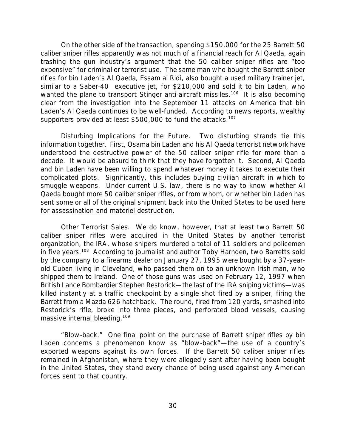On the other side of the transaction, spending \$150,000 for the 25 Barrett 50 caliber sniper rifles apparently was not much of a financial reach for Al Qaeda, again trashing the gun industry's argument that the 50 caliber sniper rifles are "too expensive" for criminal or terrorist use. The same man who bought the Barrett sniper rifles for bin Laden's Al Qaeda, Essam al Ridi, also bought a used military trainer jet, similar to a Saber-40 executive jet, for \$210,000 and sold it to bin Laden, who wanted the plane to transport Stinger anti-aircraft missiles.<sup>106</sup> It is also becoming clear from the investigation into the September 11 attacks on America that bin Laden's Al Qaeda continues to be well-funded. According to news reports, wealthy supporters provided at least \$500,000 to fund the attacks.<sup>107</sup>

*Disturbing Implications for the Future.* Two disturbing strands tie this information together. First, Osama bin Laden and his Al Qaeda terrorist network have understood the destructive power of the 50 caliber sniper rifle for more than a decade. It would be absurd to think that they have forgotten it. Second, Al Qaeda and bin Laden have been willing to spend whatever money it takes to execute their complicated plots. Significantly, this includes buying civilian aircraft in which to smuggle weapons. Under current U.S. law, there is no way to know whether Al Qaeda bought more 50 caliber sniper rifles, or from whom, or whether bin Laden has sent some or all of the original shipment back into the United States to be used here for assassination and materiel destruction.

*Other Terrorist Sales.* We do know, however, that at least two Barrett 50 caliber sniper rifles were acquired in the United States by another terrorist organization, the IRA, whose snipers murdered a total of 11 soldiers and policemen in five years.<sup>108</sup> According to journalist and author Toby Harnden, two Barretts sold by the company to a firearms dealer on January 27, 1995 were bought by a 37-yearold Cuban living in Cleveland, who passed them on to an unknown Irish man, who shipped them to Ireland. One of those guns was used on February 12, 1997 when British Lance Bombardier Stephen Restorick—the last of the IRA sniping victims—was killed instantly at a traffic checkpoint by a single shot fired by a sniper, firing the Barrett from a Mazda 626 hatchback. The round, fired from 120 yards, smashed into Restorick's rifle, broke into three pieces, and perforated blood vessels, causing massive internal bleeding.<sup>109</sup>

*"Blow-back."* One final point on the purchase of Barrett sniper rifles by bin Laden concerns a phenomenon know as "blow-back"—the use of a country's exported weapons against its own forces. If the Barrett 50 caliber sniper rifles remained in Afghanistan, where they were allegedly sent after having been bought in the United States, they stand every chance of being used against any American forces sent to that country.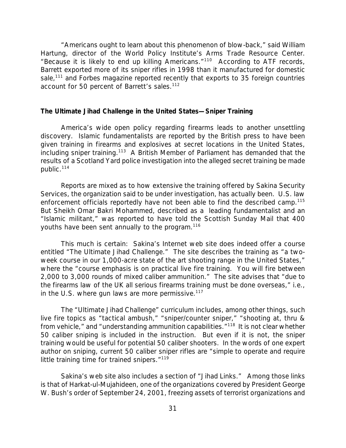"Americans ought to learn about this phenomenon of blow-back," said William Hartung, director of the World Policy Institute's Arms Trade Resource Center. "Because it is likely to end up killing Americans."<sup>110</sup> According to ATF records, Barrett exported more of its sniper rifles in 1998 than it manufactured for domestic sale,<sup>111</sup> and *Forbes* magazine reported recently that exports to 35 foreign countries account for 50 percent of Barrett's sales.<sup>112</sup>

#### *The Ultimate Jihad Challenge in the United States—Sniper Training*

America's wide open policy regarding firearms leads to another unsettling discovery. Islamic fundamentalists are reported by the British press to have been given training in firearms and explosives at secret locations in the United States, including sniper training.<sup>113</sup> A British Member of Parliament has demanded that the results of a Scotland Yard police investigation into the alleged secret training be made public.<sup>114</sup>

Reports are mixed as to how extensive the training offered by Sakina Security Services, the organization said to be under investigation, has actually been. U.S. law enforcement officials reportedly have not been able to find the described camp.<sup>115</sup> But Sheikh Omar Bakri Mohammed, described as a leading fundamentalist and an "Islamic militant," was reported to have told the Scottish *Sunday Mail* that 400 youths have been sent annually to the program.<sup>116</sup>

This much is certain: Sakina's Internet web site does indeed offer a course entitled "The Ultimate Jihad Challenge." The site describes the training as "a twoweek course in our 1,000-acre state of the art shooting range in the United States," where the "course emphasis is on practical live fire training. You will fire between 2,000 to 3,000 rounds of mixed caliber ammunition." The site advises that "due to the firearms law of the UK all serious firearms training must be done overseas," i.e., in the U.S. where gun laws are more permissive. $117$ 

The "Ultimate Jihad Challenge" curriculum includes, among other things, such live fire topics as "tactical ambush," "sniper/counter sniper," "shooting at, thru & from vehicle," and "understanding ammunition capabilities."<sup>118</sup> It is not clear whether 50 caliber sniping is included in the instruction. But even if it is not, the sniper training would be useful for potential 50 caliber shooters. In the words of one expert author on sniping, current 50 caliber sniper rifles are "simple to operate and require little training time for trained snipers."<sup>119</sup>

Sakina's web site also includes a section of "Jihad Links." Among those links is that of *Harkat-ul-Mujahideen*, one of the organizations covered by President George W. Bush's order of September 24, 2001, freezing assets of terrorist organizations and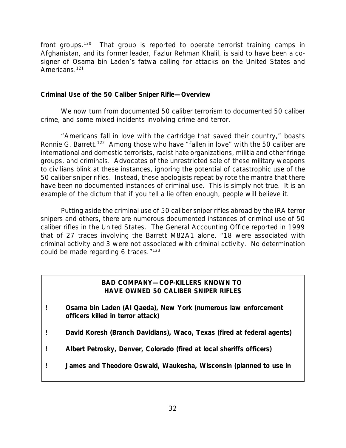front groups.<sup>120</sup> That group is reported to operate terrorist training camps in Afghanistan, and its former leader, Fazlur Rehman Khalil, is said to have been a cosigner of Osama bin Laden's *fatwa* calling for attacks on the United States and Americans.<sup>121</sup>

#### *Criminal Use of the 50 Caliber Sniper Rifle—Overview*

We now turn from documented 50 caliber terrorism to documented 50 caliber crime, and some mixed incidents involving crime and terror.

"Americans fall in love with the cartridge that saved their country," boasts Ronnie G. Barrett.<sup>122</sup> Among those who have "fallen in love" with the 50 caliber are international and domestic terrorists, racist hate organizations, militia and other fringe groups, and criminals. Advocates of the unrestricted sale of these military weapons to civilians blink at these instances, ignoring the potential of catastrophic use of the 50 caliber sniper rifles. Instead, these apologists repeat by rote the mantra that there have been no documented instances of criminal use. This is simply not true. It is an example of the dictum that if you tell a lie often enough, people will believe it.

Putting aside the criminal use of 50 caliber sniper rifles abroad by the IRA terror snipers and others, there are numerous documented instances of criminal use of 50 caliber rifles in the United States. The General Accounting Office reported in 1999 that of 27 traces involving the Barrett M82A1 alone, "18 were associated with criminal activity and 3 were not associated with criminal activity. No determination could be made regarding 6 traces. $123$ 

## *BAD COMPANY—COP-KILLERS KNOWN TO HAVE OWNED 50 CALIBER SNIPER RIFLES*

- *! Osama bin Laden (Al Qaeda), New York (numerous law enforcement officers killed in terror attack)*
- *! David Koresh (Branch Davidians), Waco, Texas (fired at federal agents)*
- *! Albert Petrosky, Denver, Colorado (fired at local sheriffs officers)*
- *! James and Theodore Oswald, Waukesha, Wisconsin (planned to use in*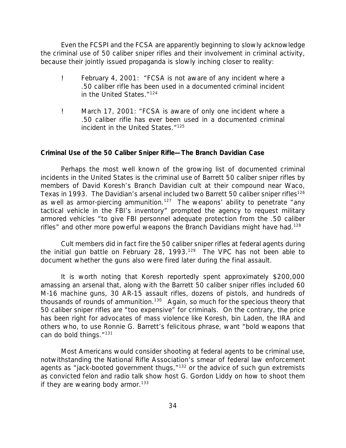Even the FCSPI and the FCSA are apparently beginning to slowly acknowledge the criminal use of 50 caliber sniper rifles and their involvement in criminal activity, because their jointly issued propaganda is slowly inching closer to reality:

- ! February 4, 2001: "FCSA is not aware of any incident where a .50 caliber rifle has been used in a documented criminal incident in the United States."<sup>124</sup>
- ! March 17, 2001: "FCSA is aware of only one incident where a .50 caliber rifle has ever been used in a documented criminal incident in the United States."<sup>125</sup>

## *Criminal Use of the 50 Caliber Sniper Rifle—The Branch Davidian Case*

Perhaps the most well known of the growing list of documented criminal incidents in the United States is the criminal use of Barrett 50 caliber sniper rifles by members of David Koresh's Branch Davidian cult at their compound near Waco, Texas in 1993. The Davidian's arsenal included two Barrett 50 caliber sniper rifles<sup>126</sup> as well as armor-piercing ammunition.<sup>127</sup> The weapons' ability to penetrate "any tactical vehicle in the FBI's inventory" prompted the agency to request military armored vehicles "to give FBI personnel adequate protection from the .50 caliber rifles" and other more powerful weapons the Branch Davidians might have had.<sup>128</sup>

Cult members did in fact fire the 50 caliber sniper rifles at federal agents during the initial gun battle on February 28, 1993.<sup>129</sup> The VPC has not been able to document whether the guns also were fired later during the final assault.

It is worth noting that Koresh reportedly spent approximately \$200,000 amassing an arsenal that, along with the Barrett 50 caliber sniper rifles included 60 M-16 machine guns, 30 AR-15 assault rifles, dozens of pistols, and hundreds of thousands of rounds of ammunition.<sup>130</sup> Again, so much for the specious theory that 50 caliber sniper rifles are "too expensive" for criminals. On the contrary, the price has been right for advocates of mass violence like Koresh, bin Laden, the IRA and others who, to use Ronnie G. Barrett's felicitous phrase, want "bold weapons that can do bold things."<sup>131</sup>

Most Americans would consider shooting at federal agents to be criminal use, notwithstanding the National Rifle Association's smear of federal law enforcement agents as "jack-booted government thugs,"<sup>132</sup> or the advice of such gun extremists as convicted felon and radio talk show host G. Gordon Liddy on how to shoot them if they are wearing body armor.<sup>133</sup>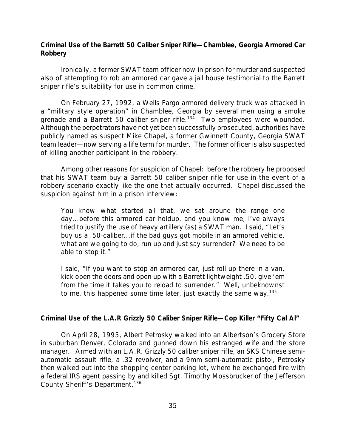## *Criminal Use of the Barrett 50 Caliber Sniper Rifle—Chamblee, Georgia Armored Car Robbery*

Ironically, a former SWAT team officer now in prison for murder and suspected also of attempting to rob an armored car gave a jail house testimonial to the Barrett sniper rifle's suitability for use in common crime.

On February 27, 1992, a Wells Fargo armored delivery truck was attacked in a "military style operation" in Chamblee, Georgia by several men using a smoke grenade and a Barrett 50 caliber sniper rifle.<sup>134</sup> Two employees were wounded. Although the perpetrators have not yet been successfully prosecuted, authorities have publicly named as suspect Mike Chapel, a former Gwinnett County, Georgia SWAT team leader—now serving a life term for murder. The former officer is also suspected of killing another participant in the robbery.

Among other reasons for suspicion of Chapel: before the robbery he proposed that his SWAT team buy a Barrett 50 caliber sniper rifle for use in the event of a robbery scenario exactly like the one that actually occurred. Chapel discussed the suspicion against him in a prison interview:

You know what started all that, we sat around the range one day...before this armored car holdup, and you know me, I've always tried to justify the use of heavy artillery (as) a SWAT man. I said, "Let's buy us a .50-caliber...if the bad guys got mobile in an armored vehicle, what are we going to do, run up and just say surrender? We need to be able to stop it."

I said, "If you want to stop an armored car, just roll up there in a van, kick open the doors and open up with a Barrett lightweight .50, give 'em from the time it takes you to reload to surrender." Well, unbeknownst to me, this happened some time later, just exactly the same way.<sup>135</sup>

## *Criminal Use of the L.A.R Grizzly 50 Caliber Sniper Rifle—Cop Killer "Fifty Cal Al"*

On April 28, 1995, Albert Petrosky walked into an Albertson's Grocery Store in suburban Denver, Colorado and gunned down his estranged wife and the store manager. Armed with an L.A.R. Grizzly 50 caliber sniper rifle, an SKS Chinese semiautomatic assault rifle, a .32 revolver, and a 9mm semi-automatic pistol, Petrosky then walked out into the shopping center parking lot, where he exchanged fire with a federal IRS agent passing by and killed Sgt. Timothy Mossbrucker of the Jefferson County Sheriff's Department.<sup>136</sup>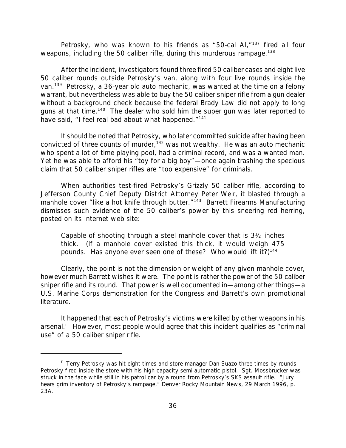Petrosky, who was known to his friends as "50-cal AI, $n^{137}$  fired all four weapons, including the 50 caliber rifle, during this murderous rampage.<sup>138</sup>

After the incident, investigators found three fired 50 caliber cases and eight live 50 caliber rounds outside Petrosky's van, along with four live rounds inside the van.<sup>139</sup> Petrosky, a 36-year old auto mechanic, was wanted at the time on a felony warrant, but nevertheless was able to buy the 50 caliber sniper rifle from a gun dealer without a background check because the federal Brady Law did not apply to long guns at that time.<sup>140</sup> The dealer who sold him the super gun was later reported to have said, "I feel real bad about what happened."<sup>141</sup>

It should be noted that Petrosky, who later committed suicide after having been convicted of three counts of murder,  $142$  was not wealthy. He was an auto mechanic who spent a lot of time playing pool, had a criminal record, and was a wanted man. Yet he was able to afford his "toy for a big boy"—once again trashing the specious claim that 50 caliber sniper rifles are "too expensive" for criminals.

When authorities test-fired Petrosky's Grizzly 50 caliber rifle, according to Jefferson County Chief Deputy District Attorney Peter Weir, it blasted through a manhole cover "like a hot knife through butter."<sup>143</sup> Barrett Firearms Manufacturing dismisses such evidence of the 50 caliber's power by this sneering red herring, posted on its Internet web site:

Capable of shooting through a steel manhole cover that is 3½ inches thick. (If a manhole cover existed this thick, it would weigh 475 pounds. Has anyone ever seen one of these? Who would lift it?)<sup>144</sup>

Clearly, the point is not the dimension or weight of any given manhole cover, however much Barrett wishes it were. The point is rather the power of the 50 caliber sniper rifle and its round. That power is well documented in—among other things—a U.S. Marine Corps demonstration for the Congress and Barrett's own promotional literature.

It happened that each of Petrosky's victims were killed by other weapons in his arsenal.<sup>r</sup> However, most people would agree that this incident qualifies as "criminal use" of a 50 caliber sniper rifle.

<sup>&</sup>lt;sup>r</sup> Terry Petrosky was hit eight times and store manager Dan Suazo three times by rounds Petrosky fired inside the store with his high-capacity semi-automatic pistol. Sgt. Mossbrucker was struck in the face while still in his patrol car by a round from Petrosky's SKS assault rifle. "Jury hears grim inventory of Petrosky's rampage," *Denver Rocky Mountain News*, 29 March 1996, p. 23A.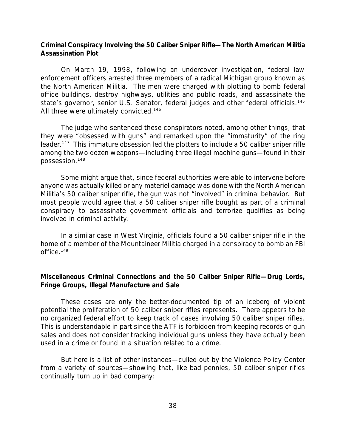## *Criminal Conspiracy Involving the 50 Caliber Sniper Rifle—The North American Militia Assassination Plot*

On March 19, 1998, following an undercover investigation, federal law enforcement officers arrested three members of a radical Michigan group known as the North American Militia. The men were charged with plotting to bomb federal office buildings, destroy highways, utilities and public roads, and assassinate the state's governor, senior U.S. Senator, federal judges and other federal officials.<sup>145</sup> All three were ultimately convicted.<sup>146</sup>

The judge who sentenced these conspirators noted, among other things, that they were "obsessed with guns" and remarked upon the "immaturity" of the ring leader.<sup>147</sup> This immature obsession led the plotters to include a 50 caliber sniper rifle among the two dozen weapons—including three illegal machine guns—found in their possession.<sup>148</sup>

Some might argue that, since federal authorities were able to intervene before anyone was actually killed or any materiel damage was done with the North American Militia's 50 caliber sniper rifle, the gun was not "involved" in criminal behavior. But most people would agree that a 50 caliber sniper rifle bought as part of a criminal conspiracy to assassinate government officials and terrorize qualifies as being involved in criminal activity.

In a similar case in West Virginia, officials found a 50 caliber sniper rifle in the home of a member of the Mountaineer Militia charged in a conspiracy to bomb an FBI office.<sup>149</sup>

# *Miscellaneous Criminal Connections and the 50 Caliber Sniper Rifle—Drug Lords, Fringe Groups, Illegal Manufacture and Sale*

These cases are only the better-documented tip of an iceberg of violent potential the proliferation of 50 caliber sniper rifles represents. There appears to be no organized federal effort to keep track of cases involving 50 caliber sniper rifles. This is understandable in part since the ATF is forbidden from keeping records of gun sales and does not consider tracking individual guns unless they have actually been used in a crime or found in a situation related to a crime.

But here is a list of other instances—culled out by the Violence Policy Center from a variety of sources—showing that, like bad pennies, 50 caliber sniper rifles continually turn up in bad company: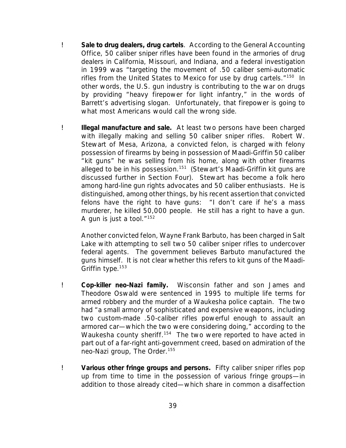- ! *Sale to drug dealers, drug cartels*. According to the General Accounting Office, 50 caliber sniper rifles have been found in the armories of drug dealers in California, Missouri, and Indiana, and a federal investigation in 1999 was "targeting the movement of .50 caliber semi-automatic rifles from the United States to Mexico for use by drug cartels."<sup>150</sup> In other words, the U.S. gun industry is contributing to the war on drugs by providing "heavy firepower for light infantry," in the words of Barrett's advertising slogan. Unfortunately, that firepower is going to what most Americans would call the wrong side.
- ! *Illegal manufacture and sale.* At least two persons have been charged with illegally making and selling 50 caliber sniper rifles. Robert W. Stewart of Mesa, Arizona, a convicted felon, is charged with felony possession of firearms by being in possession of Maadi-Griffin 50 caliber "kit guns" he was selling from his home, along with other firearms alleged to be in his possession.<sup>151</sup> (Stewart's Maadi-Griffin kit guns are discussed further in Section Four). Stewart has become a folk hero among hard-line gun rights advocates and 50 caliber enthusiasts. He is distinguished, among other things, by his recent assertion that convicted felons have the right to have guns: "I don't care if he's a mass murderer, he killed 50,000 people. He still has a right to have a gun. A gun is just a tool. $152$

Another convicted felon, Wayne Frank Barbuto, has been charged in Salt Lake with attempting to sell two 50 caliber sniper rifles to undercover federal agents. The government believes Barbuto manufactured the guns himself. It is not clear whether this refers to kit guns of the Maadi-Griffin type.<sup>153</sup>

- ! *Cop-killer neo-Nazi family.* Wisconsin father and son James and Theodore Oswald were sentenced in 1995 to multiple life terms for armed robbery and the murder of a Waukesha police captain. The two had "a small armory of sophisticated and expensive weapons, including two custom-made .50-caliber rifles powerful enough to assault an armored car—which the two were considering doing," according to the Waukesha county sheriff.<sup>154</sup> The two were reported to have acted in part out of a far-right anti-government creed, based on admiration of the neo-Nazi group, The Order.<sup>155</sup>
- ! *Various other fringe groups and persons.* Fifty caliber sniper rifles pop up from time to time in the possession of various fringe groups—in addition to those already cited—which share in common a disaffection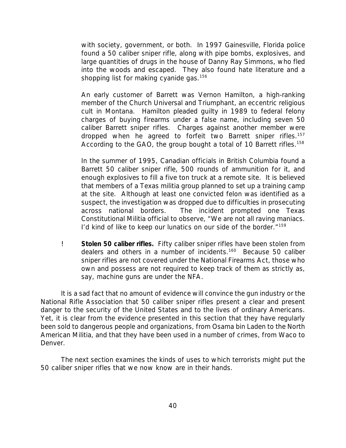with society, government, or both. In 1997 Gainesville, Florida police found a 50 caliber sniper rifle, along with pipe bombs, explosives, and large quantities of drugs in the house of Danny Ray Simmons, who fled into the woods and escaped. They also found hate literature and a shopping list for making cyanide gas.<sup>156</sup>

An early customer of Barrett was Vernon Hamilton, a high-ranking member of the Church Universal and Triumphant, an eccentric religious cult in Montana. Hamilton pleaded guilty in 1989 to federal felony charges of buying firearms under a false name, including seven 50 caliber Barrett sniper rifles. Charges against another member were dropped when he agreed to forfeit two Barrett sniper rifles.<sup>157</sup> According to the GAO, the group bought a total of 10 Barrett rifles.<sup>158</sup>

In the summer of 1995, Canadian officials in British Columbia found a Barrett 50 caliber sniper rifle, 500 rounds of ammunition for it, and enough explosives to fill a five ton truck at a remote site. It is believed that members of a Texas militia group planned to set up a training camp at the site. Although at least one convicted felon was identified as a suspect, the investigation was dropped due to difficulties in prosecuting across national borders. The incident prompted one Texas Constitutional Militia official to observe, "We are not all raving maniacs. I'd kind of like to keep our lunatics on our side of the border."<sup>159</sup>

! *Stolen 50 caliber rifles.* Fifty caliber sniper rifles have been stolen from dealers and others in a number of incidents.<sup>160</sup> Because 50 caliber sniper rifles are not covered under the National Firearms Act, those who own and possess are not required to keep track of them as strictly as, say, machine guns are under the NFA.

It is a sad fact that no amount of evidence will convince the gun industry or the National Rifle Association that 50 caliber sniper rifles present a clear and present danger to the security of the United States and to the lives of ordinary Americans. Yet, it is clear from the evidence presented in this section that they have regularly been sold to dangerous people and organizations, from Osama bin Laden to the North American Militia, and that they have been used in a number of crimes, from Waco to Denver.

The next section examines the kinds of uses to which terrorists might put the 50 caliber sniper rifles that we now know are in their hands.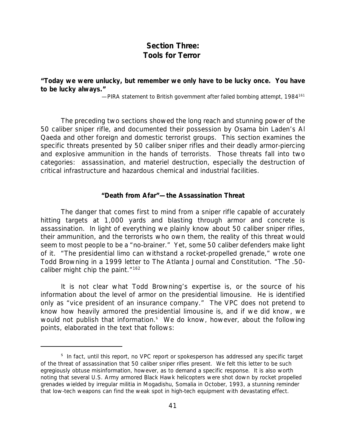# *Section Three: Tools for Terror*

# *"Today we were unlucky, but remember we only have to be lucky once. You have to be lucky always."*

*—PIRA statement to British government after failed bombing attempt, 1984*<sup>161</sup>

The preceding two sections showed the long reach and stunning power of the 50 caliber sniper rifle, and documented their possession by Osama bin Laden's Al Qaeda and other foreign and domestic terrorist groups. This section examines the specific threats presented by 50 caliber sniper rifles and their deadly armor-piercing and explosive ammunition in the hands of terrorists. Those threats fall into two categories: assassination, and materiel destruction, especially the destruction of critical infrastructure and hazardous chemical and industrial facilities.

### *"Death from Afar"—the Assassination Threat*

The danger that comes first to mind from a sniper rifle capable of accurately hitting targets at 1,000 yards and blasting through armor and concrete is assassination. In light of everything we plainly know about 50 caliber sniper rifles, their ammunition, and the terrorists who own them, the reality of this threat would seem to most people to be a "no-brainer." Yet, some 50 caliber defenders make light of it. "The presidential limo can withstand a rocket-propelled grenade," wrote one Todd Browning in a 1999 letter to *The Atlanta Journal and Constitution.* "The .50 caliber might chip the paint."<sup>162</sup>

It is not clear what Todd Browning's expertise is, or the source of his information about the level of armor on the presidential limousine. He is identified only as "vice president of an insurance company." The VPC does not pretend to know how heavily armored the presidential limousine is, and if we did know, we would not publish that information.<sup>s</sup> We do know, however, about the following points, elaborated in the text that follows:

<sup>&</sup>lt;sup>s</sup> In fact, until this report, no VPC report or spokesperson has addressed any specific target of the threat of assassination that 50 caliber sniper rifles present. We felt this letter to be such egregiously obtuse misinformation, however, as to demand a specific response. It is also worth noting that several U.S. Army armored Black Hawk helicopters were shot down by rocket propelled grenades wielded by irregular militia in Mogadishu, Somalia in October, 1993, a stunning reminder that low-tech weapons can find the weak spot in high-tech equipment with devastating effect.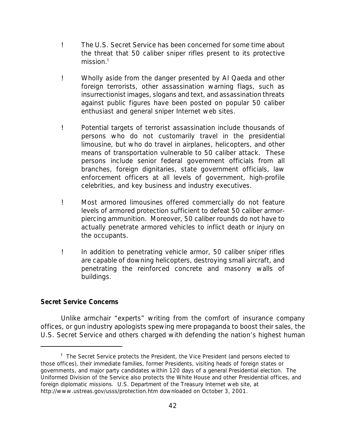- ! The U.S. Secret Service has been concerned for some time about the threat that 50 caliber sniper rifles present to its protective mission. $<sup>t</sup>$ </sup>
- ! Wholly aside from the danger presented by Al Qaeda and other foreign terrorists, other assassination warning flags, such as insurrectionist images, slogans and text, and assassination threats against public figures have been posted on popular 50 caliber enthusiast and general sniper Internet web sites.
- ! Potential targets of terrorist assassination include thousands of persons who do not customarily travel in the presidential limousine, but who do travel in airplanes, helicopters, and other means of transportation vulnerable to 50 caliber attack. These persons include senior federal government officials from all branches, foreign dignitaries, state government officials, law enforcement officers at all levels of government, high-profile celebrities, and key business and industry executives.
- ! Most armored limousines offered commercially do not feature levels of armored protection sufficient to defeat 50 caliber armorpiercing ammunition. Moreover, 50 caliber rounds do not have to actually penetrate armored vehicles to inflict death or injury on the occupants.
- ! In addition to penetrating vehicle armor, 50 caliber sniper rifles are capable of downing helicopters, destroying small aircraft, and penetrating the reinforced concrete and masonry walls of buildings.

# *Secret Service Concerns*

Unlike armchair "experts" writing from the comfort of insurance company offices, or gun industry apologists spewing mere propaganda to boost their sales, the U.S. Secret Service and others charged with defending the nation's highest human

<sup>&</sup>lt;sup>t</sup> The Secret Service protects the President, the Vice President (and persons elected to those offices), their immediate families, former Presidents, visiting heads of foreign states or governments, and major party candidates within 120 days of a general Presidential election. The Uniformed Division of the Service also protects the White House and other Presidential offices, and foreign diplomatic missions. U.S. Department of the Treasury Internet web site, at http://www.ustreas.gov/usss/protection.htm downloaded on October 3, 2001.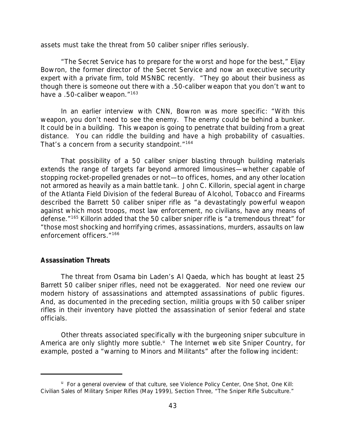assets must take the threat from 50 caliber sniper rifles seriously.

"The Secret Service has to prepare for the worst and hope for the best," Eljay Bowron, the former director of the Secret Service and now an executive security expert with a private firm, told MSNBC recently. "They go about their business as though there is someone out there with a .50-caliber weapon that you don't want to have a .50-caliber weapon."<sup>163</sup>

In an earlier interview with CNN, Bowron was more specific: "With this weapon, you don't need to see the enemy. The enemy could be behind a bunker. It could be in a building. This weapon is going to penetrate that building from a great distance. You can riddle the building and have a high probability of casualties. That's a concern from a security standpoint."<sup>164</sup>

That possibility of a 50 caliber sniper blasting through building materials extends the range of targets far beyond armored limousines—whether capable of stopping rocket-propelled grenades or not—to offices, homes, and any other location not armored as heavily as a main battle tank. John C. Killorin, special agent in charge of the Atlanta Field Division of the federal Bureau of Alcohol, Tobacco and Firearms described the Barrett 50 caliber sniper rifle as "a devastatingly powerful weapon against which most troops, most law enforcement, no civilians, have any means of defense."<sup>165</sup> Killorin added that the 50 caliber sniper rifle is "a tremendous threat" for "those most shocking and horrifying crimes, assassinations, murders, assaults on law enforcement officers."<sup>166</sup>

#### *Assassination Threats*

The threat from Osama bin Laden's Al Qaeda, which has bought at least 25 Barrett 50 caliber sniper rifles, need not be exaggerated. Nor need one review our modern history of assassinations and attempted assassinations of public figures. And, as documented in the preceding section, militia groups with 50 caliber sniper rifles in their inventory have plotted the assassination of senior federal and state officials.

Other threats associated specifically with the burgeoning sniper subculture in America are only slightly more subtle.<sup>u</sup> The Internet web site Sniper Country, for example, posted a "warning to Minors and Militants" after the following incident:

<sup>&</sup>lt;sup>u</sup> For a general overview of that culture, see Violence Policy Center, *One Shot, One Kill: Civilian Sales of Military Sniper Rifles* (May 1999), Section Three, "The Sniper Rifle Subculture."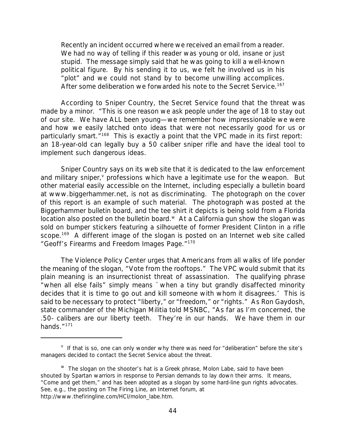Recently an incident occurred where we received an email from a reader. We had no way of telling if this reader was young or old, insane or just stupid. The message simply said that he was going to kill a well-known political figure. By his sending it to us, we felt he involved us in his "plot" and we could not stand by to become unwilling accomplices. After some deliberation we forwarded his note to the Secret Service.<sup>167</sup>

According to Sniper Country, the Secret Service found that the threat was made by a minor. "This is one reason we ask people under the age of 18 to stay out of our site. We have ALL been young—we remember how impressionable we were and how we easily latched onto ideas that were not necessarily good for us or particularly smart.<sup>"168</sup> This is exactly a point that the VPC made in its first report: an 18-year-old can legally buy a 50 caliber sniper rifle and have the ideal tool to implement such dangerous ideas.

Sniper Country says on its web site that it is dedicated to the law enforcement and military sniper, *v* professions which have a legitimate use for the weapon. But other material easily accessible on the Internet, including especially a bulletin board at www.biggerhammer.net, is not as discriminating. The photograph on the cover of this report is an example of such material. The photograph was posted at the Biggerhammer bulletin board, and the tee shirt it depicts is being sold from a Florida location also posted on the bulletin board. $W$  At a California gun show the slogan was sold on bumper stickers featuring a silhouette of former President Clinton in a rifle scope.<sup>169</sup> A different image of the slogan is posted on an Internet web site called "Geoff's Firearms and Freedom Images Page."<sup>170</sup>

The Violence Policy Center urges that Americans from all walks of life ponder the meaning of the slogan, "Vote from the rooftops." The VPC would submit that its plain meaning is an insurrectionist threat of assassination. The qualifying phrase "when all else fails" simply means `when a tiny but grandly disaffected minority decides that it is time to go out and kill someone with whom it disagrees.' This is said to be necessary to protect "liberty," or "freedom," or "rights." As Ron Gaydosh, state commander of the Michigan Militia told MSNBC, "As far as I'm concerned, the .50- calibers are our liberty teeth. They're in our hands. We have them in our hands."171

 $V$  If that is so, one can only wonder why there was need for "deliberation" before the site's managers decided to contact the Secret Service about the threat.

<sup>w</sup> The slogan on the shooter's hat is a Greek phrase, *Molon Labe*, said to have been shouted by Spartan warriors in response to Persian demands to lay down their arms. It means, "Come and get them," and has been adopted as a slogan by some hard-line gun rights advocates. See, e.g., the posting on The Firing Line, an Internet forum, at http://www.thefiringline.com/HCI/molon\_labe.htm.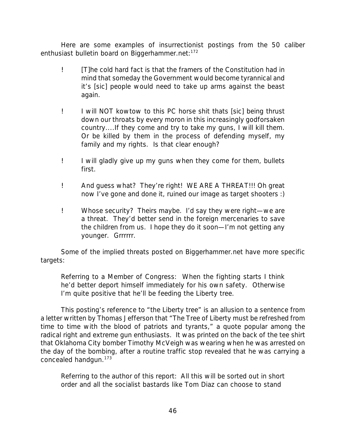Here are some examples of insurrectionist postings from the 50 caliber enthusiast bulletin board on Biggerhammer.net:<sup>172</sup>

- ! [T]he cold hard fact is that the framers of the Constitution had in mind that someday the Government would become tyrannical and it's [sic] people would need to take up arms against the beast again.
- ! I will NOT kowtow to this PC horse shit thats [sic] being thrust down our throats by every moron in this increasingly godforsaken country....If they come and try to take my guns, I will kill them. Or be killed by them in the process of defending myself, my family and my rights. Is that clear enough?
- ! I will gladly give up my guns when they come for them, bullets first.
- ! And guess what? They're right! WE ARE A THREAT!!! Oh great now I've gone and done it, ruined our image as target shooters :)
- ! Whose security? Theirs maybe. I'd say they were right—we are a threat. They'd better send in the foreign mercenaries to save the children from us. I hope they do it soon—I'm not getting any younger. Grrrrrr.

Some of the implied threats posted on Biggerhammer.net have more specific targets:

*Referring to a Member of Congress*: When the fighting starts I think he'd better deport himself immediately for his own safety. Otherwise I'm quite positive that he'll be feeding the Liberty tree.

This posting's reference to "the Liberty tree" is an allusion to a sentence from a letter written by Thomas Jefferson that "The Tree of Liberty must be refreshed from time to time with the blood of patriots and tyrants," a quote popular among the radical right and extreme gun enthusiasts. It was printed on the back of the tee shirt that Oklahoma City bomber Timothy McVeigh was wearing when he was arrested on the day of the bombing, after a routine traffic stop revealed that he was carrying a concealed handgun.<sup>173</sup>

*Referring to the author of this report:* All this will be sorted out in short order and all the socialist bastards like Tom Diaz can choose to stand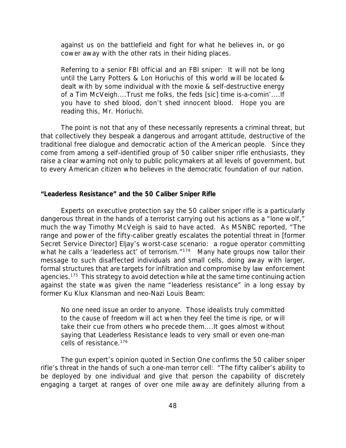against us on the battlefield and fight for what he believes in, or go cower away with the other rats in their hiding places.

*Referring to a senior FBI official and an FBI sniper*: It will not be long until the Larry Potters & Lon Horiuchis of this world will be located & dealt with by some individual with the moxie & self-destructive energy of a Tim McVeigh....Trust me folks, the feds [sic] time is-a-comin'....If you have to shed blood, don't shed innocent blood. Hope you are reading this, Mr. Horiuchi.

The point is not that any of these necessarily represents a criminal threat, but that collectively they bespeak a dangerous and arrogant attitude, destructive of the traditional free dialogue and democratic action of the American people. Since they come from among a self-identified group of 50 caliber sniper rifle enthusiasts, they raise a clear warning not only to public policymakers at all levels of government, but to every American citizen who believes in the democratic foundation of our nation.

#### *"Leaderless Resistance" and the 50 Caliber Sniper Rifle*

Experts on executive protection say the 50 caliber sniper rifle is a particularly dangerous threat in the hands of a terrorist carrying out his actions as a "lone wolf," much the way Timothy McVeigh is said to have acted. As MSNBC reported, "The range and power of the fifty-caliber greatly escalates the potential threat in [former Secret Service Director] Eljay's worst-case scenario: a rogue operator committing what he calls a 'leaderless act' of terrorism."<sup>174</sup> Many hate groups now tailor their message to such disaffected individuals and small cells, doing away with larger, formal structures that are targets for infiltration and compromise by law enforcement agencies.<sup>175</sup> This strategy to avoid detection while at the same time continuing action against the state was given the name "leaderless resistance" in a long essay by former Ku Klux Klansman and neo-Nazi Louis Beam:

No one need issue an order to anyone. Those idealists truly committed to the cause of freedom will act when they feel the time is ripe, or will take their cue from others who precede them....It goes almost without saying that Leaderless Resistance leads to very small or even one-man cells of resistance.<sup>176</sup>

The gun expert's opinion quoted in Section One confirms the 50 caliber sniper rifle's threat in the hands of such a one-man terror cell: "The fifty caliber's ability to be deployed by one individual and give that person the capability of discretely engaging a target at ranges of over one mile away are definitely alluring from a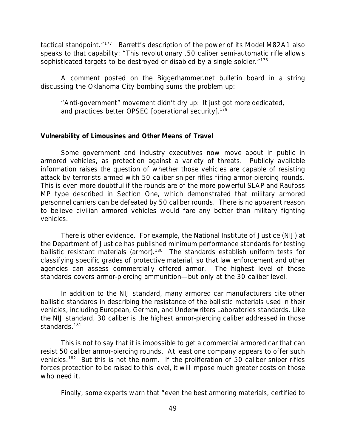tactical standpoint."<sup>177</sup> Barrett's description of the power of its Model M82A1 also speaks to that capability: "This revolutionary .50 caliber semi-automatic rifle allows sophisticated targets to be destroyed or disabled by a single soldier."<sup>178</sup>

A comment posted on the Biggerhammer.net bulletin board in a string discussing the Oklahoma City bombing sums the problem up:

"Anti-government" movement didn't dry up: It just got more dedicated, and practices better OPSEC [operational security].<sup>179</sup>

### *Vulnerability of Limousines and Other Means of Travel*

Some government and industry executives now move about in public in armored vehicles, as protection against a variety of threats. Publicly available information raises the question of whether those vehicles are capable of resisting attack by terrorists armed with 50 caliber sniper rifles firing armor-piercing rounds. This is even more doubtful if the rounds are of the more powerful SLAP and Raufoss MP type described in Section One, which demonstrated that military armored personnel carriers can be defeated by 50 caliber rounds. There is no apparent reason to believe civilian armored vehicles would fare any better than military fighting vehicles.

There is other evidence. For example, the National Institute of Justice (NIJ) at the Department of Justice has published minimum performance standards for testing ballistic resistant materials (armor).<sup>180</sup> The standards establish uniform tests for classifying specific grades of protective material, so that law enforcement and other agencies can assess commercially offered armor. The highest level of those standards covers armor-piercing ammunition—but only at the 30 caliber level.

In addition to the NIJ standard, many armored car manufacturers cite other ballistic standards in describing the resistance of the ballistic materials used in their vehicles, including European, German, and Underwriters Laboratories standards. Like the NIJ standard, 30 caliber is the highest armor-piercing caliber addressed in those standards.<sup>181</sup>

This is not to say that it is impossible to get a commercial armored car that can resist 50 caliber armor-piercing rounds. At least one company appears to offer such vehicles.<sup>182</sup> But this is not the norm. If the proliferation of 50 caliber sniper rifles forces protection to be raised to this level, it will impose much greater costs on those who need it.

Finally, some experts warn that "even the best armoring materials, certified to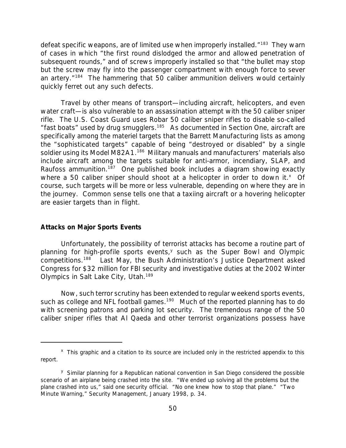defeat specific weapons, are of limited use when improperly installed."<sup>183</sup> They warn of cases in which "the first round dislodged the armor and allowed penetration of subsequent rounds," and of screws improperly installed so that "the bullet may stop but the screw may fly into the passenger compartment with enough force to sever an artery."<sup>184</sup> The hammering that 50 caliber ammunition delivers would certainly quickly ferret out any such defects.

Travel by other means of transport—including aircraft, helicopters, and even water craft—is also vulnerable to an assassination attempt with the 50 caliber sniper rifle. The U.S. Coast Guard uses Robar 50 caliber sniper rifles to disable so-called "fast boats" used by drug smugglers.<sup>185</sup> As documented in Section One, aircraft are specifically among the materiel targets that the Barrett Manufacturing lists as among the "sophisticated targets" capable of being "destroyed or disabled" by a single soldier using its Model M82A1.<sup>186</sup> Military manuals and manufacturers' materials also include aircraft among the targets suitable for anti-armor, incendiary, SLAP, and Raufoss ammunition.<sup>187</sup> One published book includes a diagram showing exactly where a 50 caliber sniper should shoot at a helicopter in order to down it. $^{x}$  Of course, such targets will be more or less vulnerable, depending on where they are in the journey. Common sense tells one that a taxiing aircraft or a hovering helicopter are easier targets than in flight.

## *Attacks on Major Sports Events*

Unfortunately, the possibility of terrorist attacks has become a routine part of planning for high-profile sports events,<sup>y</sup> such as the Super Bowl and Olympic competitions.<sup>188</sup> Last May, the Bush Administration's Justice Department asked Congress for \$32 million for FBI security and investigative duties at the 2002 Winter Olympics in Salt Lake City, Utah.<sup>189</sup>

Now, such terror scrutiny has been extended to regular weekend sports events, such as college and NFL football games.<sup>190</sup> Much of the reported planning has to do with screening patrons and parking lot security. The tremendous range of the 50 caliber sniper rifles that Al Qaeda and other terrorist organizations possess have

<sup>&</sup>lt;sup>x</sup> This graphic and a citation to its source are included only in the restricted appendix to this report.

<sup>&</sup>lt;sup>y</sup> Similar planning for a Republican national convention in San Diego considered the possible scenario of an airplane being crashed into the site. "We ended up solving all the problems but the plane crashed into us," said one security official. "No one knew how to stop that plane." "Two Minute Warning," *Security Management*, January 1998, p. 34.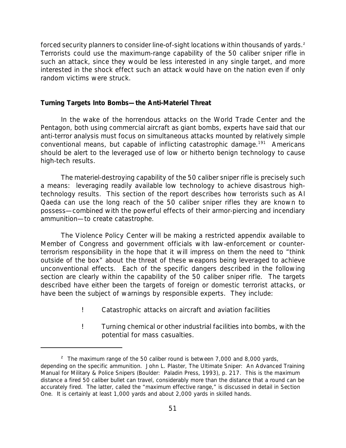forced security planners to consider line-of-sight locations within thousands of yards.<sup>2</sup> Terrorists could use the maximum-range capability of the 50 caliber sniper rifle in such an attack, since they would be less interested in any single target, and more interested in the shock effect such an attack would have on the nation even if only random victims were struck.

### *Turning Targets Into Bombs—the Anti-Materiel Threat*

In the wake of the horrendous attacks on the World Trade Center and the Pentagon, both using commercial aircraft as giant bombs, experts have said that our anti-terror analysis must focus on simultaneous attacks mounted by relatively simple conventional means, but capable of inflicting catastrophic damage.<sup>191</sup> Americans should be alert to the leveraged use of low or hitherto benign technology to cause high-tech results.

The materiel-destroying capability of the 50 caliber sniper rifle is precisely such a means: leveraging readily available low technology to achieve disastrous hightechnology results. This section of the report describes how terrorists such as Al Qaeda can use the long reach of the 50 caliber sniper rifles they are known to possess—combined with the powerful effects of their armor-piercing and incendiary ammunition—to create catastrophe.

The Violence Policy Center will be making a restricted appendix available to Member of Congress and government officials with law-enforcement or counterterrorism responsibility in the hope that it will impress on them the need to "think outside of the box" about the threat of these weapons being leveraged to achieve unconventional effects. *Each of the specific dangers described in the following section are clearly within the capability of the 50 caliber sniper rifle. The targets described have either been the targets of foreign or domestic terrorist attacks, or have been the subject of warnings by responsible experts.* They include:

- ! Catastrophic attacks on aircraft and aviation facilities
- ! Turning chemical or other industrial facilities into bombs, with the potential for mass casualties.

<sup>&</sup>lt;sup>z</sup> The maximum range of the 50 caliber round is between 7,000 and 8,000 yards, depending on the specific ammunition. John L. Plaster, *The Ultimate Sniper: An Advanced Training Manual for Military & Police Snipers* (Boulder: Paladin Press, 1993), p. 217. This is the maximum distance a fired 50 caliber bullet can travel, considerably more than the distance that a round can be accurately fired. The latter, called the "maximum effective range," is discussed in detail in Section One. It is certainly at least 1,000 yards and about 2,000 yards in skilled hands.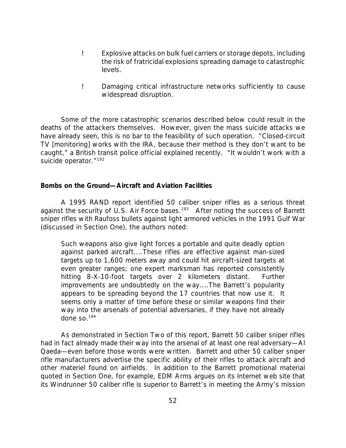- ! Explosive attacks on bulk fuel carriers or storage depots, including the risk of fratricidal explosions spreading damage to catastrophic levels.
- ! Damaging critical infrastructure networks sufficiently to cause widespread disruption.

Some of the more catastrophic scenarios described below could result in the deaths of the attackers themselves. However, given the mass suicide attacks we have already seen, this is no bar to the feasibility of such operation. "Closed-circuit TV [monitoring] works with the IRA, because their method is they don't want to be caught," a British transit police official explained recently. "It wouldn't work with a suicide operator."<sup>192</sup>

## *Bombs on the Ground—Aircraft and Aviation Facilities*

A 1995 RAND report identified 50 caliber sniper rifles as a serious threat against the security of U.S. Air Force bases.<sup>193</sup> After noting the success of Barrett sniper rifles with Raufoss bullets against light armored vehicles in the 1991 Gulf War (discussed in Section One), the authors noted:

Such weapons also give light forces a portable and quite deadly option against parked aircraft....These rifles are effective against man-sized targets up to 1,600 meters away and could hit aircraft-sized targets at even greater ranges; one expert marksman has reported consistently hitting 8-X-10-foot targets over 2 kilometers distant. Further improvements are undoubtedly on the way....The Barrett's popularity appears to be spreading beyond the 17 countries that now use it. It seems only a matter of time before these or similar weapons find their way into the arsenals of potential adversaries, if they have not already done so.<sup>194</sup>

As demonstrated in Section Two of this report, Barrett 50 caliber sniper rifles had in fact already made their way into the arsenal of at least one real adversary*—*Al Qaeda—even before those words were written. Barrett and other 50 caliber sniper rifle manufacturers advertise the specific ability of their rifles to attack aircraft and other materiel found on airfields. In addition to the Barrett promotional material quoted in Section One, for example, EDM Arms argues on its Internet web site that its Windrunner 50 caliber rifle is superior to Barrett's in meeting the Army's mission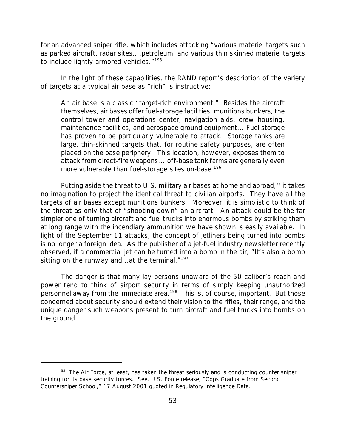for an advanced sniper rifle, which includes attacking "various materiel targets such as parked aircraft, radar sites,...petroleum, and various thin skinned materiel targets to include lightly armored vehicles."<sup>195</sup>

In the light of these capabilities, the RAND report's description of the variety of targets at a typical air base as "rich" is instructive:

An air base is a classic "target-rich environment." Besides the aircraft themselves, air bases offer fuel-storage facilities, munitions bunkers, the control tower and operations center, navigation aids, crew housing, maintenance facilities, and aerospace ground equipment....Fuel storage has proven to be particularly vulnerable to attack. Storage tanks are large, thin-skinned targets that, for routine safety purposes, are often placed on the base periphery. This location, however, exposes them to attack from direct-fire weapons....off-base tank farms are generally even more vulnerable than fuel-storage sites on-base.<sup>196</sup>

Putting aside the threat to U.S. military air bases at home and abroad, $a$ <sup>a</sup> it takes no imagination to project the identical threat to civilian airports. They have all the targets of air bases except munitions bunkers. Moreover, it is simplistic to think of the threat as only that of "shooting down" an aircraft. An attack could be the far simpler one of turning aircraft and fuel trucks into enormous bombs by striking them at long range with the incendiary ammunition we have shown is easily available. In light of the September 11 attacks, the concept of jetliners being turned into bombs is no longer a foreign idea. As the publisher of a jet-fuel industry newsletter recently observed, if a commercial jet can be turned into a bomb in the air, "It's also a bomb sitting on the runway and...at the terminal."<sup>197</sup>

The danger is that many lay persons unaware of the 50 caliber's reach and power tend to think of airport security in terms of simply keeping unauthorized personnel away from the immediate area.<sup>198</sup> This is, of course, important. But those concerned about security should extend their vision to the rifles, their range, and the unique danger such weapons present to turn aircraft and fuel trucks into bombs on the ground.

aa The Air Force, at least, has taken the threat seriously and is conducting counter sniper training for its base security forces. See, U.S. Force release, "Cops Graduate from Second Countersniper School," 17 August 2001 quoted in *Regulatory Intelligence Data.*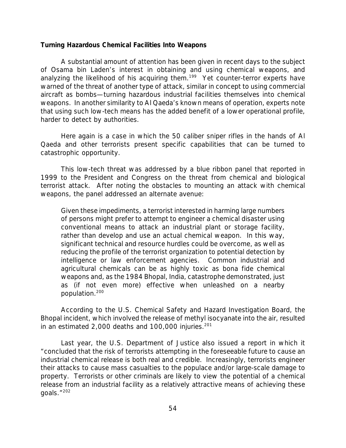#### *Turning Hazardous Chemical Facilities Into Weapons*

A substantial amount of attention has been given in recent days to the subject of Osama bin Laden's interest in obtaining and using chemical weapons, and analyzing the likelihood of his acquiring them.<sup>199</sup> Yet counter-terror experts have warned of the threat of another type of attack, similar in concept to using commercial aircraft as bombs—turning hazardous industrial facilities themselves into chemical weapons. In another similarity to Al Qaeda's known means of operation, experts note that using such low-tech means has the added benefit of a lower operational profile, harder to detect by authorities.

Here again is a case in which the 50 caliber sniper rifles in the hands of Al Qaeda and other terrorists present specific capabilities that can be turned to catastrophic opportunity.

This low-tech threat was addressed by a blue ribbon panel that reported in 1999 to the President and Congress on the threat from chemical and biological terrorist attack. After noting the obstacles to mounting an attack with chemical weapons, the panel addressed an alternate avenue:

Given these impediments, a terrorist interested in harming large numbers of persons might prefer to attempt to engineer a chemical disaster using conventional means to attack an industrial plant or storage facility, rather than develop and use an actual chemical weapon. In this way, significant technical and resource hurdles could be overcome, as well as reducing the profile of the terrorist organization to potential detection by intelligence or law enforcement agencies. Common industrial and agricultural chemicals can be as highly toxic as bona fide chemical weapons and, as the 1984 Bhopal, India, catastrophe demonstrated, just as (if not even more) effective when unleashed on a nearby population.<sup>200</sup>

According to the U.S. Chemical Safety and Hazard Investigation Board, the Bhopal incident, which involved the release of methyl isocyanate into the air, resulted in an estimated 2,000 deaths and  $100,000$  injuries.<sup>201</sup>

Last year, the U.S. Department of Justice also issued a report in which it "concluded that the risk of terrorists attempting in the foreseeable future to cause an industrial chemical release is both real and credible. Increasingly, terrorists engineer their attacks to cause mass casualties to the populace and/or large-scale damage to property. Terrorists or other criminals are likely to view the potential of a chemical release from an industrial facility as a relatively attractive means of achieving these goals."202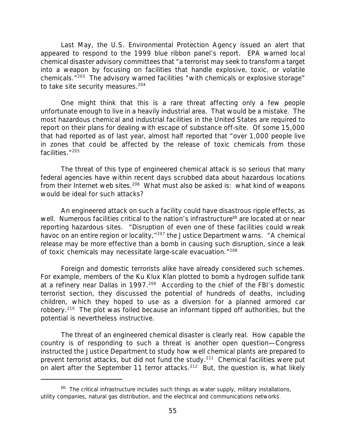Last May, the U.S. Environmental Protection Agency issued an alert that appeared to respond to the 1999 blue ribbon panel's report. EPA warned local chemical disaster advisory committees that "a terrorist may seek to transform a target into a weapon by focusing on facilities that handle explosive, toxic, or volatile chemicals."<sup>203</sup> The advisory warned facilities "with chemicals or explosive storage" to take site security measures.<sup>204</sup>

One might think that this is a rare threat affecting only a few people unfortunate enough to live in a heavily industrial area. That would be a mistake. The most hazardous chemical and industrial facilities in the United States are required to report on their plans for dealing with escape of substance off-site. Of some 15,000 that had reported as of last year, almost half reported that "over 1,000 people live in zones that could be affected by the release of toxic chemicals from those facilities."<sup>205</sup>

*The threat of this type of engineered chemical attack is so serious that many federal agencies have within recent days scrubbed data about hazardous locations from their Internet web sites.*<sup>206</sup> What must also be asked is: what kind of *weapons* would be ideal for such attacks?

An engineered attack on such a facility could have disastrous ripple effects, as well. Numerous facilities critical to the nation's infrastructure<sup>bb</sup> are located at or near reporting hazardous sites. "Disruption of even one of these facilities could wreak havoc on an entire region or locality, "<sup>207</sup> the Justice Department warns. "A chemical release may be more effective than a bomb in causing such disruption, since a leak of toxic chemicals may necessitate large-scale evacuation."<sup>208</sup>

Foreign and domestic terrorists alike have already considered such schemes. For example, members of the Ku Klux Klan plotted to bomb a hydrogen sulfide tank at a refinery near Dallas in 1997.<sup>209</sup> According to the chief of the FBI's domestic terrorist section, they discussed the potential of hundreds of deaths, including children, which they hoped to use as a diversion for a planned armored car robbery.<sup>210</sup> The plot was foiled because an informant tipped off authorities, but the potential is nevertheless instructive.

The threat of an engineered chemical disaster is clearly real. How capable the country is of responding to such a threat is another open question—Congress instructed the Justice Department to study how well chemical plants are prepared to prevent terrorist attacks, but did not fund the study.<sup>211</sup> Chemical facilities were put on alert after the September 11 terror attacks.<sup>212</sup> But, the question is, what likely

 $<sup>bb</sup>$  The critical infrastructure includes such things as water supply, military installations,</sup> utility companies, natural gas distribution, and the electrical and communications networks.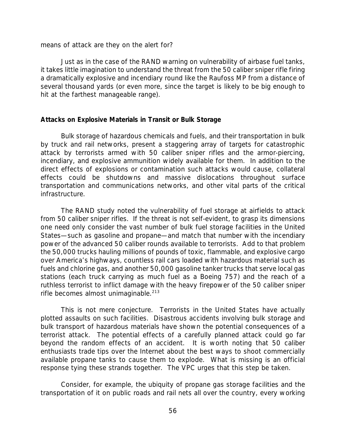means of attack are they on the alert for?

Just as in the case of the RAND warning on vulnerability of airbase fuel tanks, it takes little imagination to understand the threat from the 50 caliber sniper rifle firing a dramatically explosive and incendiary round like the Raufoss MP from a distance of several thousand yards (or even more, since the target is likely to be big enough to hit at the farthest manageable range).

#### *Attacks on Explosive Materials in Transit or Bulk Storage*

Bulk storage of hazardous chemicals and fuels, and their transportation in bulk by truck and rail networks, present a staggering array of targets for catastrophic attack by terrorists armed with 50 caliber sniper rifles and the armor-piercing, incendiary, and explosive ammunition widely available for them. In addition to the direct effects of explosions or contamination such attacks would cause, collateral effects could be shutdowns and massive dislocations throughout surface transportation and communications networks, and other vital parts of the critical infrastructure.

The RAND study noted the vulnerability of fuel storage at airfields to attack from 50 caliber sniper rifles. If the threat is not self-evident, to grasp its dimensions one need only consider the vast number of bulk fuel storage facilities in the United States—such as gasoline and propane—and match that number with the incendiary power of the advanced 50 caliber rounds available to terrorists. Add to that problem the 50,000 trucks hauling millions of pounds of toxic, flammable, and explosive cargo over America's highways, countless rail cars loaded with hazardous material such as fuels and chlorine gas, and another 50,000 gasoline tanker trucks that serve local gas stations (each truck carrying as much fuel as a Boeing 757) and the reach of a ruthless terrorist to inflict damage with the heavy firepower of the 50 caliber sniper rifle becomes almost unimaginable.<sup>213</sup>

This is not mere conjecture. Terrorists in the United States have actually plotted assaults on such facilities. Disastrous accidents involving bulk storage and bulk transport of hazardous materials have shown the potential consequences of a terrorist attack. The potential effects of a carefully planned attack could go far beyond the random effects of an accident. It is worth noting that 50 caliber enthusiasts trade tips over the Internet about the best ways to shoot commercially available propane tanks to cause them to explode. What is missing is an official response tying these strands together. The VPC urges that this step be taken.

Consider, for example, the ubiquity of propane gas storage facilities and the transportation of it on public roads and rail nets all over the country, every working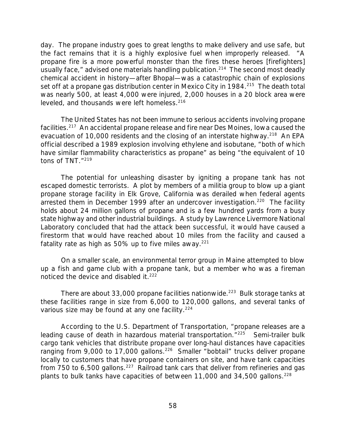day. The propane industry goes to great lengths to make delivery and use safe, but the fact remains that it is a highly explosive fuel when improperly released. "A propane fire is a more powerful monster than the fires these heroes [firefighters] usually face," advised one materials handling publication.<sup>214</sup> The second most deadly chemical accident in history—after Bhopal—was a catastrophic chain of explosions set off at a propane gas distribution center in Mexico City in 1984.<sup>215</sup> The death total was nearly 500, at least 4,000 were injured, 2,000 houses in a 20 block area were leveled, and thousands were left homeless.<sup>216</sup>

The United States has not been immune to serious accidents involving propane facilities.<sup>217</sup> An accidental propane release and fire near Des Moines, Iowa caused the evacuation of 10,000 residents and the closing of an interstate highway.<sup>218</sup> An EPA official described a 1989 explosion involving ethylene and isobutane, "both of which have similar flammability characteristics as propane" as being "the equivalent of 10 tons of TNT."219

The potential for unleashing disaster by igniting a propane tank has not escaped domestic terrorists. A plot by members of a militia group to blow up a giant propane storage facility in Elk Grove, California was derailed when federal agents arrested them in December 1999 after an undercover investigation.<sup>220</sup> The facility holds about 24 million gallons of propane and is a few hundred yards from a busy state highway and other industrial buildings. A study by Lawrence Livermore National Laboratory concluded that had the attack been successful, it would have caused a firestorm that would have reached about 10 miles from the facility and caused a fatality rate as high as 50% up to five miles away. $221$ 

On a smaller scale, an environmental terror group in Maine attempted to blow up a fish and game club with a propane tank, but a member who was a fireman noticed the device and disabled it.<sup>222</sup>

There are about 33,000 propane facilities nationwide.<sup>223</sup> Bulk storage tanks at these facilities range in size from 6,000 to 120,000 gallons, and several tanks of various size may be found at any one facility. $224$ 

According to the U.S. Department of Transportation, "propane releases are a leading cause of death in hazardous material transportation."<sup>225</sup> Semi-trailer bulk cargo tank vehicles that distribute propane over long-haul distances have capacities ranging from 9,000 to 17,000 gallons.<sup>226</sup> Smaller "bobtail" trucks deliver propane locally to customers that have propane containers on site, and have tank capacities from 750 to 6,500 gallons.<sup>227</sup> Railroad tank cars that deliver from refineries and gas plants to bulk tanks have capacities of between 11,000 and 34,500 gallons.  $228$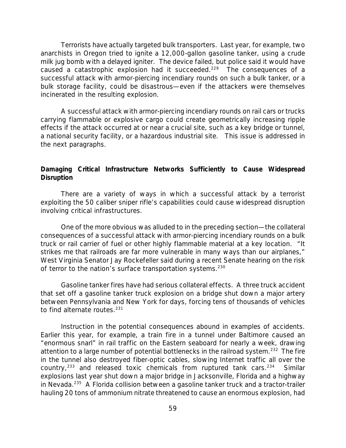Terrorists have actually targeted bulk transporters. Last year, for example, two anarchists in Oregon tried to ignite a 12,000-gallon gasoline tanker, using a crude milk jug bomb with a delayed igniter. The device failed, but police said it would have caused a catastrophic explosion had it succeeded.<sup>229</sup> The consequences of a successful attack with armor-piercing incendiary rounds on such a bulk tanker, or a bulk storage facility, could be disastrous—even if the attackers were themselves incinerated in the resulting explosion.

A successful attack with armor-piercing incendiary rounds on rail cars or trucks carrying flammable or explosive cargo could create geometrically increasing ripple effects if the attack occurred at or near a crucial site, such as a key bridge or tunnel, a national security facility, or a hazardous industrial site. This issue is addressed in the next paragraphs.

# *Damaging Critical Infrastructure Networks Sufficiently to Cause Widespread Disruption*

There are a variety of ways in which a successful attack by a terrorist exploiting the 50 caliber sniper rifle's capabilities could cause widespread disruption involving critical infrastructures.

One of the more obvious was alluded to in the preceding section—the collateral consequences of a successful attack with armor-piercing incendiary rounds on a bulk truck or rail carrier of fuel or other highly flammable material at a key location. "It strikes me that railroads are far more vulnerable in many ways than our airplanes," West Virginia Senator Jay Rockefeller said during a recent Senate hearing on the risk of terror to the nation's surface transportation systems.<sup>230</sup>

Gasoline tanker fires have had serious collateral effects. A three truck accident that set off a gasoline tanker truck explosion on a bridge shut down a major artery between Pennsylvania and New York for days, forcing tens of thousands of vehicles to find alternate routes. $231$ 

Instruction in the potential consequences abound in examples of accidents. Earlier this year, for example, a train fire in a tunnel under Baltimore caused an "enormous snarl" in rail traffic on the Eastern seaboard for nearly a week, drawing attention to a large number of potential bottlenecks in the railroad system.<sup>232</sup> The fire in the tunnel also destroyed fiber-optic cables, slowing Internet traffic all over the country,<sup>233</sup> and released toxic chemicals from ruptured tank cars.<sup>234</sup> Similar explosions last year shut down a major bridge in Jacksonville, Florida and a highway in Nevada.<sup>235</sup> A Florida collision between a gasoline tanker truck and a tractor-trailer hauling 20 tons of ammonium nitrate threatened to cause an enormous explosion, had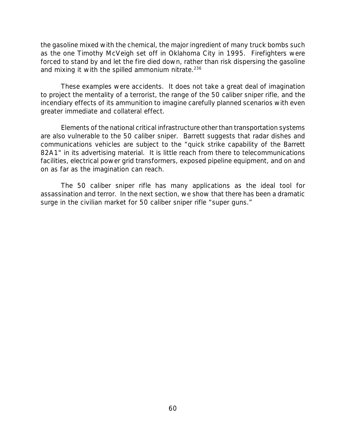the gasoline mixed with the chemical, the major ingredient of many truck bombs such as the one Timothy McVeigh set off in Oklahoma City in 1995. Firefighters were forced to stand by and let the fire died down, rather than risk dispersing the gasoline and mixing it with the spilled ammonium nitrate.<sup>236</sup>

These examples were accidents. It does not take a great deal of imagination to project the mentality of a terrorist, the range of the 50 caliber sniper rifle, and the incendiary effects of its ammunition to imagine carefully planned scenarios with even greater immediate and collateral effect.

Elements of the national critical infrastructure other than transportation systems are also vulnerable to the 50 caliber sniper. Barrett suggests that radar dishes and communications vehicles are subject to the "quick strike capability of the Barrett 82A1" in its advertising material. It is little reach from there to telecommunications facilities, electrical power grid transformers, exposed pipeline equipment, and on and on as far as the imagination can reach.

The 50 caliber sniper rifle has many applications as the ideal tool for assassination and terror. In the next section, we show that there has been a dramatic surge in the civilian market for 50 caliber sniper rifle "super guns."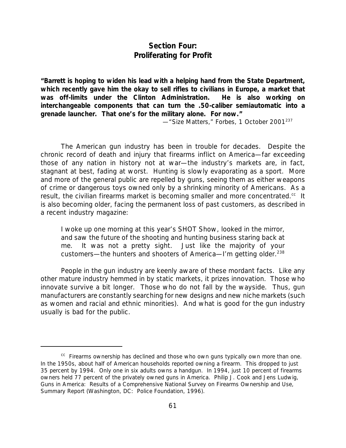# *Section Four: Proliferating for Profit*

*"Barrett is hoping to widen his lead with a helping hand from the State Department, which recently gave him the okay to sell rifles to civilians in Europe, a market that was off-limits under the Clinton Administration. He is also working on interchangeable components that can turn the .50-caliber semiautomatic into a grenade launcher. That one's for the military alone. For now."*

*—*"Size Matters," *Forbes*, 1 October 2001<sup>237</sup>

The American gun industry has been in trouble for decades. Despite the chronic record of death and injury that firearms inflict on America—far exceeding those of any nation in history not at war—the industry's markets are, in fact, stagnant at best, fading at worst. Hunting is slowly evaporating as a sport. More and more of the general public are repelled by guns, seeing them as either weapons of crime or dangerous toys owned only by a shrinking minority of Americans. As a result, the civilian firearms market is becoming smaller and more concentrated. $cc$  It is also becoming older, facing the permanent loss of past customers, as described in a recent industry magazine:

I woke up one morning at this year's SHOT Show, looked in the mirror, and saw the future of the shooting and hunting business staring back at me. It was not a pretty sight. Just like the majority of your customers—the hunters and shooters of America—I'm getting older.<sup>238</sup>

People in the gun industry are keenly aware of these mordant facts. Like any other mature industry hemmed in by static markets, it prizes innovation. Those who innovate survive a bit longer. Those who do not fall by the wayside. Thus, gun manufacturers are constantly searching for new designs and new niche markets (such as women and racial and ethnic minorities). And what is good for the gun industry usually is bad for the public.

 $\alpha$  Firearms ownership has declined and those who own guns typically own more than one. In the 1950s, about half of American households reported owning a firearm. This dropped to just 35 percent by 1994. Only one in six adults owns a handgun. In 1994, just 10 percent of firearms owners held 77 percent of the privately owned guns in America. Philip J. Cook and Jens Ludwig, *Guns in America: Results of a Comprehensive National Survey on Firearms Ownership and Use, Summary Report* (Washington, DC: Police Foundation, 1996).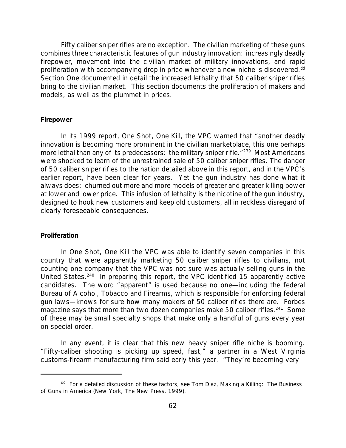Fifty caliber sniper rifles are no exception. The civilian marketing of these guns combines three characteristic features of gun industry innovation: increasingly deadly firepower, movement into the civilian market of military innovations, and rapid proliferation with accompanying drop in price whenever a new niche is discovered.<sup>dd</sup> Section One documented in detail the increased lethality that 50 caliber sniper rifles bring to the civilian market. This section documents the proliferation of makers and models, as well as the plummet in prices.

#### *Firepower*

In its 1999 report, *One Shot, One Kill*, the VPC warned that "another deadly innovation is becoming more prominent in the civilian marketplace, this one perhaps more lethal than any of its predecessors: the military sniper rifle. "239 Most Americans were shocked to learn of the unrestrained sale of 50 caliber sniper rifles. The danger of 50 caliber sniper rifles to the nation detailed above in this report, and in the VPC's earlier report, have been clear for years. Yet the gun industry has done what it always does: churned out more and more models of greater and greater killing power at lower and lower price. This infusion of lethality is the nicotine of the gun industry, designed to hook new customers and keep old customers, all in reckless disregard of clearly foreseeable consequences.

#### *Proliferation*

In *One Shot, One Kill* the VPC was able to identify seven companies in this country that were apparently marketing 50 caliber sniper rifles to civilians, not counting one company that the VPC was not sure was actually selling guns in the United States.<sup>240</sup> In preparing this report, the VPC identified 15 apparently active candidates. The word "apparent" is used because no one—including the federal Bureau of Alcohol, Tobacco and Firearms, which is responsible for enforcing federal gun laws—knows for sure how many makers of 50 caliber rifles there are. *Forbes* magazine says that more than two dozen companies make 50 caliber rifles. $^{241}$  Some of these may be small specialty shops that make only a handful of guns every year on special order.

In any event, it is clear that this new heavy sniper rifle niche is booming. "Fifty-caliber shooting is picking up speed, fast," a partner in a West Virginia customs-firearm manufacturing firm said early this year. "They're becoming very

dd For a detailed discussion of these factors, see Tom Diaz, *Making a Killing: The Business of Guns in America* (New York, The New Press, 1999).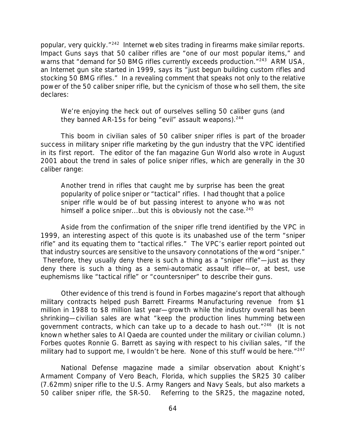popular, very quickly."<sup>242</sup> Internet web sites trading in firearms make similar reports. Impact Guns says that 50 caliber rifles are "one of our most popular items," and warns that "demand for 50 BMG rifles currently exceeds production."<sup>243</sup> ARM USA, an Internet gun site started in 1999, says its "just begun building custom rifles and stocking 50 BMG rifles." In a revealing comment that speaks not only to the relative power of the 50 caliber sniper rifle, but the cynicism of those who sell them, the site declares:

We're enjoying the heck out of ourselves selling 50 caliber guns (and they banned AR-15s for being "evil" assault weapons).<sup>244</sup>

This boom in civilian sales of 50 caliber sniper rifles is part of the broader success in military sniper rifle marketing by the gun industry that the VPC identified in its first report. The editor of the fan magazine *Gun World* also wrote in August 2001 about the trend in sales of police sniper rifles, which are generally in the 30 caliber range:

Another trend in rifles that caught me by surprise has been the great popularity of police sniper or "tactical" rifles. I had thought that a police sniper rifle would be of but passing interest to anyone who was not himself a police sniper...but this is obviously not the case.<sup>245</sup>

Aside from the confirmation of the sniper rifle trend identified by the VPC in 1999, an interesting aspect of this quote is its unabashed use of the term "sniper rifle" and its equating them to "tactical rifles." The VPC's earlier report pointed out that industry sources are sensitive to the unsavory connotations of the word "sniper." Therefore, they usually deny there is such a thing as a "sniper rifle"—just as they deny there is such a thing as a semi-automatic assault rifle—or, at best, use euphemisms like "tactical rifle" or "countersniper" to describe their guns.

Other evidence of this trend is found in *Forbes* magazine's report that although military contracts helped push Barrett Firearms Manufacturing revenue from \$1 million in 1988 to \$8 million last year—growth while the industry overall has been shrinking—civilian sales are what "keep the production lines humming between government contracts, which can take up to a decade to hash out."<sup>246</sup> (It is not known whether sales to Al Qaeda are counted under the military or civilian column.) *Forbes* quotes Ronnie G. Barrett as saying with respect to his civilian sales, "If the military had to support me, I wouldn't be here. None of this stuff would be here."<sup>247</sup>

*National Defense* magazine made a similar observation about Knight's Armament Company of Vero Beach, Florida, which supplies the SR25 30 caliber (7.62mm) sniper rifle to the U.S. Army Rangers and Navy Seals, but also markets a 50 caliber sniper rifle, the SR-50. Referring to the SR25, the magazine noted,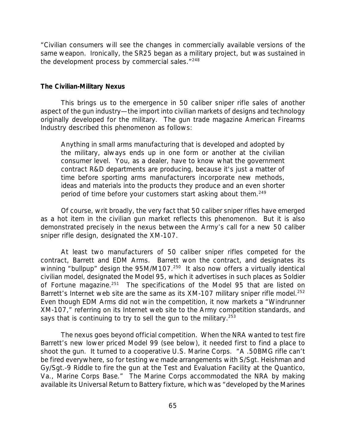"Civilian consumers will see the changes in commercially available versions of the same weapon. Ironically, the SR25 began as a military project, but was sustained in the development process by commercial sales."<sup>248</sup>

#### *The Civilian-Military Nexus*

This brings us to the emergence in 50 caliber sniper rifle sales of another aspect of the gun industry—the import into civilian markets of designs and technology originally developed for the military. The gun trade magazine *American Firearms Industry* described this phenomenon as follows:

Anything in small arms manufacturing that is developed and adopted by the military, always ends up in one form or another at the civilian consumer level. You, as a dealer, have to know what the government contract R&D departments are producing, because it's just a matter of time before sporting arms manufacturers incorporate new methods, ideas and materials into the products they produce and an even shorter period of time before your customers start asking about them.<sup>249</sup>

Of course, writ broadly, the very fact that 50 caliber sniper rifles have emerged as a hot item in the civilian gun market reflects this phenomenon. But it is also demonstrated precisely in the nexus between the Army's call for a new 50 caliber sniper rifle design, designated the XM-107.

At least two manufacturers of 50 caliber sniper rifles competed for the contract, Barrett and EDM Arms. Barrett won the contract, and designates its winning "bullpup" design the 95M/M107.<sup>250</sup> It also now offers a virtually identical civilian model, designated the Model 95, which it advertises in such places as *Soldier* of Fortune magazine.<sup>251</sup> The specifications of the Model 95 that are listed on Barrett's Internet web site are the same as its  $XM-107$  military sniper rifle model.<sup>252</sup> Even though EDM Arms did not win the competition, it now markets a "Windrunner XM-107," referring on its Internet web site to the Army competition standards, and says that is continuing to try to sell the gun to the military.<sup>253</sup>

The nexus goes beyond official competition. When the NRA wanted to test fire Barrett's new lower priced Model 99 (see below), it needed first to find a place to shoot the gun. It turned to a cooperative U.S. Marine Corps. "A .50BMG rifle can't be fired everywhere, so for testing we made arrangements with S/Sgt. Heishman and Gy/Sgt.-9 Riddle to fire the gun at the Test and Evaluation Facility at the Quantico, Va., Marine Corps Base." The Marine Corps accommodated the NRA by making available its Universal Return to Battery fixture, which was "developed by the Marines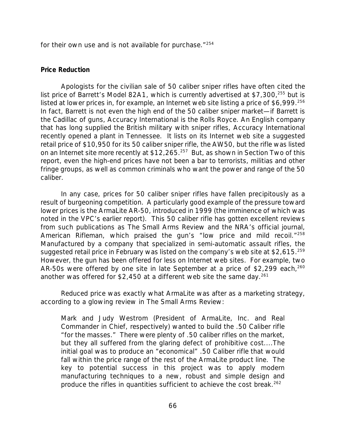for their own use and is not available for purchase."<sup>254</sup>

### *Price Reduction*

Apologists for the civilian sale of 50 caliber sniper rifles have often cited the list price of Barrett's Model 82A1, which is currently advertised at \$7,300, $^{255}$  but is listed at lower prices in, for example, an Internet web site listing a price of \$6,999.<sup>256</sup> In fact, Barrett is not even the high end of the 50 caliber sniper market—if Barrett is the Cadillac of guns, Accuracy International is the Rolls Royce. An English company that has long supplied the British military with sniper rifles, Accuracy International recently opened a plant in Tennessee. It lists on its Internet web site a suggested retail price of \$10,950 for its 50 caliber sniper rifle, the AW50, but the rifle was listed on an Internet site more recently at \$12,265.<sup>257</sup> But, as shown in Section Two of this report, even the high-end prices have not been a bar to terrorists, militias and other fringe groups, as well as common criminals who want the power and range of the 50 caliber.

In any case, prices for 50 caliber sniper rifles have fallen precipitously as a result of burgeoning competition. A particularly good example of the pressure toward lower prices is the ArmaLite AR-50, introduced in 1999 (the imminence of which was noted in the VPC's earlier report). This 50 caliber rifle has gotten excellent reviews from such publications as *The Small Arms Review* and the NRA's official journal, *American Rifleman*, which praised the gun's "low price and mild recoil."<sup>258</sup> Manufactured by a company that specialized in semi-automatic assault rifles, the suggested retail price in February was listed on the company's web site at \$2,615.<sup>259</sup> However, the gun has been offered for less on Internet web sites. For example, two AR-50s were offered by one site in late September at a price of \$2,299 each,  $260$ another was offered for \$2,450 at a different web site the same day.<sup>261</sup>

Reduced price was exactly what ArmaLite was after as a marketing strategy, according to a glowing review in *The Small Arms Review*:

Mark and Judy Westrom (President of ArmaLite, Inc. and *Real* Commander in Chief, respectively) wanted to build the .50 Caliber rifle "for the masses." There were plenty of .50 caliber rifles on the market, but they all suffered from the glaring defect of prohibitive cost....The initial goal was to produce an "economical" .50 Caliber rifle that would fall within the price range of the rest of the ArmaLite product line. The key to potential success in this project was to apply modern manufacturing techniques to a new, robust and simple design and produce the rifles in quantities sufficient to achieve the cost break.<sup>262</sup>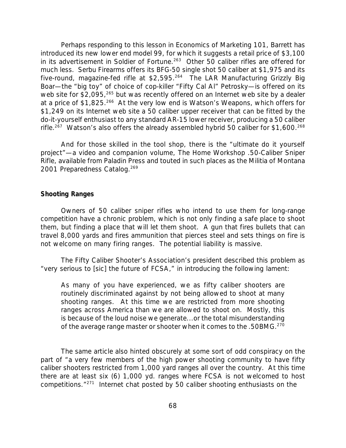Perhaps responding to this lesson in Economics of Marketing 101, Barrett has introduced its new lower end model 99, for which it suggests a retail price of \$3,100 in its advertisement in *Soldier of Fortune*. <sup>263</sup> Other 50 caliber rifles are offered for much less. Serbu Firearms offers its BFG-50 single shot 50 caliber at \$1,975 and its five-round, magazine-fed rifle at \$2,595.<sup>264</sup> The LAR Manufacturing Grizzly Big Boar—the "big toy" of choice of cop-killer "Fifty Cal Al" Petrosky—is offered on its web site for \$2,095,<sup>265</sup> but was recently offered on an Internet web site by a dealer at a price of \$1,825.<sup>266</sup> At the very low end is Watson's Weapons, which offers for \$1,249 on its Internet web site a 50 caliber upper receiver that can be fitted by the do-it-yourself enthusiast to any standard AR-15 lower receiver, producing a 50 caliber rifle.<sup>267</sup> Watson's also offers the already assembled hybrid 50 caliber for \$1,600.<sup>268</sup>

And for those skilled in the tool shop, there is the "ultimate do it yourself project"—a video and companion volume, *The Home Workshop .50-Caliber Sniper Rifle*, available from Paladin Press and touted in such places as the *Militia of Montana 2001 Preparedness Catalog.*<sup>269</sup>

#### *Shooting Ranges*

Owners of 50 caliber sniper rifles who intend to use them for long-range competition have a chronic problem, which is not only finding a safe place to shoot them, but finding a place that will let them shoot. A gun that fires bullets that can travel 8,000 yards and fires ammunition that pierces steel and sets things on fire is not welcome on many firing ranges. The potential liability is massive.

The Fifty Caliber Shooter's Association's president described this problem as "very serious to [sic] the future of FCSA," in introducing the following lament:

As many of you have experienced, we as fifty caliber shooters are routinely discriminated against by not being allowed to shoot at many shooting ranges. At this time we are restricted from more shooting ranges across America than we are allowed to shoot on. Mostly, this is because of the loud noise we generate...or the total misunderstanding of the average range master or shooter when it comes to the .50BMG.<sup>270</sup>

The same article also hinted obscurely at some sort of odd conspiracy on the part of "a very few members of the high power shooting community to have fifty caliber shooters restricted from 1,000 yard ranges all over the country. At this time there are at least six (6) 1,000 yd. ranges where FCSA is not welcomed to host competitions."271 Internet chat posted by 50 caliber shooting enthusiasts on the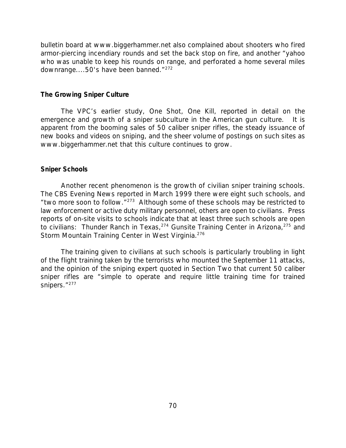bulletin board at www.biggerhammer.net also complained about shooters who fired armor-piercing incendiary rounds and set the back stop on fire, and another "yahoo who was unable to keep his rounds on range, and perforated a home several miles downrange....50's have been banned."<sup>272</sup>

### *The Growing Sniper Culture*

The VPC's earlier study, *One Shot, One Kill*, reported in detail on the emergence and growth of a sniper subculture in the American gun culture. It is apparent from the booming sales of 50 caliber sniper rifles, the steady issuance of new books and videos on sniping, and the sheer volume of postings on such sites as www.biggerhammer.net that this culture continues to grow.

## *Sniper Schools*

Another recent phenomenon is the growth of civilian sniper training schools. The *CBS Evening News* reported in March 1999 there were eight such schools, and "two more soon to follow."<sup>273</sup> Although some of these schools may be restricted to law enforcement or active duty military personnel, others are open to civilians. Press reports of on-site visits to schools indicate that at least three such schools are open to civilians: Thunder Ranch in Texas,  $274$  Gunsite Training Center in Arizona,  $275$  and Storm Mountain Training Center in West Virginia.<sup>276</sup>

The training given to civilians at such schools is particularly troubling in light of the flight training taken by the terrorists who mounted the September 11 attacks, and the opinion of the sniping expert quoted in Section Two that current 50 caliber sniper rifles are "simple to operate and require little training time for trained snipers."<sup>277</sup>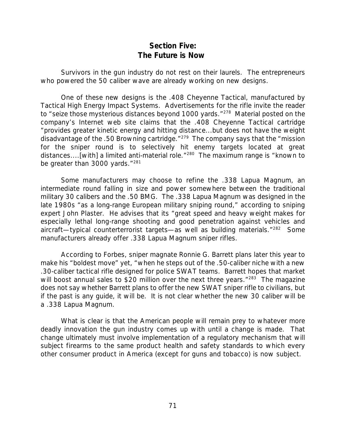# *Section Five: The Future is Now*

Survivors in the gun industry do not rest on their laurels. The entrepreneurs who powered the 50 caliber wave are already working on new designs.

One of these new designs is the .408 Cheyenne Tactical, manufactured by Tactical High Energy Impact Systems. Advertisements for the rifle invite the reader to "seize those mysterious distances beyond 1000 yards."<sup>278</sup> Material posted on the company's Internet web site claims that the .408 Cheyenne Tactical cartridge "provides greater kinetic energy and hitting distance...but does not have the weight disadvantage of the .50 Browning cartridge."<sup>279</sup> The company says that the "mission for the sniper round is to selectively hit enemy targets located at great distances....[with] a limited anti-material role.<sup>"280</sup> The maximum range is "known to be greater than 3000 yards."<sup>281</sup>

Some manufacturers may choose to refine the .338 Lapua Magnum, an intermediate round falling in size and power somewhere between the traditional military 30 calibers and the .50 BMG. The .338 Lapua Magnum was designed in the late 1980s "as a long-range European military sniping round," according to sniping expert John Plaster. He advises that its "great speed and heavy weight makes for especially lethal long-range shooting and good penetration against vehicles and aircraft-typical counterterrorist targets-as well as building materials."<sup>282</sup> Some manufacturers already offer .338 Lapua Magnum sniper rifles.

According to *Forbes*, sniper magnate Ronnie G. Barrett plans later this year to make his "boldest move" yet, "when he steps out of the .50-caliber niche with a new .30-caliber tactical rifle designed for police SWAT teams. Barrett hopes that market will boost annual sales to \$20 million over the next three years."<sup>283</sup> The magazine does not say whether Barrett plans to offer the new SWAT sniper rifle to civilians, but if the past is any guide, it will be. It is not clear whether the new 30 caliber will be a .338 Lapua Magnum.

What is clear is that the American people will remain prey to whatever more deadly innovation the gun industry comes up with until a change is made. That change ultimately must involve implementation of a regulatory mechanism that will subject firearms to the same product health and safety standards to which every other consumer product in America (except for guns and tobacco) is now subject.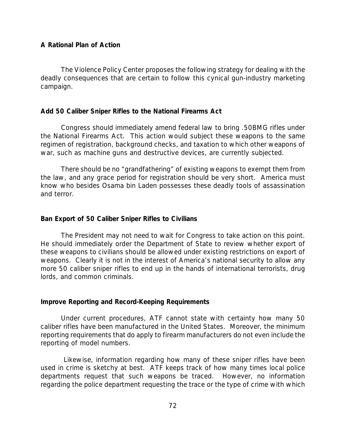## *A Rational Plan of Action*

The Violence Policy Center proposes the following strategy for dealing with the deadly consequences that are certain to follow this cynical gun-industry marketing campaign.

#### *Add 50 Caliber Sniper Rifles to the National Firearms Act*

Congress should immediately amend federal law to bring .50BMG rifles under the National Firearms Act. This action would subject these weapons to the same regimen of registration, background checks, and taxation to which other weapons of war, such as machine guns and destructive devices, are currently subjected.

There should be no "grandfathering" of existing weapons to exempt them from the law, and any grace period for registration should be very short. America must know who besides Osama bin Laden possesses these deadly tools of assassination and terror.

## *Ban Export of 50 Caliber Sniper Rifles to Civilians*

The President may not need to wait for Congress to take action on this point. He should immediately order the Department of State to review whether export of these weapons to civilians should be allowed under existing restrictions on export of weapons. Clearly it is not in the interest of America's national security to allow any more 50 caliber sniper rifles to end up in the hands of international terrorists, drug lords, and common criminals.

#### *Improve Reporting and Record-Keeping Requirements*

Under current procedures, ATF cannot state with certainty how many 50 caliber rifles have been manufactured in the United States. Moreover, the minimum reporting requirements that do apply to firearm manufacturers do not even include the reporting of model numbers.

 Likewise, information regarding how many of these sniper rifles have been used in crime is sketchy at best. ATF keeps track of how many times local police departments request that such weapons be traced. However, no information regarding the police department requesting the trace or the type of crime with which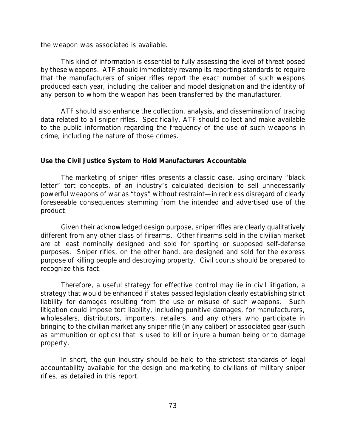the weapon was associated is available.

This kind of information is essential to fully assessing the level of threat posed by these weapons. ATF should immediately revamp its reporting standards to require that the manufacturers of sniper rifles report the exact number of such weapons produced each year, including the caliber and model designation and the identity of any person to whom the weapon has been transferred by the manufacturer.

ATF should also enhance the collection, analysis, and dissemination of tracing data related to all sniper rifles. Specifically, ATF should collect and make available to the public information regarding the frequency of the use of such weapons in crime, including the nature of those crimes.

# *Use the Civil Justice System to Hold Manufacturers Accountable*

The marketing of sniper rifles presents a classic case, using ordinary "black letter" tort concepts, of an industry's calculated decision to sell unnecessarily powerful weapons of war as "toys" without restraint—in reckless disregard of clearly foreseeable consequences stemming from the intended and advertised use of the product.

Given their acknowledged design purpose, sniper rifles are clearly *qualitatively* different from any other class of firearms. Other firearms sold in the civilian market are at least nominally designed and sold for sporting or supposed self-defense purposes. Sniper rifles, on the other hand, are designed and sold for the express purpose of killing people and destroying property. Civil courts should be prepared to recognize this fact.

Therefore, a useful strategy for effective control may lie in civil litigation, a strategy that would be enhanced if states passed legislation clearly establishing strict liability for damages resulting from the use or misuse of such weapons. Such litigation could impose tort liability, including punitive damages, for manufacturers, wholesalers, distributors, importers, retailers, and any others who participate in bringing to the civilian market any sniper rifle (in any caliber) or associated gear (such as ammunition or optics) that is used to kill or injure a human being or to damage property.

In short, the gun industry should be held to the strictest standards of legal accountability available for the design and marketing to civilians of military sniper rifles, as detailed in this report.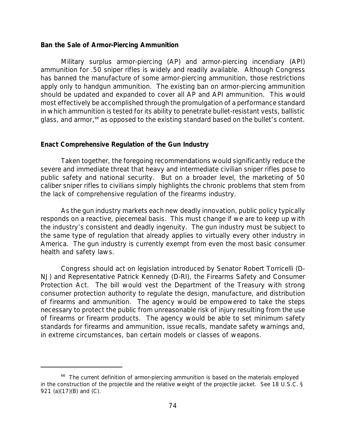#### *Ban the Sale of Armor-Piercing Ammunition*

Military surplus armor-piercing (AP) and armor-piercing incendiary (API) ammunition for .50 sniper rifles is widely and readily available. Although Congress has banned the manufacture of some armor-piercing ammunition, those restrictions apply only to handgun ammunition. The existing ban on armor-piercing ammunition should be updated and expanded to cover all AP and API ammunition. This would most effectively be accomplished through the promulgation of a performance standard in which ammunition is tested for its ability to *penetrate* bullet-resistant vests, ballistic glass, and armor, <sup>ee</sup> as opposed to the existing standard based on the bullet's *content*.

## *Enact Comprehensive Regulation of the Gun Industry*

Taken together, the foregoing recommendations would significantly reduce the severe and immediate threat that heavy and intermediate civilian sniper rifles pose to public safety and national security. But on a broader level, the marketing of 50 caliber sniper rifles to civilians simply highlights the chronic problems that stem from the lack of comprehensive regulation of the firearms industry.

As the gun industry markets each new deadly innovation, public policy typically responds on a reactive, piecemeal basis. This must change if we are to keep up with the industry's consistent and deadly ingenuity. *The gun industry must be subject to the same type of regulation that already applies to virtually every other industry in America.* The gun industry is currently exempt from even the most basic consumer health and safety laws.

Congress should act on legislation introduced by Senator Robert Torricelli (D-NJ) and Representative Patrick Kennedy (D-RI), the Firearms Safety and Consumer Protection Act. The bill would vest the Department of the Treasury with strong consumer protection authority to regulate the design, manufacture, and distribution of firearms and ammunition. The agency would be empowered to take the steps necessary to protect the public from *unreasonable* risk of injury resulting from the use of firearms or firearm products. The agency would be able to set minimum safety standards for firearms and ammunition, issue recalls, mandate safety warnings and, in extreme circumstances, ban certain models or classes of weapons.

<sup>&</sup>lt;sup>ee</sup> The current definition of armor-piercing ammunition is based on the materials employed in the construction of the projectile and the relative weight of the projectile jacket. See 18 U.S.C. § 921 (a)(17)(B) and (C).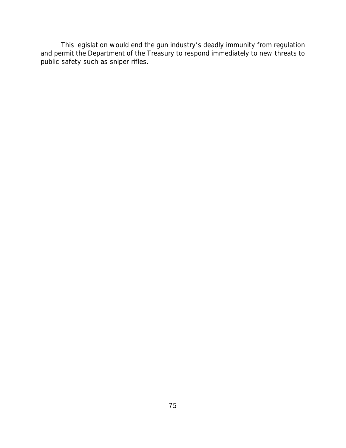This legislation would end the gun industry's deadly immunity from regulation and permit the Department of the Treasury to respond immediately to new threats to public safety such as sniper rifles.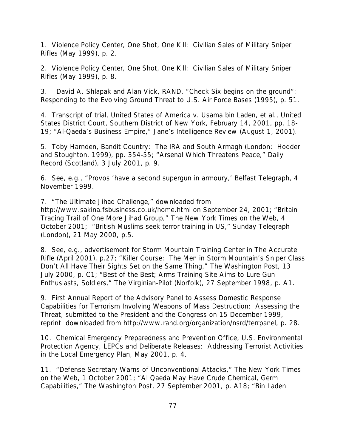1. Violence Policy Center, *One Shot, One Kill: Civilian Sales of Military Sniper Rifles* (May 1999), p. 2.

2. Violence Policy Center, *One Shot, One Kill: Civilian Sales of Military Sniper Rifles* (May 1999), p. 8.

3. David A. Shlapak and Alan Vick, RAND, *"Check Six begins on the ground": Responding to the Evolving Ground Threat to U.S. Air Force Bases* (1995), p. 51.

4. Transcript of trial, *United States of America v. Usama bin Laden, et al.,* United States District Court, Southern District of New York, February 14, 2001, pp. 18- 19; "Al-Qaeda's Business Empire," *Jane's Intelligence Review* (August 1, 2001).

5. Toby Harnden, *Bandit Country: The IRA and South Armagh* (London: Hodder and Stoughton, 1999), pp. 354-55; "Arsenal Which Threatens Peace," *Daily Record* (Scotland), 3 July 2001, p. 9.

6. See, e.g., "Provos 'have a second supergun in armoury,' *Belfast Telegraph*, 4 November 1999.

7. "The Ultimate Jihad Challenge," downloaded from http://www.sakina.fsbusiness.co.uk/home.html on September 24, 2001; "Britain Tracing Trail of One More Jihad Group," *The New York Times on the Web*, 4 October 2001; "British Muslims seek terror training in US," *Sunday Telegraph (London)*, 21 May 2000, p.5.

8. See, e.g., advertisement for Storm Mountain Training Center in *The Accurate Rifle* (April 2001), p.27; "Killer Course: The Men in Storm Mountain's Sniper Class Don't All Have Their Sights Set on the Same Thing," *The Washington Post*, 13 July 2000, p. C1; "Best of the Best; Arms Training Site Aims to Lure Gun Enthusiasts, Soldiers," *The Virginian-Pilot (Norfolk)*, 27 September 1998, p. A1.

9. *First Annual Report of the Advisory Panel to Assess Domestic Response Capabilities for Terrorism Involving Weapons of Mass Destruction: Assessing the Threat*, submitted to the President and the Congress on 15 December 1999, reprint downloaded from http://www.rand.org/organization/nsrd/terrpanel, p. 28.

10. Chemical Emergency Preparedness and Prevention Office, U.S. Environmental Protection Agency, *LEPCs and Deliberate Releases: Addressing Terrorist Activities in the Local Emergency Plan*, May 2001, p. 4.

11. "Defense Secretary Warns of Unconventional Attacks," *The New York Times on the Web*, 1 October 2001; "Al Qaeda May Have Crude Chemical, Germ Capabilities," *The Washington Post*, 27 September 2001, p. A18; "Bin Laden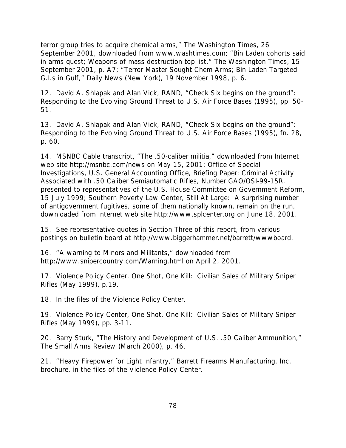terror group tries to acquire chemical arms," *The Washington Times*, 26 September 2001, downloaded from www.washtimes.com; "Bin Laden cohorts said in arms quest; Weapons of mass destruction top list," *The Washington Times*, 15 September 2001, p. A7; "Terror Master Sought Chem Arms; Bin Laden Targeted G.I.s in Gulf," *Daily News (New York)*, 19 November 1998, p. 6.

12. David A. Shlapak and Alan Vick, RAND, *"Check Six begins on the ground": Responding to the Evolving Ground Threat to U.S. Air Force Bases* (1995), pp. 50- 51.

13. David A. Shlapak and Alan Vick, RAND, *"Check Six begins on the ground": Responding to the Evolving Ground Threat to U.S. Air Force Bases* (1995), fn. 28, p. 60.

14. MSNBC Cable transcript, "The .50-caliber militia," downloaded from Internet web site http://msnbc.com/news on May 15, 2001; Office of Special Investigations, U.S. General Accounting Office, *Briefing Paper: Criminal Activity Associated with .50 Caliber Semiautomatic Rifles*, Number GAO/OSI-99-15R, presented to representatives of the U.S. House Committee on Government Reform, 15 July 1999; Southern Poverty Law Center, *Still At Large: A surprising number of antigovernment fugitives, some of them nationally known, remain on the run*, downloaded from Internet web site http://www.splcenter.org on June 18, 2001.

15. See representative quotes in Section Three of this report, from various postings on bulletin board at http://www.biggerhammer.net/barrett/wwwboard.

16. "A warning to Minors and Militants," downloaded from http://www.snipercountry.com/Warning.html on April 2, 2001.

17. Violence Policy Center, *One Shot, One Kill: Civilian Sales of Military Sniper Rifles* (May 1999), p.19.

18. In the files of the Violence Policy Center.

19. Violence Policy Center, *One Shot, One Kill: Civilian Sales of Military Sniper Rifles* (May 1999), pp. 3-11.

20. Barry Sturk, "The History and Development of U.S. .50 Caliber Ammunition," *The Small Arms Review* (March 2000), p. 46.

21. "Heavy Firepower for Light Infantry," Barrett Firearms Manufacturing, Inc. brochure, in the files of the Violence Policy Center.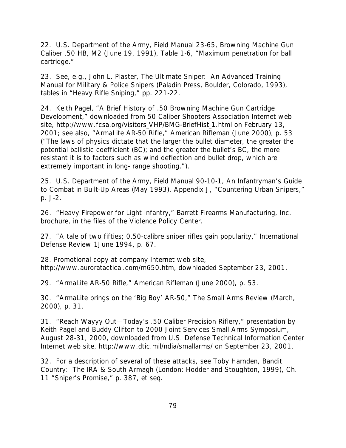22. U.S. Department of the Army, Field Manual 23-65, *Browning Machine Gun Caliber .50 HB, M2* (June 19, 1991), Table 1-6, "Maximum penetration for ball cartridge."

23. See, e.g., John L. Plaster, *The Ultimate Sniper: An Advanced Training Manual for Military & Police Snipers* (Paladin Press, Boulder, Colorado, 1993), tables in "Heavy Rifle Sniping," pp. 221-22.

24. Keith Pagel, "A Brief History of .50 Browning Machine Gun Cartridge Development," downloaded from 50 Caliber Shooters Association Internet web site, http://www.fcsa.org/visitors VHP/BMG-BriefHist 1.html on February 13, 2001; see also, "ArmaLite AR-50 Rifle," *American Rifleman* (June 2000), p. 53 ("The laws of physics dictate that the larger the bullet diameter, the greater the potential ballistic coefficient (BC); and the greater the bullet's BC, the more resistant it is to factors such as wind deflection and bullet drop, which are extremely important in long- range shooting.").

25. U.S. Department of the Army, Field Manual 90-10-1, *An Infantryman's Guide to Combat in Built-Up Areas* (May 1993), Appendix J, "Countering Urban Snipers," p. J-2.

26. "Heavy Firepower for Light Infantry," Barrett Firearms Manufacturing, Inc. brochure, in the files of the Violence Policy Center.

27. "A tale of two fifties; 0.50-calibre sniper rifles gain popularity," *International Defense Review* 1June 1994, p. 67.

28. Promotional copy at company Internet web site, http://www.auroratactical.com/m650.htm, downloaded September 23, 2001.

29. "ArmaLite AR-50 Rifle," *American Rifleman* (June 2000), p. 53.

30. "ArmaLite brings on the '*Big Boy*' AR-50," *The Small Arms Review* (March, 2000), p. 31.

31. "Reach Wayyy Out—Today's .50 Caliber Precision Riflery," presentation by Keith Pagel and Buddy Clifton to 2000 Joint Services Small Arms Symposium, August 28-31, 2000, downloaded from U.S. Defense Technical Information Center Internet web site, http://www.dtic.mil/ndia/smallarms/ on September 23, 2001.

32. For a description of several of these attacks, see Toby Harnden, *Bandit Country: The IRA & South Armagh* (London: Hodder and Stoughton, 1999), Ch. 11 "Sniper's Promise," p. 387, *et seq.*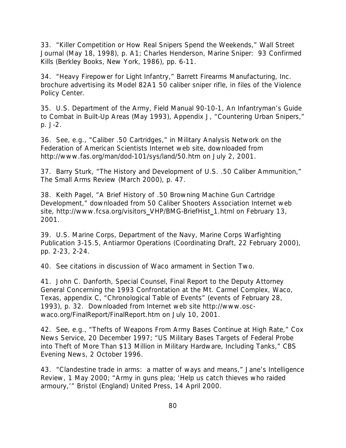33. "Killer Competition or How Real Snipers Spend the Weekends," *Wall Street Journal* (May 18, 1998), p. A1; Charles Henderson, *Marine Sniper: 93 Confirmed Kills* (Berkley Books, New York, 1986), pp. 6-11.

34. "Heavy Firepower for Light Infantry," Barrett Firearms Manufacturing, Inc. brochure advertising its Model 82A1 50 caliber sniper rifle, in files of the Violence Policy Center.

35. U.S. Department of the Army, Field Manual 90-10-1, *An Infantryman's Guide to Combat in Built-Up Areas* (May 1993), Appendix J, "Countering Urban Snipers," p. J-2.

36. See, e.g., "Caliber .50 Cartridges," in *Military Analysis Network* on the Federation of American Scientists Internet web site, downloaded from http://www.fas.org/man/dod-101/sys/land/50.htm on July 2, 2001.

37. Barry Sturk, "The History and Development of U.S. .50 Caliber Ammunition," *The Small Arms Review* (March 2000), p. 47.

38. Keith Pagel, "A Brief History of .50 Browning Machine Gun Cartridge Development," downloaded from 50 Caliber Shooters Association Internet web site, http://www.fcsa.org/visitors\_VHP/BMG-BriefHist\_1.html on February 13, 2001.

39. U.S. Marine Corps, Department of the Navy, Marine Corps Warfighting Publication 3-15.5, *Antiarmor Operations* (Coordinating Draft, 22 February 2000), pp. 2-23, 2-24.

40. See citations in discussion of Waco armament in Section Two.

41. John C. Danforth, Special Counsel, *Final Report to the Deputy Attorney General Concerning the 1993 Confrontation at the Mt. Carmel Complex, Waco, Texas*, appendix C, "Chronological Table of Events" (events of February 28, 1993), p. 32. Downloaded from Internet web site http://www.oscwaco.org/FinalReport/FinalReport.htm on July 10, 2001.

42. See, e.g., "Thefts of Weapons From Army Bases Continue at High Rate," *Cox News Service*, 20 December 1997; "US Military Bases Targets of Federal Probe into Theft of More Than \$13 Million in Military Hardware, Including Tanks," *CBS Evening News*, 2 October 1996.

43. "Clandestine trade in arms: a matter of ways and means," *Jane's Intelligence Review*, 1 May 2000; "Army in guns plea; 'Help us catch thieves who raided armoury,'" *Bristol (England) United Press*, 14 April 2000.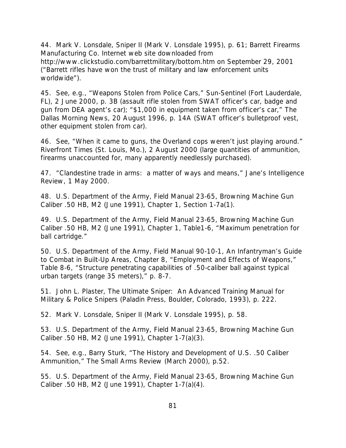44. Mark V. Lonsdale, *Sniper II* (Mark V. Lonsdale 1995), p. 61; Barrett Firearms Manufacturing Co. Internet web site downloaded from http://www.clickstudio.com/barrettmilitary/bottom.htm on September 29, 2001 ("Barrett rifles have won the trust of military and law enforcement units worldwide").

45. See, e.g., "Weapons Stolen from Police Cars," *Sun-Sentinel (Fort Lauderdale, FL)*, 2 June 2000, p. 3B (assault rifle stolen from SWAT officer's car, badge and gun from DEA agent's car); "\$1,000 in equipment taken from officer's car," *The Dallas Morning News*, 20 August 1996, p. 14A (SWAT officer's bulletproof vest, other equipment stolen from car).

46. See, "When it came to guns, the Overland cops weren't just playing around." *Riverfront Times (St. Louis, Mo.)*, 2 August 2000 (large quantities of ammunition, firearms unaccounted for, many apparently needlessly purchased).

47. "Clandestine trade in arms: a matter of ways and means," *Jane's Intelligence Review*, 1 May 2000.

48. U.S. Department of the Army, Field Manual 23-65, *Browning Machine Gun Caliber .50 HB, M2* (June 1991), Chapter 1, Section 1-7a(1).

49. U.S. Department of the Army, Field Manual 23-65, *Browning Machine Gun Caliber .50 HB, M2* (June 1991), Chapter 1, Table1-6, "Maximum penetration for ball cartridge."

50. U.S. Department of the Army, Field Manual 90-10-1, *An Infantryman's Guide to Combat in Built-Up Areas*, Chapter 8, "Employment and Effects of Weapons," Table 8-6, "Structure penetrating capabilities of .50-caliber ball against typical urban targets (range 35 meters)," p. 8-7.

51. John L. Plaster, *The Ultimate Sniper: An Advanced Training Manual for Military & Police Snipers* (Paladin Press, Boulder, Colorado, 1993), p. 222.

52. Mark V. Lonsdale, *Sniper II* (Mark V. Lonsdale 1995), p. 58.

53. U.S. Department of the Army, Field Manual 23-65, *Browning Machine Gun Caliber .50 HB, M2* (June 1991), Chapter 1-7(a)(3).

54. See, e.g., Barry Sturk, "The History and Development of U.S. .50 Caliber Ammunition," *The Small Arms Review* (March 2000), p.52.

55. U.S. Department of the Army, Field Manual 23-65, *Browning Machine Gun Caliber .50 HB, M2* (June 1991), Chapter 1-7(a)(4).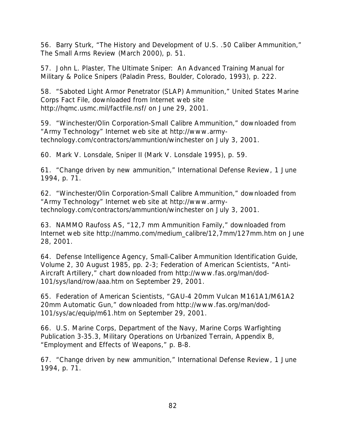56. Barry Sturk, "The History and Development of U.S. .50 Caliber Ammunition," *The Small Arms Review* (March 2000), p. 51.

57. John L. Plaster, *The Ultimate Sniper: An Advanced Training Manual for Military & Police Snipers* (Paladin Press, Boulder, Colorado, 1993), p. 222.

58. "Saboted Light Armor Penetrator (SLAP) Ammunition," United States Marine Corps Fact File, downloaded from Internet web site http://hqmc.usmc.mil/factfile.nsf/ on June 29, 2001.

59. "Winchester/Olin Corporation-Small Calibre Ammunition," downloaded from "Army Technology" Internet web site at http://www.armytechnology.com/contractors/ammuntion/winchester on July 3, 2001.

60. Mark V. Lonsdale, *Sniper II* (Mark V. Lonsdale 1995), p. 59.

61. "Change driven by new ammunition," *International Defense Review*, 1 June 1994, p. 71.

62. "Winchester/Olin Corporation-Small Calibre Ammunition," downloaded from "Army Technology" Internet web site at http://www.armytechnology.com/contractors/ammuntion/winchester on July 3, 2001.

63. NAMMO Raufoss AS, "12,7 mm Ammunition Family," downloaded from Internet web site http://nammo.com/medium\_calibre/12,7mm/127mm.htm on June 28, 2001.

64. Defense Intelligence Agency, *Small-Caliber Ammunition Identification Guide, Volume 2*, 30 August 1985, pp. 2-3; Federation of American Scientists, "Anti-Aircraft Artillery," chart downloaded from http://www.fas.org/man/dod-101/sys/land/row/aaa.htm on September 29, 2001.

65. Federation of American Scientists, "GAU-4 20mm Vulcan M161A1/M61A2 20mm Automatic Gun," downloaded from http://www.fas.org/man/dod-101/sys/ac/equip/m61.htm on September 29, 2001.

66. U.S. Marine Corps, Department of the Navy, Marine Corps Warfighting Publication 3-35.3, *Military Operations on Urbanized Terrain*, Appendix B, "Employment and Effects of Weapons," p. B-8.

67. "Change driven by new ammunition," *International Defense Review*, 1 June 1994, p. 71.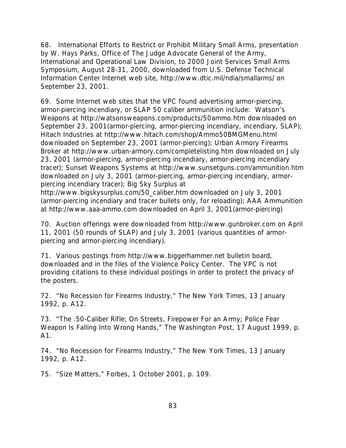68. *International Efforts to Restrict or Prohibit Military Small Arms*, presentation by W. Hays Parks, Office of The Judge Advocate General of the Army, International and Operational Law Division, to 2000 Joint Services Small Arms Symposium, August 28-31, 2000, downloaded from U.S. Defense Technical Information Center Internet web site, http://www.dtic.mil/ndia/smallarms/ on September 23, 2001.

69. Some Internet web sites that the VPC found advertising armor-piercing, armor-piercing incendiary, or SLAP 50 caliber ammunition include: Watson's Weapons at http://watsonsweapons.com/products/50ammo.htm downloaded on September 23, 2001(armor-piercing, armor-piercing incendiary, incendiary, SLAP); Hitach Industries at http://www.hitach.com/shop/Ammo50BMGMenu.html downloaded on September 23, 2001 (armor-piercing); Urban Armory Firearms Broker at http://www.urban-armory.com/completelisting.htm downloaded on July 23, 2001 (armor-piercing, armor-piercing incendiary, armor-piercing incendiary tracer); Sunset Weapons Systems at http://www.sunsetguns.com/ammunition.htm downloaded on July 3, 2001 (armor-piercing, armor-piercing incendiary, armorpiercing incendiary tracer); Big Sky Surplus at

http://www.bigskysurplus.com/50\_caliber.htm downloaded on July 3, 2001 (armor-piercing incendiary and tracer bullets only, for reloading); AAA Ammunition at http://www.aaa-ammo.com downloaded on April 3, 2001(armor-piercing)

70. Auction offerings were downloaded from http://www.gunbroker.com on April 11, 2001 (50 rounds of SLAP) and July 3, 2001 (various quantities of armorpiercing and armor-piercing incendiary).

71. Various postings from http://www.biggerhammer.net bulletin board, downloaded and in the files of the Violence Policy Center. The VPC is not providing citations to these individual postings in order to protect the privacy of the posters.

72. "No Recession for Firearms Industry," *The New York Times*, 13 January 1992, p. A12.

73. "The .50-Caliber Rifle; On Streets, Firepower For an Army; Police Fear Weapon Is Falling Into Wrong Hands," *The Washington Post*, 17 August 1999, p. A1.

74. "No Recession for Firearms Industry," *The New York Times*, 13 January 1992, p. A12.

75. "Size Matters," *Forbes*, 1 October 2001, p. 109.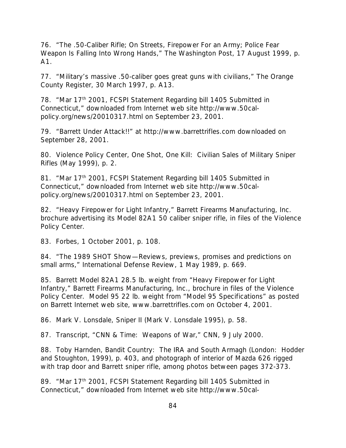76. "The .50-Caliber Rifle; On Streets, Firepower For an Army; Police Fear Weapon Is Falling Into Wrong Hands," *The Washington Post*, 17 August 1999, p. A1.

77. "Military's massive .50-caliber goes great guns with civilians," *The Orange County Register*, 30 March 1997, p. A13.

78. "Mar 17<sup>th</sup> 2001, FCSPI Statement Regarding bill 1405 Submitted in Connecticut," downloaded from Internet web site http://www.50calpolicy.org/news/20010317.html on September 23, 2001.

79. "Barrett Under Attack!!" at http://www.barrettrifles.com downloaded on September 28, 2001.

80. Violence Policy Center, *One Shot, One Kill: Civilian Sales of Military Sniper Rifles* (May 1999), p. 2.

81. "Mar 17<sup>th</sup> 2001, FCSPI Statement Regarding bill 1405 Submitted in Connecticut," downloaded from Internet web site http://www.50calpolicy.org/news/20010317.html on September 23, 2001.

82. "Heavy Firepower for Light Infantry," Barrett Firearms Manufacturing, Inc. brochure advertising its Model 82A1 50 caliber sniper rifle, in files of the Violence Policy Center.

83. *Forbes*, 1 October 2001, p. 108.

84. "The 1989 SHOT Show—Reviews, previews, promises and predictions on small arms," *International Defense Review*, 1 May 1989, p. 669.

85. Barrett Model 82A1 28.5 lb. weight from "Heavy Firepower for Light Infantry," Barrett Firearms Manufacturing, Inc., brochure in files of the Violence Policy Center. Model 95 22 lb. weight from "Model 95 Specifications" as posted on Barrett Internet web site, www.barrettrifles.com on October 4, 2001.

86. Mark V. Lonsdale, *Sniper II* (Mark V. Lonsdale 1995), p. 58.

87. Transcript, "CNN & Time: Weapons of War," *CNN*, 9 July 2000.

88. Toby Harnden, *Bandit Country: The IRA and South Armagh* (London: Hodder and Stoughton, 1999), p. 403, and photograph of interior of Mazda 626 rigged with trap door and Barrett sniper rifle, among photos between pages 372-373.

89. "Mar 17<sup>th</sup> 2001, FCSPI Statement Regarding bill 1405 Submitted in Connecticut," downloaded from Internet web site http://www.50cal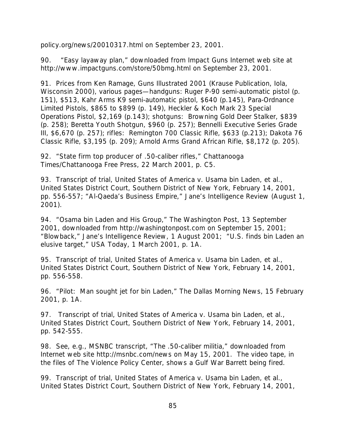policy.org/news/20010317.html on September 23, 2001.

90. "Easy layaway plan," downloaded from Impact Guns Internet web site at http://www.impactguns.com/store/50bmg.html on September 23, 2001.

91. Prices from Ken Ramage, *Guns Illustrated 2001* (Krause Publication, Iola, Wisconsin 2000), various pages—*handguns:* Ruger P-90 semi-automatic pistol (p. 151), \$513, Kahr Arms K9 semi-automatic pistol, \$640 (p.145), Para-Ordnance Limited Pistols, \$865 to \$899 (p. 149), Heckler & Koch Mark 23 Special Operations Pistol, \$2,169 (p.143); *shotguns*: Browning Gold Deer Stalker, \$839 (p. 258); Beretta Youth Shotgun, \$960 (p. 257); Bennelli Executive Series Grade III, \$6,670 (p. 257); *rifles*: Remington 700 Classic Rifle, \$633 (p.213); Dakota 76 Classic Rifle, \$3,195 (p. 209); Arnold Arms Grand African Rifle, \$8,172 (p. 205).

92. "State firm top producer of .50-caliber rifles," *Chattanooga Times/Chattanooga Free Press*, 22 March 2001, p. C5.

93. Transcript of trial, *United States of America v. Usama bin Laden, et al.,* United States District Court, Southern District of New York, February 14, 2001, pp. 556-557; "Al-Qaeda's Business Empire," *Jane's Intelligence Review* (August 1, 2001).

94. "Osama bin Laden and His Group," *The Washington Post*, 13 September 2001, downloaded from http://washingtonpost.com on September 15, 2001; "Blowback," *Jane's Intelligence Review*, 1 August 2001; "U.S. finds bin Laden an elusive target," *USA Today*, 1 March 2001, p. 1A.

95. Transcript of trial, *United States of America v. Usama bin Laden, et al.,* United States District Court, Southern District of New York, February 14, 2001, pp. 556-558.

96. "Pilot: Man sought jet for bin Laden," *The Dallas Morning News*, 15 February 2001, p. 1A.

97. Transcript of trial, *United States of America v. Usama bin Laden, et al.,* United States District Court, Southern District of New York, February 14, 2001, pp. 542-555.

98. See, e.g., MSNBC transcript, "The .50-caliber militia," downloaded from Internet web site http://msnbc.com/news on May 15, 2001. The video tape, in the files of The Violence Policy Center, shows a Gulf War Barrett being fired.

99. Transcript of trial, *United States of America v. Usama bin Laden, et al.,* United States District Court, Southern District of New York, February 14, 2001,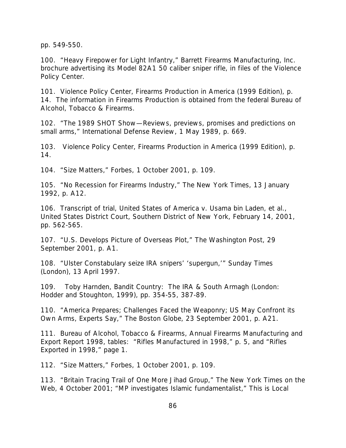pp. 549-550.

100. "Heavy Firepower for Light Infantry," Barrett Firearms Manufacturing, Inc. brochure advertising its Model 82A1 50 caliber sniper rifle, in files of the Violence Policy Center.

101. Violence Policy Center, *Firearms Production in America (1999 Edition),* p. 14. The information in *Firearms Production* is obtained from the federal Bureau of Alcohol, Tobacco & Firearms.

102. "The 1989 SHOT Show—Reviews, previews, promises and predictions on small arms," *International Defense Review*, 1 May 1989, p. 669.

103. Violence Policy Center, *Firearms Production in America (1999 Edition),* p. 14.

104. "Size Matters," *Forbes*, 1 October 2001, p. 109.

105. "No Recession for Firearms Industry," *The New York Times*, 13 January 1992, p. A12.

106. Transcript of trial, *United States of America v. Usama bin Laden, et al.,* United States District Court, Southern District of New York, February 14, 2001, pp. 562-565.

107. "U.S. Develops Picture of Overseas Plot," *The Washington Post*, 29 September 2001, p. A1.

108. "Ulster Constabulary seize IRA snipers' 'supergun,'" *Sunday Times (London)*, 13 April 1997.

109. Toby Harnden, *Bandit Country: The IRA & South Armagh* (London: Hodder and Stoughton, 1999), pp. 354-55, 387-89.

110. "America Prepares; Challenges Faced the Weaponry; US May Confront its Own Arms, Experts Say," *The Boston Globe*, 23 September 2001, p. A21.

111. Bureau of Alcohol, Tobacco & Firearms, *Annual Firearms Manufacturing and Export Report 1998*, tables: "Rifles Manufactured in 1998," p. 5, and "Rifles Exported in 1998," page 1.

112. "Size Matters," *Forbes*, 1 October 2001, p. 109.

113. "Britain Tracing Trail of One More Jihad Group," *The New York Times on the Web*, 4 October 2001; "MP investigates Islamic fundamentalist," *This is Local*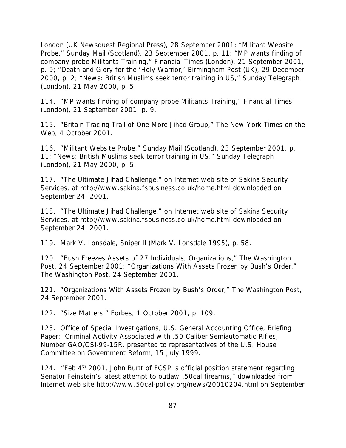*London (UK Newsquest Regional Press)*, 28 September 2001; "Militant Website Probe," *Sunday Mail (Scotland)*, 23 September 2001, p. 11; "MP wants finding of company probe Militants Training," *Financial Times (London)*, 21 September 2001, p. 9; "Death and Glory for the 'Holy Warrior,' *Birmingham Post (UK)*, 29 December 2000, p. 2; "News: British Muslims seek terror training in US," *Sunday Telegraph (London)*, 21 May 2000, p. 5.

114. "MP wants finding of company probe Militants Training," *Financial Times (London)*, 21 September 2001, p. 9.

115. "Britain Tracing Trail of One More Jihad Group," *The New York Times on the Web*, 4 October 2001.

116. "Militant Website Probe," *Sunday Mail (Scotland)*, 23 September 2001, p. 11; "News: British Muslims seek terror training in US," *Sunday Telegraph (London)*, 21 May 2000, p. 5.

117. "The Ultimate Jihad Challenge," on Internet web site of Sakina Security Services, at http://www.sakina.fsbusiness.co.uk/home.html downloaded on September 24, 2001.

118. "The Ultimate Jihad Challenge," on Internet web site of Sakina Security Services, at http://www.sakina.fsbusiness.co.uk/home.html downloaded on September 24, 2001.

119. Mark V. Lonsdale, *Sniper II* (Mark V. Lonsdale 1995), p. 58.

120. "Bush Freezes Assets of 27 Individuals, Organizations," *The Washington Post*, 24 September 2001; "Organizations With Assets Frozen by Bush's Order," *The Washington Post*, 24 September 2001.

121. "Organizations With Assets Frozen by Bush's Order," *The Washington Post*, 24 September 2001.

122. "Size Matters," *Forbes*, 1 October 2001, p. 109.

123. Office of Special Investigations, U.S. General Accounting Office, *Briefing Paper: Criminal Activity Associated with .50 Caliber Semiautomatic Rifles*, Number GAO/OSI-99-15R, presented to representatives of the U.S. House Committee on Government Reform, 15 July 1999.

124. "Feb 4<sup>th</sup> 2001, John Burtt of FCSPI's official position statement regarding Senator Feinstein's latest attempt to outlaw .50cal firearms," downloaded from Internet web site http://www.50cal-policy.org/news/20010204.html on September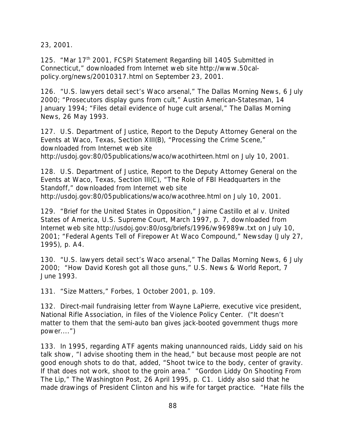23, 2001.

125. "Mar 17<sup>th</sup> 2001, FCSPI Statement Regarding bill 1405 Submitted in Connecticut," downloaded from Internet web site http://www.50calpolicy.org/news/20010317.html on September 23, 2001.

126. "U.S. lawyers detail sect's Waco arsenal," *The Dallas Morning News*, 6 July 2000; "Prosecutors display guns from cult," *Austin American-Statesman*, 14 January 1994; "Files detail evidence of huge cult arsenal," *The Dallas Morning News*, 26 May 1993.

127. U.S. Department of Justice, *Report to the Deputy Attorney General on the Events at Waco, Texas*, Section XIII(B), "Processing the Crime Scene," downloaded from Internet web site http://usdoj.gov:80/05publications/waco/wacothirteen.html on July 10, 2001.

128. U.S. Department of Justice, *Report to the Deputy Attorney General on the Events at Waco, Texas*, Section III(C), "The Role of FBI Headquarters in the Standoff," downloaded from Internet web site http://usdoj.gov:80/05publications/waco/wacothree.html on July 10, 2001.

129. "Brief for the United States in Opposition," *Jaime Castillo et al v. United States of America*, U.S. Supreme Court, March 1997, p. 7, downloaded from Internet web site http://usdoj.gov:80/osg/briefs/1996/w96989w.txt on July 10, 2001; "Federal Agents Tell of Firepower At Waco Compound," *Newsday* (July 27, 1995), p. A4.

130. "U.S. lawyers detail sect's Waco arsenal," *The Dallas Morning News*, 6 July 2000; "How David Koresh got all those guns," *U.S. News & World Report*, 7 June 1993.

131. "Size Matters," *Forbes*, 1 October 2001, p. 109.

132. Direct-mail fundraising letter from Wayne LaPierre, executive vice president, National Rifle Association, in files of the Violence Policy Center. ("It doesn't matter to them that the semi-auto ban gives jack-booted government thugs more power....")

133. In 1995, regarding ATF agents making unannounced raids, Liddy said on his talk show, "I advise shooting them in the head," but because most people are not good enough shots to do that, added, "Shoot twice to the body, center of gravity. If that does not work, shoot to the groin area." "Gordon Liddy On Shooting From The Lip," *The Washington Post*, 26 April 1995, p. C1. Liddy also said that he made drawings of President Clinton and his wife for target practice. "Hate fills the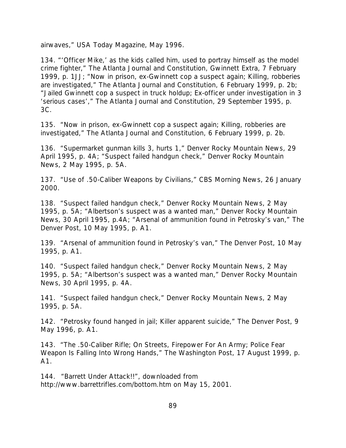airwaves," *USA Today Magazine*, May 1996.

134. "'Officer Mike,' as the kids called him, used to portray himself as the model crime fighter," *The Atlanta Journal and Constitution*, Gwinnett Extra, 7 February 1999, p. 1JJ; "Now in prison, ex-Gwinnett cop a suspect again; Killing, robberies are investigated," *The Atlanta Journal and Constitution*, 6 February 1999, p. 2b; "Jailed Gwinnett cop a suspect in truck holdup; Ex-officer under investigation in 3 'serious cases'," *The Atlanta Journal and Constitution,* 29 September 1995, p. 3C.

135. "Now in prison, ex-Gwinnett cop a suspect again; Killing, robberies are investigated," *The Atlanta Journal and Constitution*, 6 February 1999, p. 2b.

136. "Supermarket gunman kills 3, hurts 1," *Denver Rocky Mountain News*, 29 April 1995, p. 4A; "Suspect failed handgun check," *Denver Rocky Mountain News*, 2 May 1995, p. 5A.

137. "Use of .50-Caliber Weapons by Civilians," *CBS Morning News*, 26 January 2000.

138. "Suspect failed handgun check," *Denver Rocky Mountain News*, 2 May 1995, p. 5A; "Albertson's suspect was a wanted man," *Denver Rocky Mountain News*, 30 April 1995, p.4A; "Arsenal of ammunition found in Petrosky's van," *The Denver Post*, 10 May 1995, p. A1.

139. "Arsenal of ammunition found in Petrosky's van," *The Denver Post*, 10 May 1995, p. A1.

140. "Suspect failed handgun check," *Denver Rocky Mountain News*, 2 May 1995, p. 5A; "Albertson's suspect was a wanted man," *Denver Rocky Mountain News*, 30 April 1995, p. 4A.

141. "Suspect failed handgun check," *Denver Rocky Mountain News*, 2 May 1995, p. 5A.

142. "Petrosky found hanged in jail; Killer apparent suicide," *The Denver Post*, 9 May 1996, p. A1.

143. "The .50-Caliber Rifle; On Streets, Firepower For An Army; Police Fear Weapon Is Falling Into Wrong Hands," *The Washington Post*, 17 August 1999, p. A1.

144. "Barrett Under Attack!!", downloaded from http://www.barrettrifles.com/bottom.htm on May 15, 2001.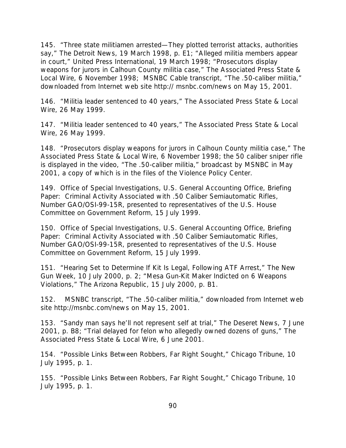145. "Three state militiamen arrested—They plotted terrorist attacks, authorities say," *The Detroit News*, 19 March 1998, p. E1; "Alleged militia members appear in court," *United Press International,* 19 March 1998; "Prosecutors display weapons for jurors in Calhoun County militia case," *The Associated Press State & Local Wire*, 6 November 1998; MSNBC Cable transcript, "The .50-caliber militia," downloaded from Internet web site http:// msnbc.com/news on May 15, 2001.

146. "Militia leader sentenced to 40 years," *The Associated Press State & Local Wire*, 26 May 1999.

147. "Militia leader sentenced to 40 years," *The Associated Press State & Local Wire*, 26 May 1999.

148. "Prosecutors display weapons for jurors in Calhoun County militia case," *The Associated Press State & Local Wire*, 6 November 1998; the 50 caliber sniper rifle is displayed in the video, "The .50-caliber militia," broadcast by MSNBC in May 2001, a copy of which is in the files of the Violence Policy Center.

149. Office of Special Investigations, U.S. General Accounting Office, *Briefing Paper: Criminal Activity Associated with .50 Caliber Semiautomatic Rifles*, Number GAO/OSI-99-15R, presented to representatives of the U.S. House Committee on Government Reform, 15 July 1999.

150. Office of Special Investigations, U.S. General Accounting Office, *Briefing Paper: Criminal Activity Associated with .50 Caliber Semiautomatic Rifles*, Number GAO/OSI-99-15R, presented to representatives of the U.S. House Committee on Government Reform, 15 July 1999.

151. "Hearing Set to Determine If Kit Is Legal, Following ATF Arrest," *The New Gun Week*, 10 July 2000, p. 2; "Mesa Gun-Kit Maker Indicted on 6 Weapons Violations," *The Arizona Republic*, 15 July 2000, p. B1.

152. MSNBC transcript, "The .50-caliber militia," downloaded from Internet web site http://msnbc.com/news on May 15, 2001.

153. "Sandy man says he'll not represent self at trial," *The Deseret News*, 7 June 2001, p. B8; "Trial delayed for felon who allegedly owned dozens of guns," *The Associated Press State & Local Wire*, 6 June 2001.

154. "Possible Links Between Robbers, Far Right Sought," *Chicago Tribune*, 10 July 1995, p. 1.

155. "Possible Links Between Robbers, Far Right Sought," *Chicago Tribune*, 10 July 1995, p. 1.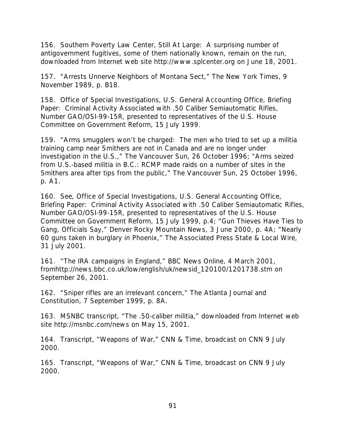156. Southern Poverty Law Center, *Still At Large: A surprising number of antigovernment fugitives, some of them nationally known, remain on the run*, downloaded from Internet web site http://www.splcenter.org on June 18, 2001.

157. "Arrests Unnerve Neighbors of Montana Sect," *The New York Times*, 9 November 1989, p. B18.

158. Office of Special Investigations, U.S. General Accounting Office, *Briefing Paper: Criminal Activity Associated with .50 Caliber Semiautomatic Rifles*, Number GAO/OSI-99-15R, presented to representatives of the U.S. House Committee on Government Reform, 15 July 1999.

159. "Arms smugglers won't be charged: The men who tried to set up a militia training camp near Smithers are not in Canada and are no longer under investigation in the U.S.," *The Vancouver Sun*, 26 October 1996; "Arms seized from U.S.-based militia in B.C.: RCMP made raids on a number of sites in the Smithers area after tips from the public," *The Vancouver Sun*, 25 October 1996, p. A1.

160. See, Office of Special Investigations, U.S. General Accounting Office, *Briefing Paper: Criminal Activity Associated with .50 Caliber Semiautomatic Rifles*, Number GAO/OSI-99-15R, presented to representatives of the U.S. House Committee on Government Reform, 15 July 1999, p.4; "Gun Thieves Have Ties to Gang, Officials Say," *Denver Rocky Mountain News*, 3 June 2000, p. 4A; "Nearly 60 guns taken in burglary in Phoenix," *The Associated Press State & Local Wire,* 31 July 2001.

161. "The IRA campaigns in England," *BBC News Online*, 4 March 2001, fromhttp://news.bbc.co.uk/low/english/uk/newsid\_120100/1201738.stm on September 26, 2001.

162. "Sniper rifles are an irrelevant concern," *The Atlanta Journal and Constitution*, 7 September 1999, p. 8A.

163. MSNBC transcript, "The .50-caliber militia," downloaded from Internet web site http://msnbc.com/news on May 15, 2001.

164. Transcript, "Weapons of War," *CNN & Time*, broadcast on *CNN* 9 July 2000.

165. Transcript, "Weapons of War," *CNN & Time*, broadcast on *CNN* 9 July 2000.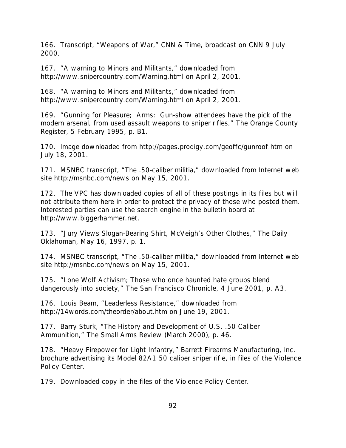166. Transcript, "Weapons of War," *CNN & Time*, broadcast on *CNN* 9 July 2000.

167. "A warning to Minors and Militants," downloaded from http://www.snipercountry.com/Warning.html on April 2, 2001.

168. "A warning to Minors and Militants," downloaded from http://www.snipercountry.com/Warning.html on April 2, 2001.

169. "Gunning for Pleasure; Arms: Gun-show attendees have the pick of the modern arsenal, from used assault weapons to sniper rifles," *The Orange County Register*, 5 February 1995, p. B1.

170. Image downloaded from http://pages.prodigy.com/geoffc/gunroof.htm on July 18, 2001.

171. MSNBC transcript, "The .50-caliber militia," downloaded from Internet web site http://msnbc.com/news on May 15, 2001.

172. The VPC has downloaded copies of all of these postings in its files but will not attribute them here in order to protect the privacy of those who posted them. Interested parties can use the search engine in the bulletin board at http://www.biggerhammer.net.

173. "Jury Views Slogan-Bearing Shirt, McVeigh's Other Clothes," *The Daily Oklahoman*, May 16, 1997, p. 1.

174. MSNBC transcript, "The .50-caliber militia," downloaded from Internet web site http://msnbc.com/news on May 15, 2001.

175. "Lone Wolf Activism; Those who once haunted hate groups blend dangerously into society," *The San Francisco Chronicle*, 4 June 2001, p. A3.

176. Louis Beam, "Leaderless Resistance," downloaded from http://14words.com/theorder/about.htm on June 19, 2001.

177. Barry Sturk, "The History and Development of U.S. .50 Caliber Ammunition," *The Small Arms Review* (March 2000), p. 46.

178. "Heavy Firepower for Light Infantry," Barrett Firearms Manufacturing, Inc. brochure advertising its Model 82A1 50 caliber sniper rifle, in files of the Violence Policy Center.

179. Downloaded copy in the files of the Violence Policy Center.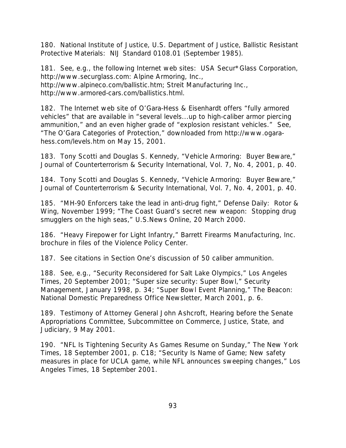180. National Institute of Justice, U.S. Department of Justice, *Ballistic Resistant Protective Materials: NIJ Standard 0108.01* (September 1985).

181. See, e.g., the following Internet web sites: USA Secur\*Glass Corporation, http://www.securglass.com: Alpine Armoring, Inc., http://www.alpineco.com/ballistic.htm; Streit Manufacturing Inc., http://www.armored-cars.com/ballistics.html.

182. The Internet web site of O'Gara-Hess & Eisenhardt offers "fully armored vehicles" that are available in "several levels...up to high-caliber armor piercing ammunition," and an even higher grade of "explosion resistant vehicles." See, "The O'Gara Categories of Protection," downloaded from http://www.ogarahess.com/levels.htm on May 15, 2001.

183. Tony Scotti and Douglas S. Kennedy, "Vehicle Armoring: Buyer Beware," *Journal of Counterterrorism & Security International*, Vol. 7, No. 4, 2001, p. 40.

184. Tony Scotti and Douglas S. Kennedy, "Vehicle Armoring: Buyer Beware," *Journal of Counterterrorism & Security International*, Vol. 7, No. 4, 2001, p. 40.

185. "MH-90 Enforcers take the lead in anti-drug fight," *Defense Daily: Rotor & Wing*, November 1999; "The Coast Guard's secret new weapon: Stopping drug smugglers on the high seas," *U.S.News Online*, 20 March 2000.

186. "Heavy Firepower for Light Infantry," Barrett Firearms Manufacturing, Inc. brochure in files of the Violence Policy Center.

187. See citations in Section One's discussion of 50 caliber ammunition.

188. See, e.g., "Security Reconsidered for Salt Lake Olympics," *Los Angeles Times*, 20 September 2001; "Super size security: Super Bowl," *Security Management*, January 1998, p. 34; "Super Bowl Event Planning," *The Beacon: National Domestic Preparedness Office Newsletter*, March 2001, p. 6.

189. Testimony of Attorney General John Ashcroft, *Hearing before the Senate Appropriations Committee, Subcommittee on Commerce, Justice, State, and Judiciary*, 9 May 2001.

190. "NFL Is Tightening Security As Games Resume on Sunday," *The New York Times*, 18 September 2001, p. C18; "Security Is Name of Game; New safety measures in place for UCLA game, while NFL announces sweeping changes," *Los Angeles Times*, 18 September 2001.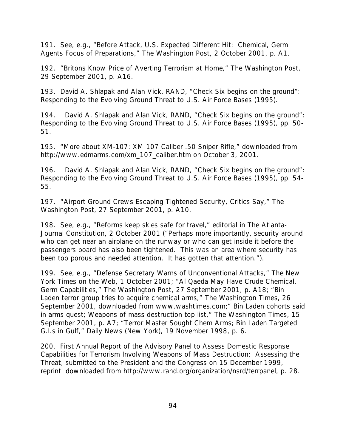191. See, e.g., "Before Attack, U.S. Expected Different Hit: Chemical, Germ Agents Focus of Preparations," *The Washington Post*, 2 October 2001, p. A1.

192. "Britons Know Price of Averting Terrorism at Home," *The Washington Post*, 29 September 2001, p. A16.

193. David A. Shlapak and Alan Vick, RAND, *"Check Six begins on the ground": Responding to the Evolving Ground Threat to U.S. Air Force Bases* (1995).

194. David A. Shlapak and Alan Vick, RAND, *"Check Six begins on the ground": Responding to the Evolving Ground Threat to U.S. Air Force Bases* (1995), pp. 50- 51.

195. "More about XM-107: XM 107 Caliber .50 Sniper Rifle," downloaded from http://www.edmarms.com/xm\_107\_caliber.htm on October 3, 2001.

196. David A. Shlapak and Alan Vick, RAND, *"Check Six begins on the ground": Responding to the Evolving Ground Threat to U.S. Air Force Bases* (1995), pp. 54- 55.

197. "Airport Ground Crews Escaping Tightened Security, Critics Say," *The Washington Post*, 27 September 2001, p. A10.

198. See, e.g., "Reforms keep skies safe for travel," editorial in *The Atlanta-Journal Constitution*, 2 October 2001 ("Perhaps more importantly, security around who can get near an airplane on the runway or who can get inside it before the passengers board has also been tightened. This was an area where security has been too porous and needed attention. It has gotten that attention.").

199. See, e.g., "Defense Secretary Warns of Unconventional Attacks," *The New York Times on the Web*, 1 October 2001; "Al Qaeda May Have Crude Chemical, Germ Capabilities," *The Washington Post*, 27 September 2001, p. A18; "Bin Laden terror group tries to acquire chemical arms," *The Washington Times*, 26 September 2001, downloaded from www.washtimes.com;" Bin Laden cohorts said in arms quest; Weapons of mass destruction top list," *The Washington Times*, 15 September 2001, p. A7; "Terror Master Sought Chem Arms; Bin Laden Targeted G.I.s in Gulf," *Daily News (New York)*, 19 November 1998, p. 6.

200. *First Annual Report of the Advisory Panel to Assess Domestic Response Capabilities for Terrorism Involving Weapons of Mass Destruction: Assessing the Threat*, submitted to the President and the Congress on 15 December 1999, reprint downloaded from http://www.rand.org/organization/nsrd/terrpanel, p. 28.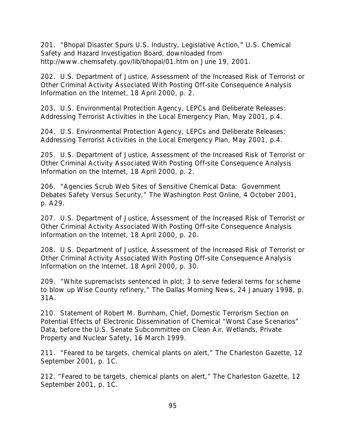201. "Bhopal Disaster Spurs U.S. Industry, Legislative Action," U.S. Chemical Safety and Hazard Investigation Board, downloaded from http://www.chemsafety.gov/lib/bhopal/01.htm on June 19, 2001.

202. U.S. Department of Justice, *Assessment of the Increased Risk of Terrorist or Other Criminal Activity Associated With Posting Off-site Consequence Analysis Information on the Internet,* 18 April 2000, p. 2.

203. U.S. Environmental Protection Agency, *LEPCs and Deliberate Releases: Addressing Terrorist Activities in the Local Emergency Plan*, May 2001, p.4.

204. U.S. Environmental Protection Agency, *LEPCs and Deliberate Releases: Addressing Terrorist Activities in the Local Emergency Plan*, May 2001, p.4.

205. U.S. Department of Justice, *Assessment of the Increased Risk of Terrorist or Other Criminal Activity Associated With Posting Off-site Consequence Analysis Information on the Internet,* 18 April 2000, p. 2.

206. "Agencies Scrub Web Sites of Sensitive Chemical Data: Government Debates Safety Versus Security," *The Washington Post Online*, 4 October 2001, p. A29.

207. U.S. Department of Justice, *Assessment of the Increased Risk of Terrorist or Other Criminal Activity Associated With Posting Off-site Consequence Analysis Information on the Internet,* 18 April 2000, p. 20.

208. U.S. Department of Justice, *Assessment of the Increased Risk of Terrorist or Other Criminal Activity Associated With Posting Off-site Consequence Analysis Information on the Internet,* 18 April 2000, p. 30.

209. "White supremacists sentenced in plot; 3 to serve federal terms for scheme to blow up Wise County refinery," *The Dallas Morning News*, 24 January 1998, p. 31A.

210. Statement of Robert M. Burnham, Chief, Domestic Terrorism Section on *Potential Effects of Electronic Dissemination of Chemical "Worst Case Scenarios" Data*, before the U.S. Senate Subcommittee on Clean Air, Wetlands, Private Property and Nuclear Safety, 16 March 1999.

211. "Feared to be targets, chemical plants on alert," *The Charleston Gazette*, 12 September 2001, p. 1C.

212. "Feared to be targets, chemical plants on alert," *The Charleston Gazette*, 12 September 2001, p. 1C.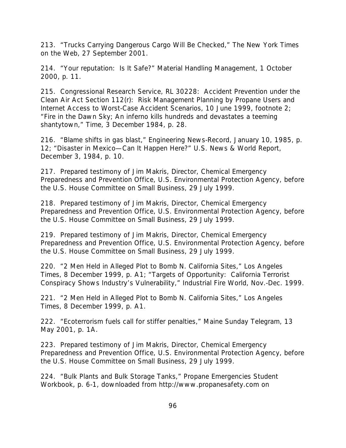213. "Trucks Carrying Dangerous Cargo Will Be Checked," *The New York Times on the Web*, 27 September 2001.

214. "Your reputation: Is It Safe?" *Material Handling Management*, 1 October 2000, p. 11.

215. Congressional Research Service, *RL 30228: Accident Prevention under the Clean Air Act Section 112(r): Risk Management Planning by Propane Users and Internet Access to Worst-Case Accident Scenarios*, 10 June 1999, footnote 2; "Fire in the Dawn Sky; An inferno kills hundreds and devastates a teeming shantytown," *Time*, 3 December 1984, p. 28.

216. "Blame shifts in gas blast," *Engineering News-Record*, January 10, 1985, p. 12; "Disaster in Mexico—Can It Happen Here?" *U.S. News & World Report*, December 3, 1984, p. 10.

217. Prepared testimony of Jim Makris, Director, Chemical Emergency Preparedness and Prevention Office, U.S. Environmental Protection Agency, before the U.S. House Committee on Small Business, 29 July 1999.

218. Prepared testimony of Jim Makris, Director, Chemical Emergency Preparedness and Prevention Office, U.S. Environmental Protection Agency, before the U.S. House Committee on Small Business, 29 July 1999.

219. Prepared testimony of Jim Makris, Director, Chemical Emergency Preparedness and Prevention Office, U.S. Environmental Protection Agency, before the U.S. House Committee on Small Business, 29 July 1999.

220. "2 Men Held in Alleged Plot to Bomb N. California Sites," *Los Angeles Times*, 8 December 1999, p. A1; "Targets of Opportunity: California Terrorist Conspiracy Shows Industry's Vulnerability," *Industrial Fire World*, Nov.-Dec. 1999.

221. "2 Men Held in Alleged Plot to Bomb N. California Sites," *Los Angeles Times*, 8 December 1999, p. A1.

222. "Ecoterrorism fuels call for stiffer penalties," *Maine Sunday Telegram*, 13 May 2001, p. 1A.

223. Prepared testimony of Jim Makris, Director, Chemical Emergency Preparedness and Prevention Office, U.S. Environmental Protection Agency, before the U.S. House Committee on Small Business, 29 July 1999.

224. "Bulk Plants and Bulk Storage Tanks," *Propane Emergencies Student Workbook*, p. 6-1, downloaded from http://www.propanesafety.com on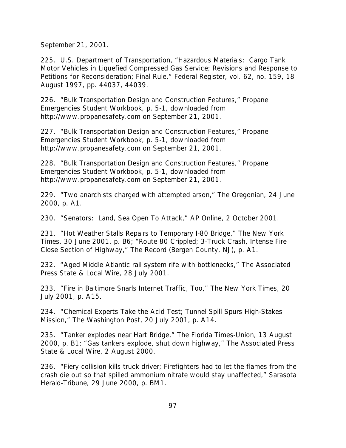September 21, 2001.

225. U.S. Department of Transportation, "Hazardous Materials: Cargo Tank Motor Vehicles in Liquefied Compressed Gas Service; Revisions and Response to Petitions for Reconsideration; Final Rule," *Federal Register*, vol. 62, no. 159, 18 August 1997, pp. 44037, 44039.

226. "Bulk Transportation Design and Construction Features," *Propane Emergencies Student Workbook*, p. 5-1, downloaded from http://www.propanesafety.com on September 21, 2001.

227. "Bulk Transportation Design and Construction Features," *Propane Emergencies Student Workbook*, p. 5-1, downloaded from http://www.propanesafety.com on September 21, 2001.

228. "Bulk Transportation Design and Construction Features," *Propane Emergencies Student Workbook*, p. 5-1, downloaded from http://www.propanesafety.com on September 21, 2001.

229. "Two anarchists charged with attempted arson," *The Oregonian*, 24 June 2000, p. A1.

230. "Senators: Land, Sea Open To Attack," *AP Online*, 2 October 2001.

231. "Hot Weather Stalls Repairs to Temporary I-80 Bridge," *The New York Times*, 30 June 2001, p. B6; "Route 80 Crippled; 3-Truck Crash, Intense Fire Close Section of Highway," *The Record (Bergen County, NJ)*, p. A1.

232. "Aged Middle Atlantic rail system rife with bottlenecks," *The Associated Press State & Local Wire*, 28 July 2001.

233. "Fire in Baltimore Snarls Internet Traffic, Too," *The New York Times*, 20 July 2001, p. A15.

234. "Chemical Experts Take the Acid Test; Tunnel Spill Spurs High-Stakes Mission," *The Washington Post*, 20 July 2001, p. A14.

235. "Tanker explodes near Hart Bridge," *The Florida Times-Union*, 13 August 2000, p. B1; "Gas tankers explode, shut down highway," *The Associated Press State & Local Wire*, 2 August 2000.

236. "Fiery collision kills truck driver; Firefighters had to let the flames from the crash die out so that spilled ammonium nitrate would stay unaffected," *Sarasota Herald-Tribune*, 29 June 2000, p. BM1.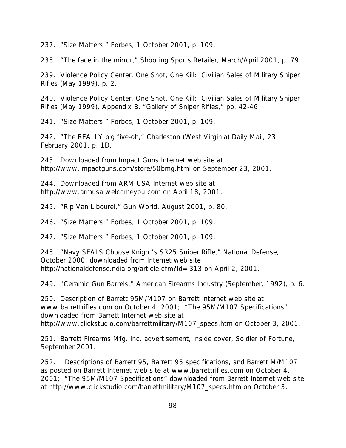237. "Size Matters," *Forbes*, 1 October 2001, p. 109.

238. "The face in the mirror," *Shooting Sports Retailer*, March/April 2001, p. 79.

239. Violence Policy Center, *One Shot, One Kill: Civilian Sales of Military Sniper Rifles* (May 1999), p. 2.

240. Violence Policy Center, *One Shot, One Kill: Civilian Sales of Military Sniper Rifles* (May 1999), Appendix B, "Gallery of Sniper Rifles," pp. 42-46.

241. "Size Matters," *Forbes*, 1 October 2001, p. 109.

242. "The REALLY big five-oh," *Charleston (West Virginia) Daily Mail*, 23 February 2001, p. 1D.

243. Downloaded from Impact Guns Internet web site at http://www.impactguns.com/store/50bmg.html on September 23, 2001.

244. Downloaded from ARM USA Internet web site at http://www.armusa.welcomeyou.com on April 18, 2001.

245. "Rip Van Libourel," *Gun World*, August 2001, p. 80.

246. "Size Matters," *Forbes*, 1 October 2001, p. 109.

247. "Size Matters," *Forbes*, 1 October 2001, p. 109.

248. "Navy SEALS Choose Knight's SR25 Sniper Rifle," *National Defense*, October 2000, downloaded from Internet web site http://nationaldefense.ndia.org/article.cfm?Id=313 on April 2, 2001.

249. "Ceramic Gun Barrels," American Firearms Industry (September, 1992), p. 6.

250. Description of Barrett 95M/M107 on Barrett Internet web site at www.barrettrifles.com on October 4, 2001; "The 95M/M107 Specifications" downloaded from Barrett Internet web site at http://www.clickstudio.com/barrettmilitary/M107\_specs.htm on October 3, 2001.

251. Barrett Firearms Mfg. Inc. advertisement, inside cover, *Soldier of Fortune*, September 2001.

252. Descriptions of Barrett 95, Barrett 95 specifications, and Barrett M/M107 as posted on Barrett Internet web site at www.barrettrifles.com on October 4, 2001; "The 95M/M107 Specifications" downloaded from Barrett Internet web site at http://www.clickstudio.com/barrettmilitary/M107\_specs.htm on October 3,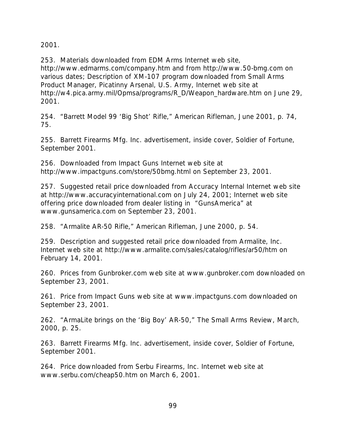2001.

253. Materials downloaded from EDM Arms Internet web site, http://www.edmarms.com/company.htm and from http://www.50-bmg.com on various dates; Description of XM-107 program downloaded from Small Arms Product Manager, Picatinny Arsenal, U.S. Army, Internet web site at http://w4.pica.army.mil/Opmsa/programs/R\_D/Weapon\_hardware.htm on June 29, 2001.

254. "Barrett Model 99 'Big Shot' Rifle," *American Rifleman*, June 2001, p. 74, 75.

255. Barrett Firearms Mfg. Inc. advertisement, inside cover, *Soldier of Fortune*, September 2001.

256. Downloaded from Impact Guns Internet web site at http://www.impactguns.com/store/50bmg.html on September 23, 2001.

257. Suggested retail price downloaded from Accuracy Internal Internet web site at http://www.accuracyinternational.com on July 24, 2001; Internet web site offering price downloaded from dealer listing in "GunsAmerica" at www.gunsamerica.com on September 23, 2001.

258. "Armalite AR-50 Rifle," *American Rifleman*, June 2000, p. 54.

259. Description and suggested retail price downloaded from Armalite, Inc. Internet web site at http://www.armalite.com/sales/catalog/rifles/ar50/htm on February 14, 2001.

260. Prices from Gunbroker.com web site at www.gunbroker.com downloaded on September 23, 2001.

261. Price from Impact Guns web site at www.impactguns.com downloaded on September 23, 2001.

262. "ArmaLite brings on the *'Big Boy'* AR-50," *The Small Arms Review*, March, 2000, p. 25.

263. Barrett Firearms Mfg. Inc. advertisement, inside cover, *Soldier of Fortune*, September 2001.

264. Price downloaded from Serbu Firearms, Inc. Internet web site at www.serbu.com/cheap50.htm on March 6, 2001.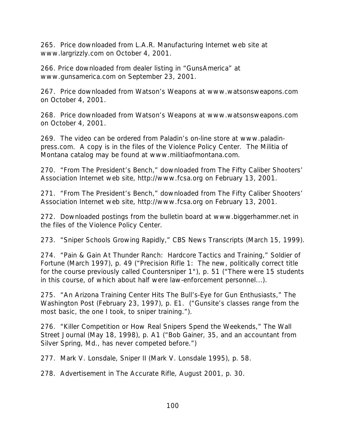265. Price downloaded from L.A.R. Manufacturing Internet web site at www.largrizzly.com on October 4, 2001.

266. Price downloaded from dealer listing in "GunsAmerica" at www.gunsamerica.com on September 23, 2001.

267. Price downloaded from Watson's Weapons at www.watsonsweapons.com on October 4, 2001.

268. Price downloaded from Watson's Weapons at www.watsonsweapons.com on October 4, 2001.

269. The video can be ordered from Paladin's on-line store at www.paladinpress.com. A copy is in the files of the Violence Policy Center. The Militia of Montana catalog may be found at www.militiaofmontana.com.

270. "From The President's Bench," downloaded from The Fifty Caliber Shooters' Association Internet web site, http://www.fcsa.org on February 13, 2001.

271. "From The President's Bench," downloaded from The Fifty Caliber Shooters' Association Internet web site, http://www.fcsa.org on February 13, 2001.

272. Downloaded postings from the bulletin board at www.biggerhammer.net in the files of the Violence Policy Center.

273. "Sniper Schools Growing Rapidly," CBS News Transcripts (March 15, 1999).

274. "Pain & Gain At Thunder Ranch: Hardcore Tactics and Training," *Soldier of Fortune* (March 1997), p. 49 ("Precision Rifle 1: The new, politically correct title for the course previously called Countersniper 1"), p. 51 ("There were 15 students in this course, of which about half were law-enforcement personnel...).

275. "An Arizona Training Center Hits The Bull's-Eye for Gun Enthusiasts," *The Washington Post* (February 23, 1997), p. E1. ("Gunsite's classes range from the most basic, the one I took, to sniper training.").

276. "Killer Competition or How Real Snipers Spend the Weekends," *The Wall Street Journal* (May 18, 1998), p. A1 ("Bob Gainer, 35, and an accountant from Silver Spring, Md., has never competed before.")

277. Mark V. Lonsdale, *Sniper II* (Mark V. Lonsdale 1995), p. 58.

278. Advertisement in *The Accurate Rifle*, August 2001, p. 30.